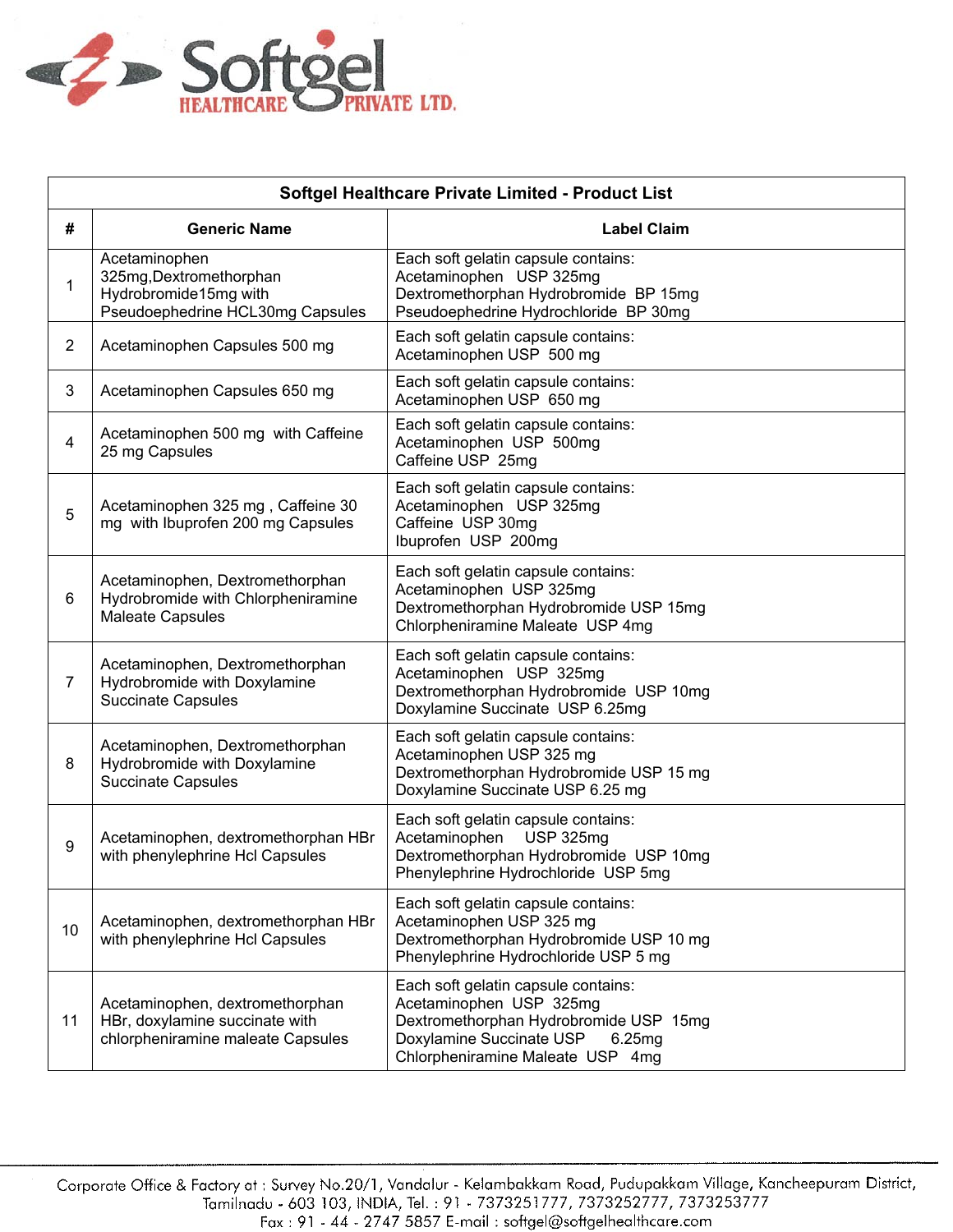

| Softgel Healthcare Private Limited - Product List |                                                                                                        |                                                                                                                                                                                    |
|---------------------------------------------------|--------------------------------------------------------------------------------------------------------|------------------------------------------------------------------------------------------------------------------------------------------------------------------------------------|
| #                                                 | <b>Generic Name</b>                                                                                    | <b>Label Claim</b>                                                                                                                                                                 |
| 1                                                 | Acetaminophen<br>325mg, Dextromethorphan<br>Hydrobromide15mg with<br>Pseudoephedrine HCL30mg Capsules  | Each soft gelatin capsule contains:<br>Acetaminophen USP 325mg<br>Dextromethorphan Hydrobromide BP 15mg<br>Pseudoephedrine Hydrochloride BP 30mg                                   |
| 2                                                 | Acetaminophen Capsules 500 mg                                                                          | Each soft gelatin capsule contains:<br>Acetaminophen USP 500 mg                                                                                                                    |
| 3                                                 | Acetaminophen Capsules 650 mg                                                                          | Each soft gelatin capsule contains:<br>Acetaminophen USP 650 mg                                                                                                                    |
| 4                                                 | Acetaminophen 500 mg with Caffeine<br>25 mg Capsules                                                   | Each soft gelatin capsule contains:<br>Acetaminophen USP 500mg<br>Caffeine USP 25mg                                                                                                |
| 5                                                 | Acetaminophen 325 mg, Caffeine 30<br>mg with Ibuprofen 200 mg Capsules                                 | Each soft gelatin capsule contains:<br>Acetaminophen USP 325mg<br>Caffeine USP 30mg<br>Ibuprofen USP 200mg                                                                         |
| 6                                                 | Acetaminophen, Dextromethorphan<br>Hydrobromide with Chlorpheniramine<br><b>Maleate Capsules</b>       | Each soft gelatin capsule contains:<br>Acetaminophen USP 325mg<br>Dextromethorphan Hydrobromide USP 15mg<br>Chlorpheniramine Maleate USP 4mg                                       |
| 7                                                 | Acetaminophen, Dextromethorphan<br>Hydrobromide with Doxylamine<br><b>Succinate Capsules</b>           | Each soft gelatin capsule contains:<br>Acetaminophen USP 325mg<br>Dextromethorphan Hydrobromide USP 10mg<br>Doxylamine Succinate USP 6.25mg                                        |
| 8                                                 | Acetaminophen, Dextromethorphan<br>Hydrobromide with Doxylamine<br><b>Succinate Capsules</b>           | Each soft gelatin capsule contains:<br>Acetaminophen USP 325 mg<br>Dextromethorphan Hydrobromide USP 15 mg<br>Doxylamine Succinate USP 6.25 mg                                     |
| 9                                                 | Acetaminophen, dextromethorphan HBr<br>with phenylephrine Hcl Capsules                                 | Each soft gelatin capsule contains:<br>Acetaminophen<br><b>USP 325mg</b><br>Dextromethorphan Hydrobromide USP 10mg<br>Phenylephrine Hydrochloride USP 5mg                          |
| 10                                                | Acetaminophen, dextromethorphan HBr<br>with phenylephrine Hcl Capsules                                 | Each soft gelatin capsule contains:<br>Acetaminophen USP 325 mg<br>Dextromethorphan Hydrobromide USP 10 mg<br>Phenylephrine Hydrochloride USP 5 mg                                 |
| 11                                                | Acetaminophen, dextromethorphan<br>HBr, doxylamine succinate with<br>chlorpheniramine maleate Capsules | Each soft gelatin capsule contains:<br>Acetaminophen USP 325mg<br>Dextromethorphan Hydrobromide USP 15mg<br>Doxylamine Succinate USP<br>6.25mg<br>Chlorpheniramine Maleate USP 4mg |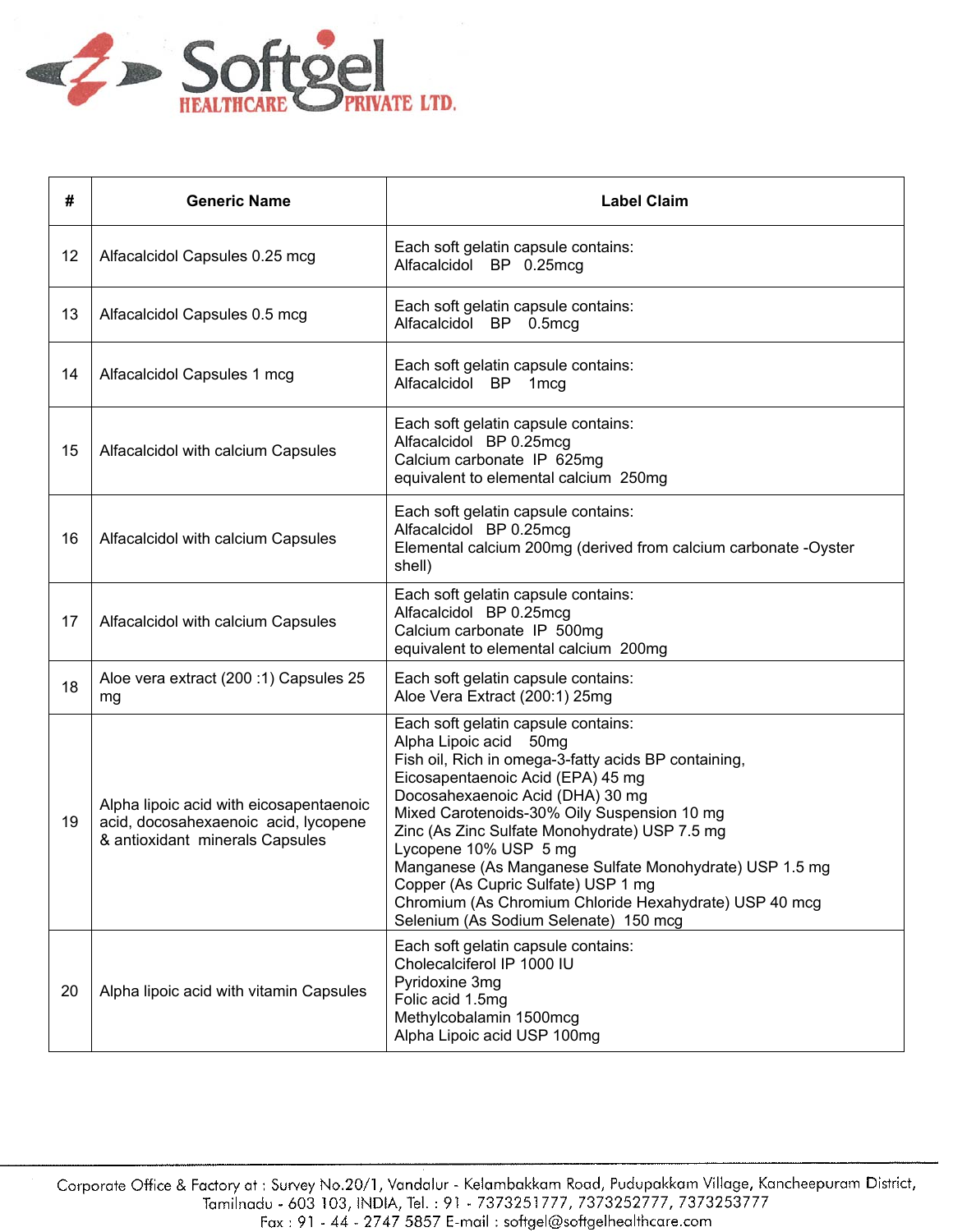

| #  | <b>Generic Name</b>                                                                                                | <b>Label Claim</b>                                                                                                                                                                                                                                                                                                                                                                                                                                                                                                           |
|----|--------------------------------------------------------------------------------------------------------------------|------------------------------------------------------------------------------------------------------------------------------------------------------------------------------------------------------------------------------------------------------------------------------------------------------------------------------------------------------------------------------------------------------------------------------------------------------------------------------------------------------------------------------|
| 12 | Alfacalcidol Capsules 0.25 mcg                                                                                     | Each soft gelatin capsule contains:<br>Alfacalcidol BP 0.25mcg                                                                                                                                                                                                                                                                                                                                                                                                                                                               |
| 13 | Alfacalcidol Capsules 0.5 mcg                                                                                      | Each soft gelatin capsule contains:<br>Alfacalcidol BP 0.5mcg                                                                                                                                                                                                                                                                                                                                                                                                                                                                |
| 14 | Alfacalcidol Capsules 1 mcg                                                                                        | Each soft gelatin capsule contains:<br>Alfacalcidol BP 1mcg                                                                                                                                                                                                                                                                                                                                                                                                                                                                  |
| 15 | Alfacalcidol with calcium Capsules                                                                                 | Each soft gelatin capsule contains:<br>Alfacalcidol BP 0.25mcg<br>Calcium carbonate IP 625mg<br>equivalent to elemental calcium 250mg                                                                                                                                                                                                                                                                                                                                                                                        |
| 16 | Alfacalcidol with calcium Capsules                                                                                 | Each soft gelatin capsule contains:<br>Alfacalcidol BP 0.25mcg<br>Elemental calcium 200mg (derived from calcium carbonate -Oyster<br>shell)                                                                                                                                                                                                                                                                                                                                                                                  |
| 17 | Alfacalcidol with calcium Capsules                                                                                 | Each soft gelatin capsule contains:<br>Alfacalcidol BP 0.25mcg<br>Calcium carbonate IP 500mg<br>equivalent to elemental calcium 200mg                                                                                                                                                                                                                                                                                                                                                                                        |
| 18 | Aloe vera extract (200 :1) Capsules 25<br>mg                                                                       | Each soft gelatin capsule contains:<br>Aloe Vera Extract (200:1) 25mg                                                                                                                                                                                                                                                                                                                                                                                                                                                        |
| 19 | Alpha lipoic acid with eicosapentaenoic<br>acid, docosahexaenoic acid, lycopene<br>& antioxidant minerals Capsules | Each soft gelatin capsule contains:<br>Alpha Lipoic acid 50mg<br>Fish oil, Rich in omega-3-fatty acids BP containing,<br>Eicosapentaenoic Acid (EPA) 45 mg<br>Docosahexaenoic Acid (DHA) 30 mg<br>Mixed Carotenoids-30% Oily Suspension 10 mg<br>Zinc (As Zinc Sulfate Monohydrate) USP 7.5 mg<br>Lycopene 10% USP 5 mg<br>Manganese (As Manganese Sulfate Monohydrate) USP 1.5 mg<br>Copper (As Cupric Sulfate) USP 1 mg<br>Chromium (As Chromium Chloride Hexahydrate) USP 40 mcg<br>Selenium (As Sodium Selenate) 150 mcg |
| 20 | Alpha lipoic acid with vitamin Capsules                                                                            | Each soft gelatin capsule contains:<br>Cholecalciferol IP 1000 IU<br>Pyridoxine 3mg<br>Folic acid 1.5mg<br>Methylcobalamin 1500mcg<br>Alpha Lipoic acid USP 100mg                                                                                                                                                                                                                                                                                                                                                            |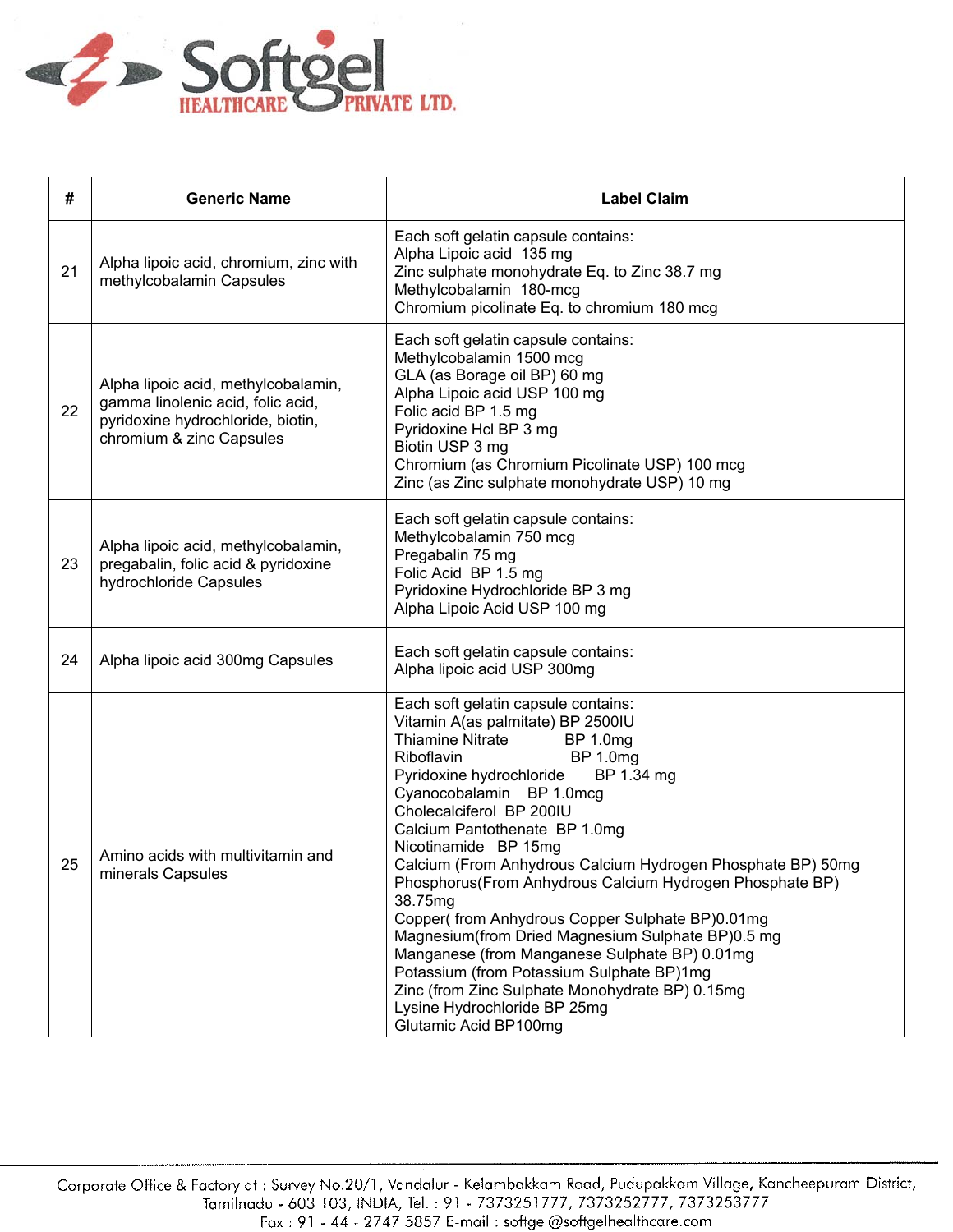

| #  | <b>Generic Name</b>                                                                                                                       | <b>Label Claim</b>                                                                                                                                                                                                                                                                                                                                                                                                                                                                                                                                                                                                                                                                                                                                                    |
|----|-------------------------------------------------------------------------------------------------------------------------------------------|-----------------------------------------------------------------------------------------------------------------------------------------------------------------------------------------------------------------------------------------------------------------------------------------------------------------------------------------------------------------------------------------------------------------------------------------------------------------------------------------------------------------------------------------------------------------------------------------------------------------------------------------------------------------------------------------------------------------------------------------------------------------------|
| 21 | Alpha lipoic acid, chromium, zinc with<br>methylcobalamin Capsules                                                                        | Each soft gelatin capsule contains:<br>Alpha Lipoic acid 135 mg<br>Zinc sulphate monohydrate Eq. to Zinc 38.7 mg<br>Methylcobalamin 180-mcg<br>Chromium picolinate Eq. to chromium 180 mcg                                                                                                                                                                                                                                                                                                                                                                                                                                                                                                                                                                            |
| 22 | Alpha lipoic acid, methylcobalamin,<br>gamma linolenic acid, folic acid,<br>pyridoxine hydrochloride, biotin,<br>chromium & zinc Capsules | Each soft gelatin capsule contains:<br>Methylcobalamin 1500 mcg<br>GLA (as Borage oil BP) 60 mg<br>Alpha Lipoic acid USP 100 mg<br>Folic acid BP 1.5 mg<br>Pyridoxine Hcl BP 3 mg<br>Biotin USP 3 mg<br>Chromium (as Chromium Picolinate USP) 100 mcg<br>Zinc (as Zinc sulphate monohydrate USP) 10 mg                                                                                                                                                                                                                                                                                                                                                                                                                                                                |
| 23 | Alpha lipoic acid, methylcobalamin,<br>pregabalin, folic acid & pyridoxine<br>hydrochloride Capsules                                      | Each soft gelatin capsule contains:<br>Methylcobalamin 750 mcg<br>Pregabalin 75 mg<br>Folic Acid BP 1.5 mg<br>Pyridoxine Hydrochloride BP 3 mg<br>Alpha Lipoic Acid USP 100 mg                                                                                                                                                                                                                                                                                                                                                                                                                                                                                                                                                                                        |
| 24 | Alpha lipoic acid 300mg Capsules                                                                                                          | Each soft gelatin capsule contains:<br>Alpha lipoic acid USP 300mg                                                                                                                                                                                                                                                                                                                                                                                                                                                                                                                                                                                                                                                                                                    |
| 25 | Amino acids with multivitamin and<br>minerals Capsules                                                                                    | Each soft gelatin capsule contains:<br>Vitamin A(as palmitate) BP 2500IU<br><b>Thiamine Nitrate</b><br><b>BP 1.0mg</b><br>BP 1.0mg<br>Riboflavin<br>Pyridoxine hydrochloride<br>BP 1.34 mg<br>Cyanocobalamin BP 1.0mcg<br>Cholecalciferol BP 200IU<br>Calcium Pantothenate BP 1.0mg<br>Nicotinamide BP 15mg<br>Calcium (From Anhydrous Calcium Hydrogen Phosphate BP) 50mg<br>Phosphorus (From Anhydrous Calcium Hydrogen Phosphate BP)<br>38.75mg<br>Copper(from Anhydrous Copper Sulphate BP)0.01mg<br>Magnesium (from Dried Magnesium Sulphate BP)0.5 mg<br>Manganese (from Manganese Sulphate BP) 0.01mg<br>Potassium (from Potassium Sulphate BP)1mg<br>Zinc (from Zinc Sulphate Monohydrate BP) 0.15mg<br>Lysine Hydrochloride BP 25mg<br>Glutamic Acid BP100mg |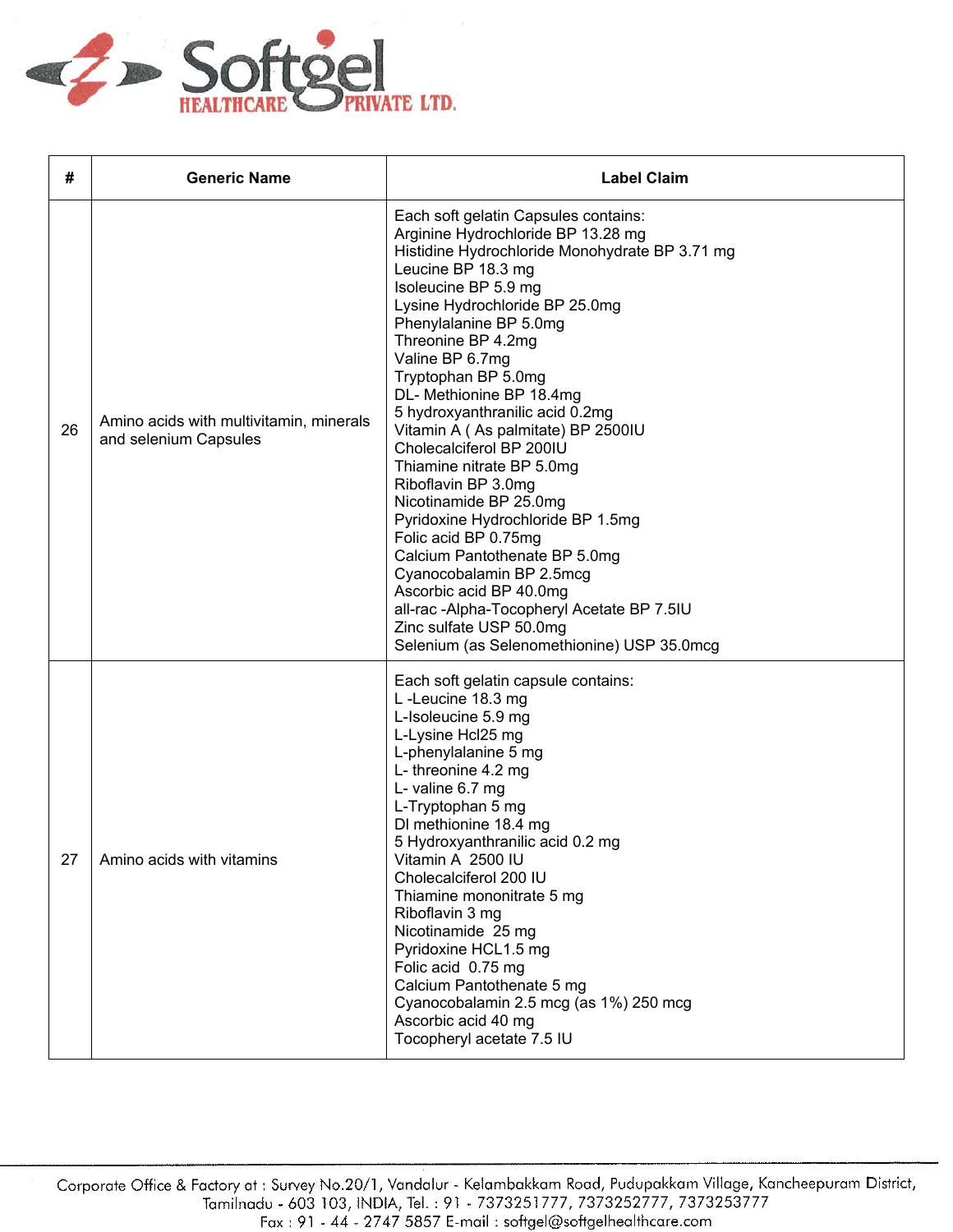

| #  | <b>Generic Name</b>                                              | <b>Label Claim</b>                                                                                                                                                                                                                                                                                                                                                                                                                                                                                                                                                                                                                                                                                                                                                                               |
|----|------------------------------------------------------------------|--------------------------------------------------------------------------------------------------------------------------------------------------------------------------------------------------------------------------------------------------------------------------------------------------------------------------------------------------------------------------------------------------------------------------------------------------------------------------------------------------------------------------------------------------------------------------------------------------------------------------------------------------------------------------------------------------------------------------------------------------------------------------------------------------|
| 26 | Amino acids with multivitamin, minerals<br>and selenium Capsules | Each soft gelatin Capsules contains:<br>Arginine Hydrochloride BP 13.28 mg<br>Histidine Hydrochloride Monohydrate BP 3.71 mg<br>Leucine BP 18.3 mg<br>Isoleucine BP 5.9 mg<br>Lysine Hydrochloride BP 25.0mg<br>Phenylalanine BP 5.0mg<br>Threonine BP 4.2mg<br>Valine BP 6.7mg<br>Tryptophan BP 5.0mg<br>DL- Methionine BP 18.4mg<br>5 hydroxyanthranilic acid 0.2mg<br>Vitamin A (As palmitate) BP 2500IU<br>Cholecalciferol BP 200IU<br>Thiamine nitrate BP 5.0mg<br>Riboflavin BP 3.0mg<br>Nicotinamide BP 25.0mg<br>Pyridoxine Hydrochloride BP 1.5mg<br>Folic acid BP 0.75mg<br>Calcium Pantothenate BP 5.0mg<br>Cyanocobalamin BP 2.5mcg<br>Ascorbic acid BP 40.0mg<br>all-rac-Alpha-Tocopheryl Acetate BP 7.5IU<br>Zinc sulfate USP 50.0mg<br>Selenium (as Selenomethionine) USP 35.0mcg |
| 27 | Amino acids with vitamins                                        | Each soft gelatin capsule contains:<br>L-Leucine 18.3 mg<br>L-Isoleucine 5.9 mg<br>L-Lysine Hcl25 mg<br>L-phenylalanine 5 mg<br>L-threonine 4.2 mg<br>L- valine 6.7 mg<br>L-Tryptophan 5 mg<br>DI methionine 18.4 mg<br>5 Hydroxyanthranilic acid 0.2 mg<br>Vitamin A 2500 IU<br>Cholecalciferol 200 IU<br>Thiamine mononitrate 5 mg<br>Riboflavin 3 mg<br>Nicotinamide 25 mg<br>Pyridoxine HCL1.5 mg<br>Folic acid 0.75 mg<br>Calcium Pantothenate 5 mg<br>Cyanocobalamin 2.5 mcg (as 1%) 250 mcg<br>Ascorbic acid 40 mg<br>Tocopheryl acetate 7.5 IU                                                                                                                                                                                                                                           |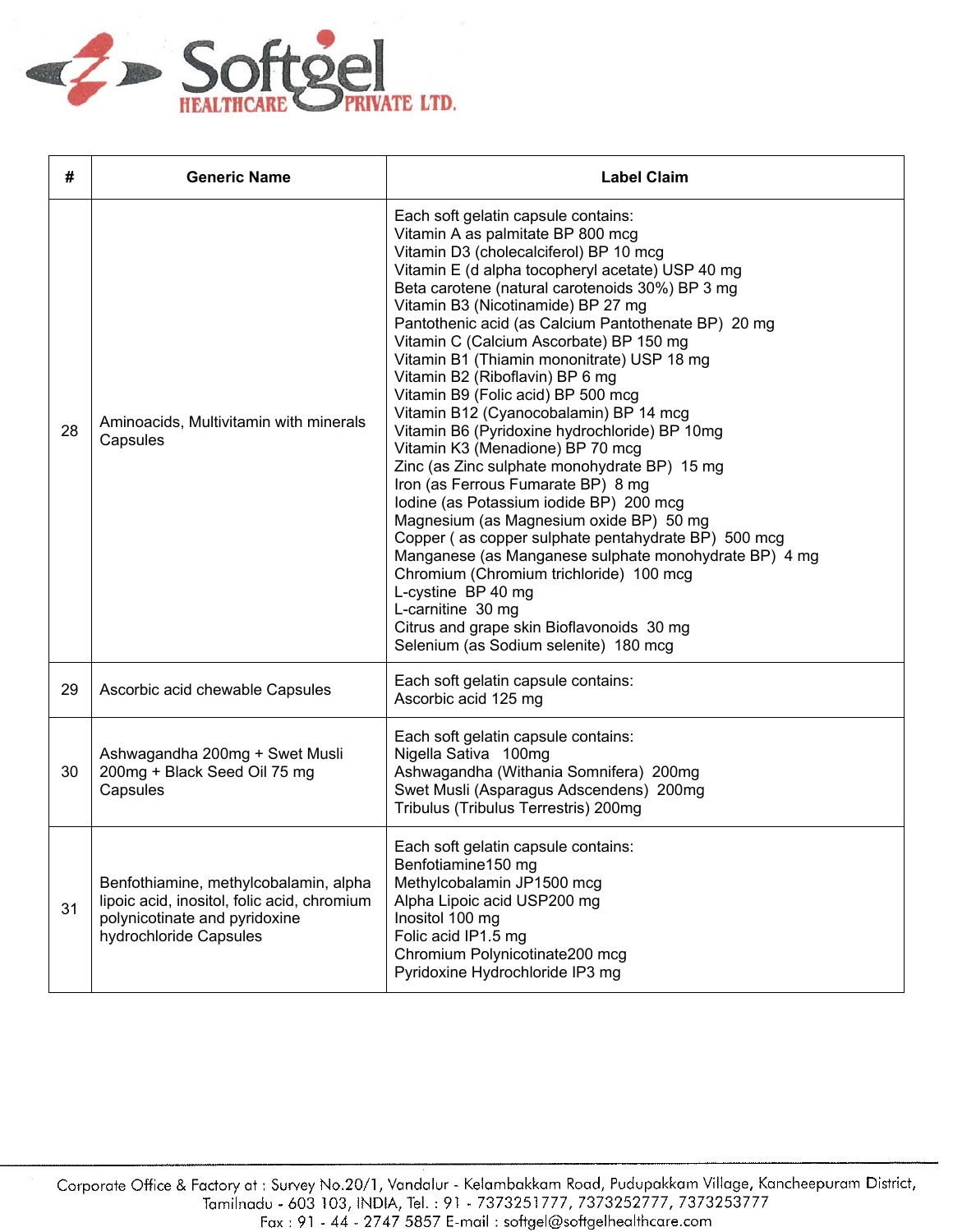

| #  | <b>Generic Name</b>                                                                                                                             | <b>Label Claim</b>                                                                                                                                                                                                                                                                                                                                                                                                                                                                                                                                                                                                                                                                                                                                                                                                                                                                                                                                                                                                                                                                              |
|----|-------------------------------------------------------------------------------------------------------------------------------------------------|-------------------------------------------------------------------------------------------------------------------------------------------------------------------------------------------------------------------------------------------------------------------------------------------------------------------------------------------------------------------------------------------------------------------------------------------------------------------------------------------------------------------------------------------------------------------------------------------------------------------------------------------------------------------------------------------------------------------------------------------------------------------------------------------------------------------------------------------------------------------------------------------------------------------------------------------------------------------------------------------------------------------------------------------------------------------------------------------------|
| 28 | Aminoacids, Multivitamin with minerals<br>Capsules                                                                                              | Each soft gelatin capsule contains:<br>Vitamin A as palmitate BP 800 mcg<br>Vitamin D3 (cholecalciferol) BP 10 mcg<br>Vitamin E (d alpha tocopheryl acetate) USP 40 mg<br>Beta carotene (natural carotenoids 30%) BP 3 mg<br>Vitamin B3 (Nicotinamide) BP 27 mg<br>Pantothenic acid (as Calcium Pantothenate BP) 20 mg<br>Vitamin C (Calcium Ascorbate) BP 150 mg<br>Vitamin B1 (Thiamin mononitrate) USP 18 mg<br>Vitamin B2 (Riboflavin) BP 6 mg<br>Vitamin B9 (Folic acid) BP 500 mcg<br>Vitamin B12 (Cyanocobalamin) BP 14 mcg<br>Vitamin B6 (Pyridoxine hydrochloride) BP 10mg<br>Vitamin K3 (Menadione) BP 70 mcg<br>Zinc (as Zinc sulphate monohydrate BP) 15 mg<br>Iron (as Ferrous Fumarate BP) 8 mg<br>Iodine (as Potassium iodide BP) 200 mcg<br>Magnesium (as Magnesium oxide BP) 50 mg<br>Copper (as copper sulphate pentahydrate BP) 500 mcg<br>Manganese (as Manganese sulphate monohydrate BP) 4 mg<br>Chromium (Chromium trichloride) 100 mcg<br>L-cystine BP 40 mg<br>L-carnitine 30 mg<br>Citrus and grape skin Bioflavonoids 30 mg<br>Selenium (as Sodium selenite) 180 mcg |
| 29 | Ascorbic acid chewable Capsules                                                                                                                 | Each soft gelatin capsule contains:<br>Ascorbic acid 125 mg                                                                                                                                                                                                                                                                                                                                                                                                                                                                                                                                                                                                                                                                                                                                                                                                                                                                                                                                                                                                                                     |
| 30 | Ashwagandha 200mg + Swet Musli<br>200mg + Black Seed Oil 75 mg<br>Capsules                                                                      | Each soft gelatin capsule contains:<br>Nigella Sativa 100mg<br>Ashwagandha (Withania Somnifera) 200mg<br>Swet Musli (Asparagus Adscendens) 200mg<br>Tribulus (Tribulus Terrestris) 200mg                                                                                                                                                                                                                                                                                                                                                                                                                                                                                                                                                                                                                                                                                                                                                                                                                                                                                                        |
| 31 | Benfothiamine, methylcobalamin, alpha<br>lipoic acid, inositol, folic acid, chromium<br>polynicotinate and pyridoxine<br>hydrochloride Capsules | Each soft gelatin capsule contains:<br>Benfotiamine150 mg<br>Methylcobalamin JP1500 mcg<br>Alpha Lipoic acid USP200 mg<br>Inositol 100 mg<br>Folic acid IP1.5 mg<br>Chromium Polynicotinate200 mcg<br>Pyridoxine Hydrochloride IP3 mg                                                                                                                                                                                                                                                                                                                                                                                                                                                                                                                                                                                                                                                                                                                                                                                                                                                           |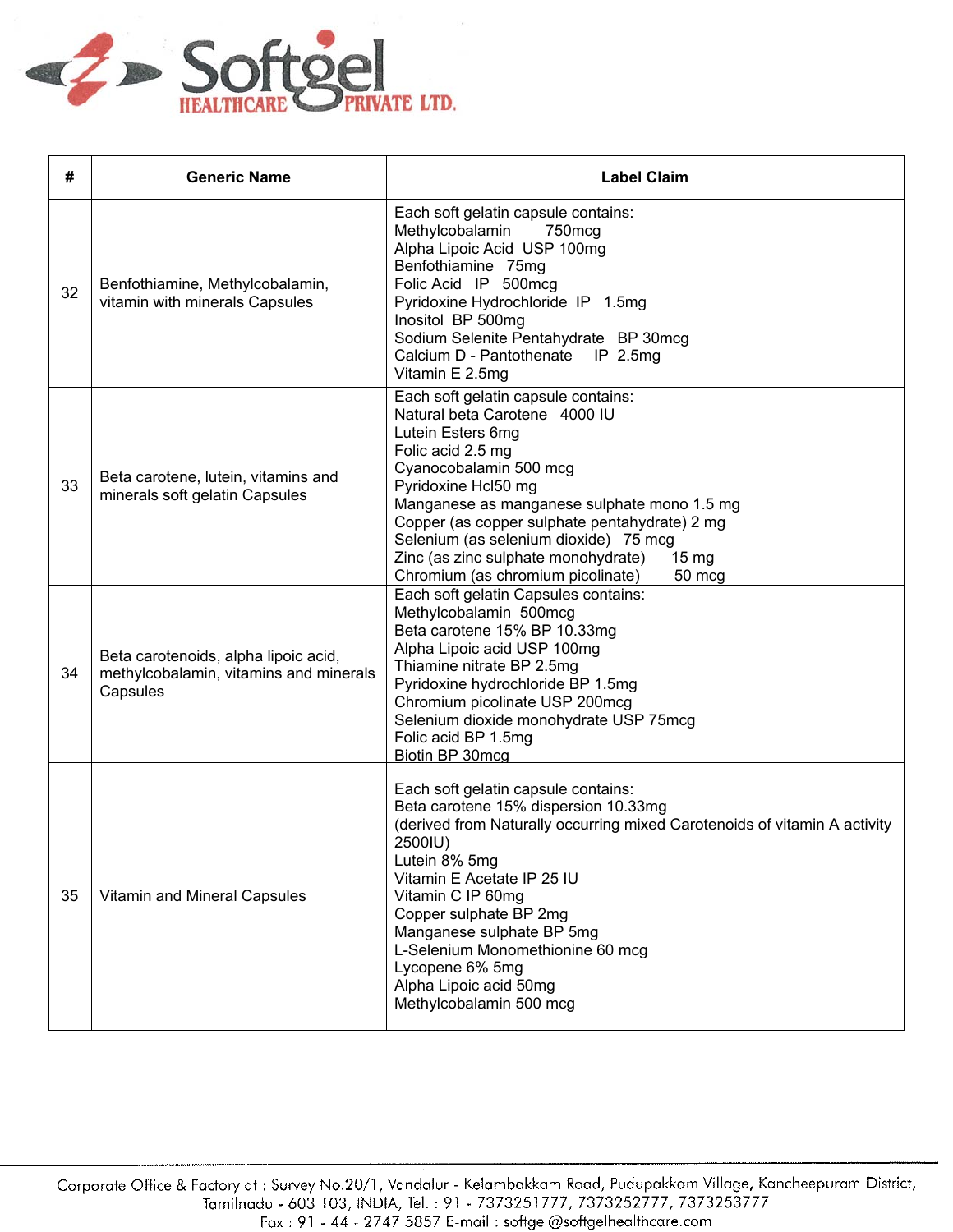

| #  | <b>Generic Name</b>                                                                        | <b>Label Claim</b>                                                                                                                                                                                                                                                                                                                                                                                                |
|----|--------------------------------------------------------------------------------------------|-------------------------------------------------------------------------------------------------------------------------------------------------------------------------------------------------------------------------------------------------------------------------------------------------------------------------------------------------------------------------------------------------------------------|
| 32 | Benfothiamine, Methylcobalamin,<br>vitamin with minerals Capsules                          | Each soft gelatin capsule contains:<br>Methylcobalamin<br>750mcg<br>Alpha Lipoic Acid USP 100mg<br>Benfothiamine 75mg<br>Folic Acid IP 500mcg<br>Pyridoxine Hydrochloride IP 1.5mg<br>Inositol BP 500mg<br>Sodium Selenite Pentahydrate BP 30mcg<br>Calcium D - Pantothenate IP 2.5mg<br>Vitamin E 2.5mg                                                                                                          |
| 33 | Beta carotene, lutein, vitamins and<br>minerals soft gelatin Capsules                      | Each soft gelatin capsule contains:<br>Natural beta Carotene 4000 IU<br>Lutein Esters 6mg<br>Folic acid 2.5 mg<br>Cyanocobalamin 500 mcg<br>Pyridoxine Hcl50 mg<br>Manganese as manganese sulphate mono 1.5 mg<br>Copper (as copper sulphate pentahydrate) 2 mg<br>Selenium (as selenium dioxide) 75 mcg<br>Zinc (as zinc sulphate monohydrate)<br>$15 \text{ mg}$<br>Chromium (as chromium picolinate)<br>50 mcg |
| 34 | Beta carotenoids, alpha lipoic acid,<br>methylcobalamin, vitamins and minerals<br>Capsules | Each soft gelatin Capsules contains:<br>Methylcobalamin 500mcg<br>Beta carotene 15% BP 10.33mg<br>Alpha Lipoic acid USP 100mg<br>Thiamine nitrate BP 2.5mg<br>Pyridoxine hydrochloride BP 1.5mg<br>Chromium picolinate USP 200mcg<br>Selenium dioxide monohydrate USP 75mcg<br>Folic acid BP 1.5mg<br>Biotin BP 30mcq                                                                                             |
| 35 | Vitamin and Mineral Capsules                                                               | Each soft gelatin capsule contains:<br>Beta carotene 15% dispersion 10.33mg<br>(derived from Naturally occurring mixed Carotenoids of vitamin A activity<br>2500IU)<br>Lutein 8% 5mg<br>Vitamin E Acetate IP 25 IU<br>Vitamin C IP 60mg<br>Copper sulphate BP 2mg<br>Manganese sulphate BP 5mg<br>L-Selenium Monomethionine 60 mcg<br>Lycopene 6% 5mg<br>Alpha Lipoic acid 50mg<br>Methylcobalamin 500 mcg        |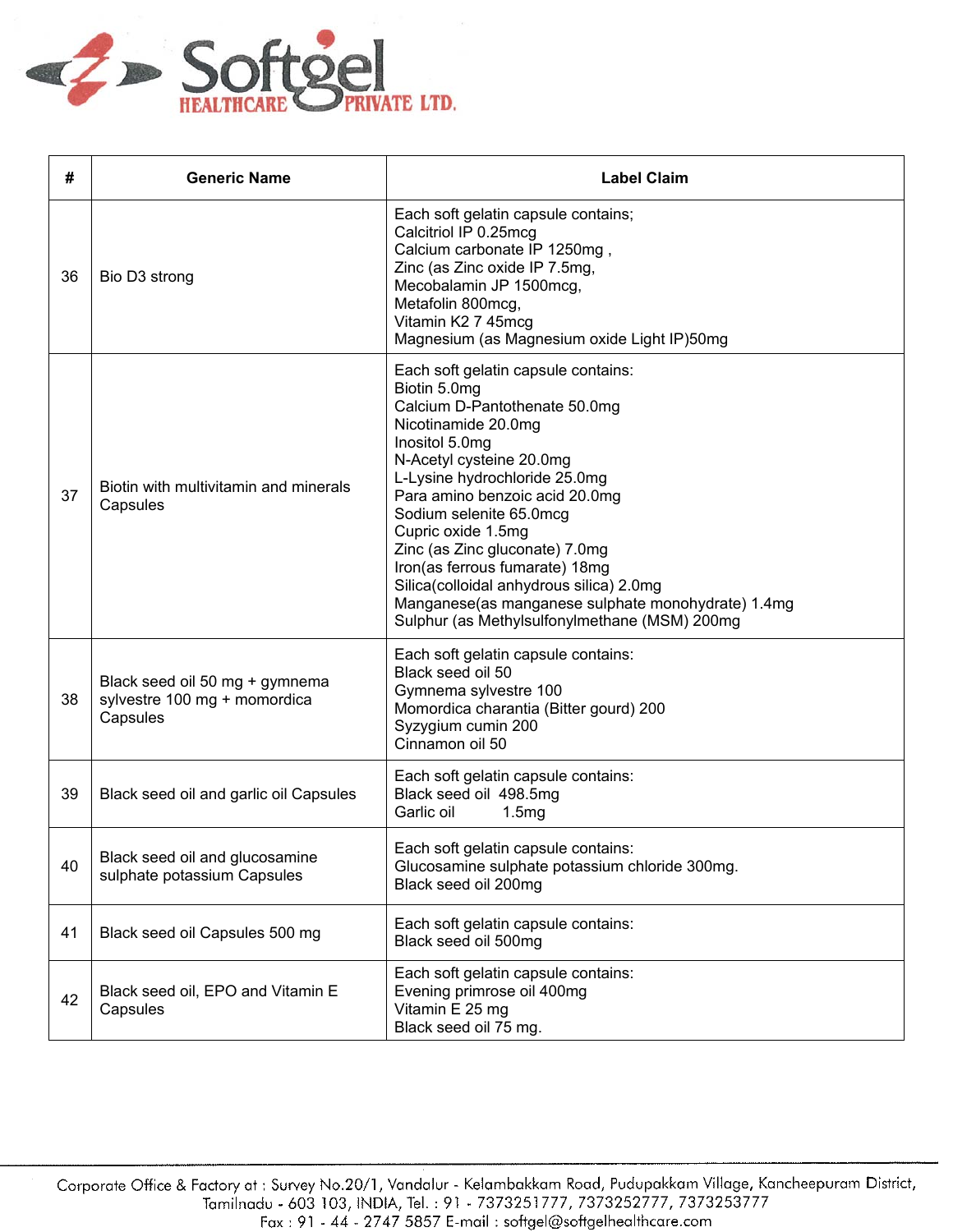

| #  | <b>Generic Name</b>                                                        | <b>Label Claim</b>                                                                                                                                                                                                                                                                                                                                                                                                                                                                                   |
|----|----------------------------------------------------------------------------|------------------------------------------------------------------------------------------------------------------------------------------------------------------------------------------------------------------------------------------------------------------------------------------------------------------------------------------------------------------------------------------------------------------------------------------------------------------------------------------------------|
| 36 | Bio D3 strong                                                              | Each soft gelatin capsule contains;<br>Calcitriol IP 0.25mcg<br>Calcium carbonate IP 1250mg,<br>Zinc (as Zinc oxide IP 7.5mg,<br>Mecobalamin JP 1500mcg,<br>Metafolin 800mcg,<br>Vitamin K2 7 45mcg<br>Magnesium (as Magnesium oxide Light IP)50mg                                                                                                                                                                                                                                                   |
| 37 | Biotin with multivitamin and minerals<br>Capsules                          | Each soft gelatin capsule contains:<br>Biotin 5.0mg<br>Calcium D-Pantothenate 50.0mg<br>Nicotinamide 20.0mg<br>Inositol 5.0mg<br>N-Acetyl cysteine 20.0mg<br>L-Lysine hydrochloride 25.0mg<br>Para amino benzoic acid 20.0mg<br>Sodium selenite 65.0mcg<br>Cupric oxide 1.5mg<br>Zinc (as Zinc gluconate) 7.0mg<br>Iron(as ferrous fumarate) 18mg<br>Silica(colloidal anhydrous silica) 2.0mg<br>Manganese(as manganese sulphate monohydrate) 1.4mg<br>Sulphur (as Methylsulfonylmethane (MSM) 200mg |
| 38 | Black seed oil 50 mg + gymnema<br>sylvestre 100 mg + momordica<br>Capsules | Each soft gelatin capsule contains:<br>Black seed oil 50<br>Gymnema sylvestre 100<br>Momordica charantia (Bitter gourd) 200<br>Syzygium cumin 200<br>Cinnamon oil 50                                                                                                                                                                                                                                                                                                                                 |
| 39 | Black seed oil and garlic oil Capsules                                     | Each soft gelatin capsule contains:<br>Black seed oil 498.5mg<br>Garlic oil<br>1.5mg                                                                                                                                                                                                                                                                                                                                                                                                                 |
| 40 | Black seed oil and glucosamine<br>sulphate potassium Capsules              | Each soft gelatin capsule contains:<br>Glucosamine sulphate potassium chloride 300mg.<br>Black seed oil 200mg                                                                                                                                                                                                                                                                                                                                                                                        |
| 41 | Black seed oil Capsules 500 mg                                             | Each soft gelatin capsule contains:<br>Black seed oil 500mg                                                                                                                                                                                                                                                                                                                                                                                                                                          |
| 42 | Black seed oil, EPO and Vitamin E<br>Capsules                              | Each soft gelatin capsule contains:<br>Evening primrose oil 400mg<br>Vitamin E 25 mg<br>Black seed oil 75 mg.                                                                                                                                                                                                                                                                                                                                                                                        |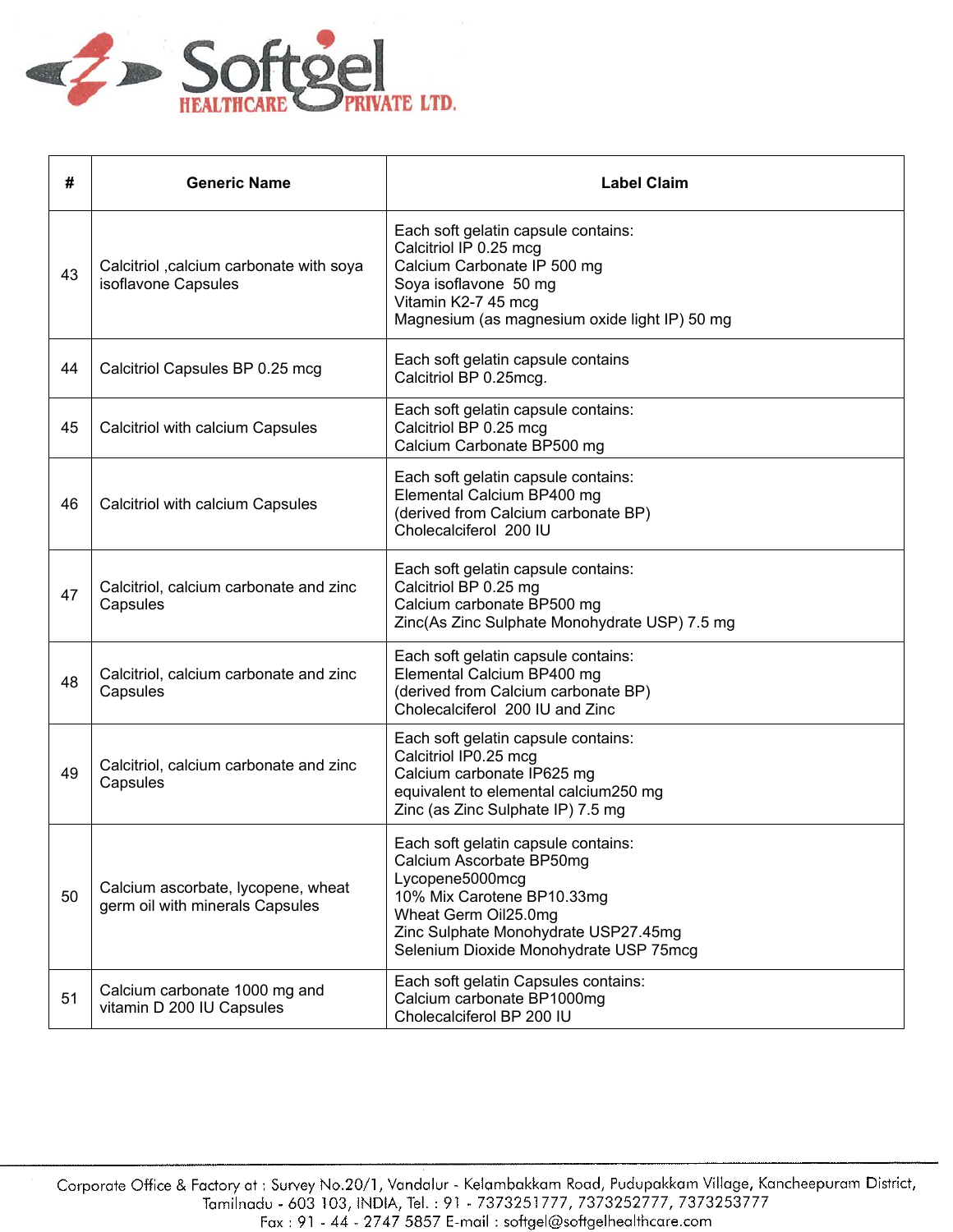

| #  | <b>Generic Name</b>                                                   | <b>Label Claim</b>                                                                                                                                                                                                         |
|----|-----------------------------------------------------------------------|----------------------------------------------------------------------------------------------------------------------------------------------------------------------------------------------------------------------------|
| 43 | Calcitriol ,calcium carbonate with soya<br>isoflavone Capsules        | Each soft gelatin capsule contains:<br>Calcitriol IP 0.25 mcg<br>Calcium Carbonate IP 500 mg<br>Soya isoflavone 50 mg<br>Vitamin K2-7 45 mcg<br>Magnesium (as magnesium oxide light IP) 50 mg                              |
| 44 | Calcitriol Capsules BP 0.25 mcg                                       | Each soft gelatin capsule contains<br>Calcitriol BP 0.25mcg.                                                                                                                                                               |
| 45 | Calcitriol with calcium Capsules                                      | Each soft gelatin capsule contains:<br>Calcitriol BP 0.25 mcg<br>Calcium Carbonate BP500 mg                                                                                                                                |
| 46 | Calcitriol with calcium Capsules                                      | Each soft gelatin capsule contains:<br>Elemental Calcium BP400 mg<br>(derived from Calcium carbonate BP)<br>Cholecalciferol 200 IU                                                                                         |
| 47 | Calcitriol, calcium carbonate and zinc<br>Capsules                    | Each soft gelatin capsule contains:<br>Calcitriol BP 0.25 mg<br>Calcium carbonate BP500 mg<br>Zinc(As Zinc Sulphate Monohydrate USP) 7.5 mg                                                                                |
| 48 | Calcitriol, calcium carbonate and zinc<br>Capsules                    | Each soft gelatin capsule contains:<br>Elemental Calcium BP400 mg<br>(derived from Calcium carbonate BP)<br>Cholecalciferol 200 IU and Zinc                                                                                |
| 49 | Calcitriol, calcium carbonate and zinc<br>Capsules                    | Each soft gelatin capsule contains:<br>Calcitriol IP0.25 mcg<br>Calcium carbonate IP625 mg<br>equivalent to elemental calcium250 mg<br>Zinc (as Zinc Sulphate IP) 7.5 mg                                                   |
| 50 | Calcium ascorbate, lycopene, wheat<br>germ oil with minerals Capsules | Each soft gelatin capsule contains:<br>Calcium Ascorbate BP50mg<br>Lycopene5000mcg<br>10% Mix Carotene BP10.33mg<br>Wheat Germ Oil25.0mg<br>Zinc Sulphate Monohydrate USP27.45mg<br>Selenium Dioxide Monohydrate USP 75mcg |
| 51 | Calcium carbonate 1000 mg and<br>vitamin D 200 IU Capsules            | Each soft gelatin Capsules contains:<br>Calcium carbonate BP1000mg<br>Cholecalciferol BP 200 IU                                                                                                                            |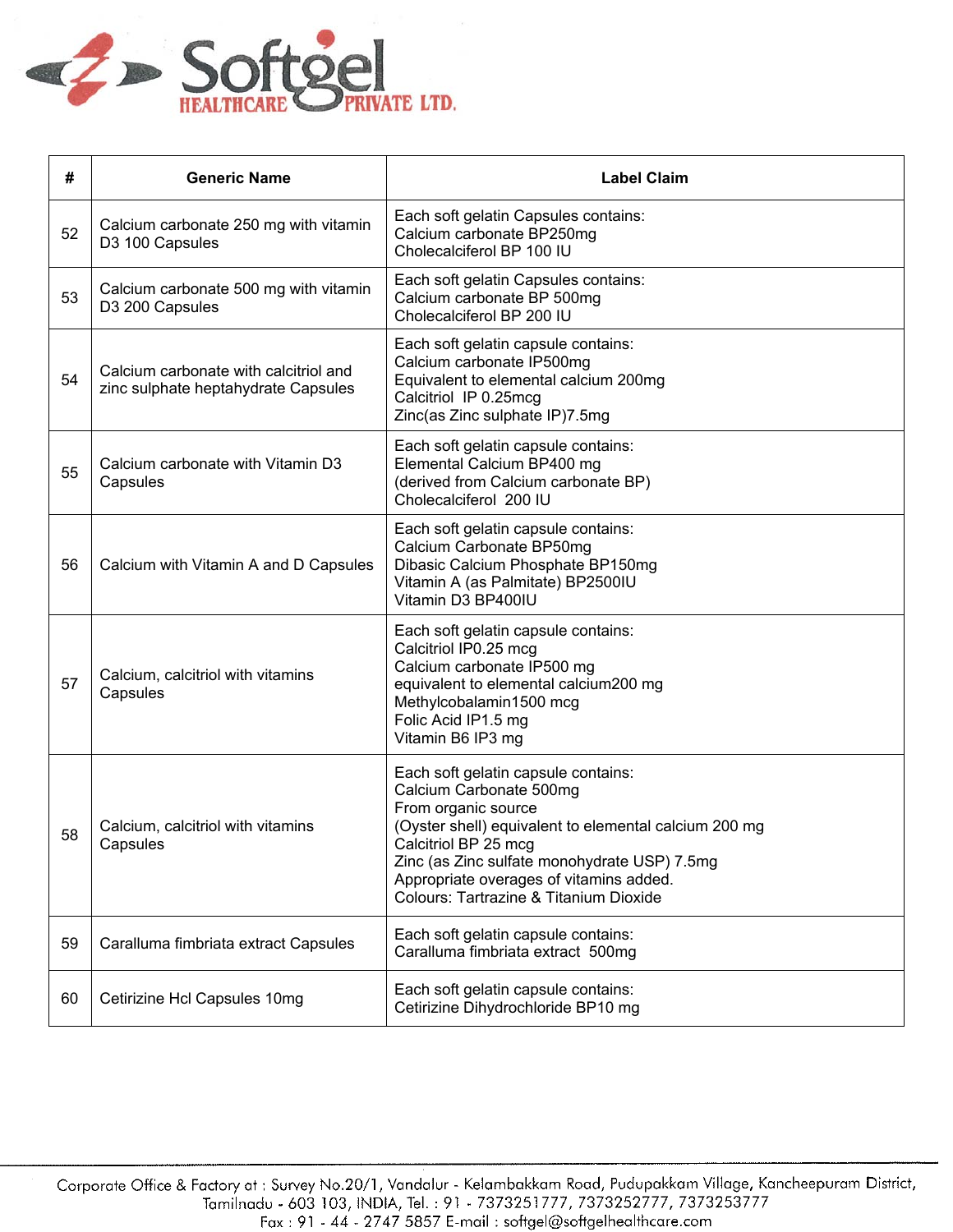

| #  | <b>Generic Name</b>                                                          | <b>Label Claim</b>                                                                                                                                                                                                                                                                                          |
|----|------------------------------------------------------------------------------|-------------------------------------------------------------------------------------------------------------------------------------------------------------------------------------------------------------------------------------------------------------------------------------------------------------|
| 52 | Calcium carbonate 250 mg with vitamin<br>D3 100 Capsules                     | Each soft gelatin Capsules contains:<br>Calcium carbonate BP250mg<br>Cholecalciferol BP 100 IU                                                                                                                                                                                                              |
| 53 | Calcium carbonate 500 mg with vitamin<br>D3 200 Capsules                     | Each soft gelatin Capsules contains:<br>Calcium carbonate BP 500mg<br>Cholecalciferol BP 200 IU                                                                                                                                                                                                             |
| 54 | Calcium carbonate with calcitriol and<br>zinc sulphate heptahydrate Capsules | Each soft gelatin capsule contains:<br>Calcium carbonate IP500mg<br>Equivalent to elemental calcium 200mg<br>Calcitriol IP 0.25mcg<br>Zinc(as Zinc sulphate IP)7.5mg                                                                                                                                        |
| 55 | Calcium carbonate with Vitamin D3<br>Capsules                                | Each soft gelatin capsule contains:<br>Elemental Calcium BP400 mg<br>(derived from Calcium carbonate BP)<br>Cholecalciferol 200 IU                                                                                                                                                                          |
| 56 | Calcium with Vitamin A and D Capsules                                        | Each soft gelatin capsule contains:<br>Calcium Carbonate BP50mg<br>Dibasic Calcium Phosphate BP150mg<br>Vitamin A (as Palmitate) BP2500IU<br>Vitamin D3 BP400IU                                                                                                                                             |
| 57 | Calcium, calcitriol with vitamins<br>Capsules                                | Each soft gelatin capsule contains:<br>Calcitriol IP0.25 mcg<br>Calcium carbonate IP500 mg<br>equivalent to elemental calcium200 mg<br>Methylcobalamin1500 mcg<br>Folic Acid IP1.5 mg<br>Vitamin B6 IP3 mg                                                                                                  |
| 58 | Calcium, calcitriol with vitamins<br>Capsules                                | Each soft gelatin capsule contains:<br>Calcium Carbonate 500mg<br>From organic source<br>(Oyster shell) equivalent to elemental calcium 200 mg<br>Calcitriol BP 25 mcg<br>Zinc (as Zinc sulfate monohydrate USP) 7.5mg<br>Appropriate overages of vitamins added.<br>Colours: Tartrazine & Titanium Dioxide |
| 59 | Caralluma fimbriata extract Capsules                                         | Each soft gelatin capsule contains:<br>Caralluma fimbriata extract 500mg                                                                                                                                                                                                                                    |
| 60 | Cetirizine Hcl Capsules 10mg                                                 | Each soft gelatin capsule contains:<br>Cetirizine Dihydrochloride BP10 mg                                                                                                                                                                                                                                   |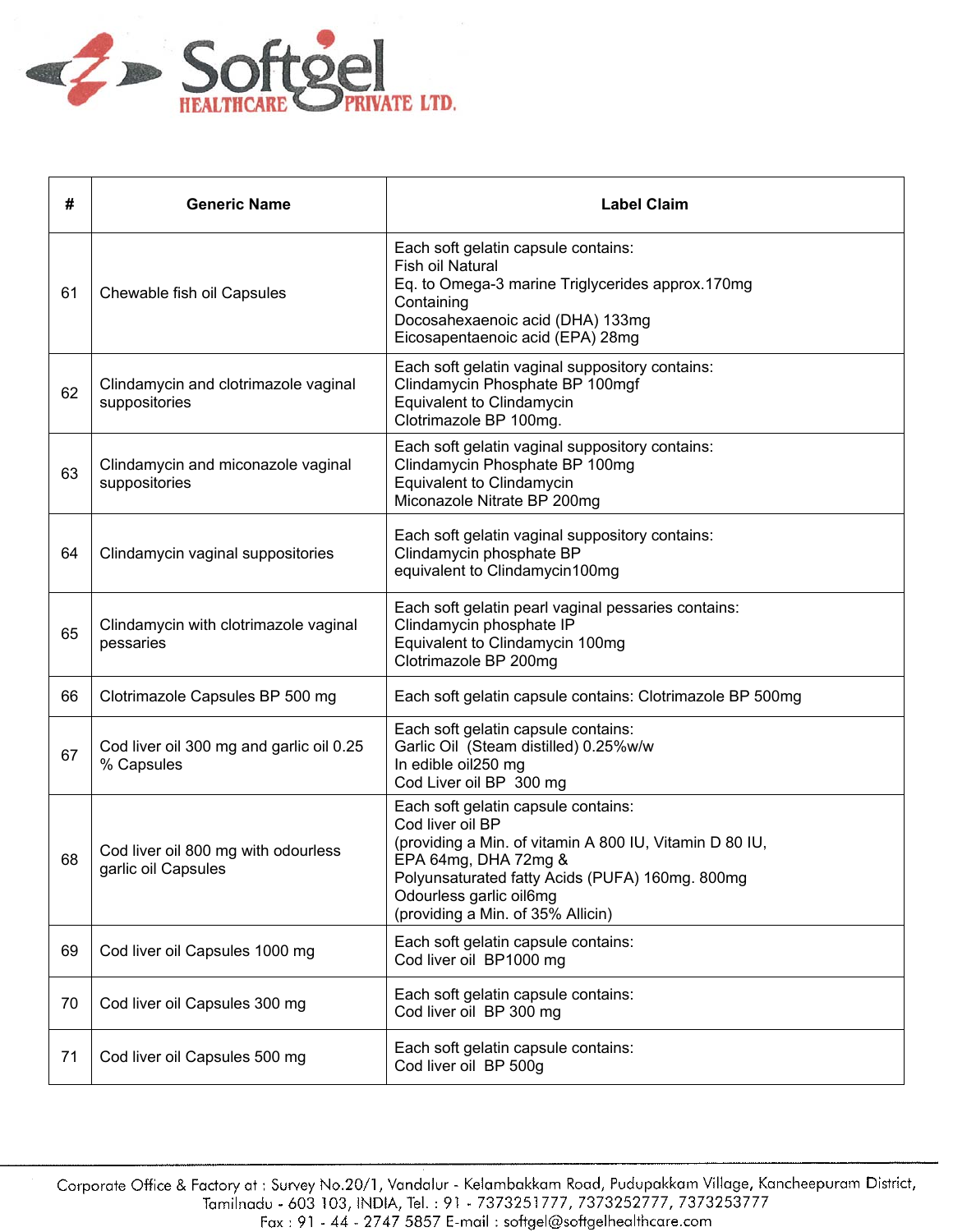

| #  | <b>Generic Name</b>                                        | <b>Label Claim</b>                                                                                                                                                                                                                                            |
|----|------------------------------------------------------------|---------------------------------------------------------------------------------------------------------------------------------------------------------------------------------------------------------------------------------------------------------------|
| 61 | Chewable fish oil Capsules                                 | Each soft gelatin capsule contains:<br>Fish oil Natural<br>Eq. to Omega-3 marine Triglycerides approx.170mg<br>Containing<br>Docosahexaenoic acid (DHA) 133mg<br>Eicosapentaenoic acid (EPA) 28mg                                                             |
| 62 | Clindamycin and clotrimazole vaginal<br>suppositories      | Each soft gelatin vaginal suppository contains:<br>Clindamycin Phosphate BP 100mgf<br>Equivalent to Clindamycin<br>Clotrimazole BP 100mg.                                                                                                                     |
| 63 | Clindamycin and miconazole vaginal<br>suppositories        | Each soft gelatin vaginal suppository contains:<br>Clindamycin Phosphate BP 100mg<br>Equivalent to Clindamycin<br>Miconazole Nitrate BP 200mg                                                                                                                 |
| 64 | Clindamycin vaginal suppositories                          | Each soft gelatin vaginal suppository contains:<br>Clindamycin phosphate BP<br>equivalent to Clindamycin100mg                                                                                                                                                 |
| 65 | Clindamycin with clotrimazole vaginal<br>pessaries         | Each soft gelatin pearl vaginal pessaries contains:<br>Clindamycin phosphate IP<br>Equivalent to Clindamycin 100mg<br>Clotrimazole BP 200mg                                                                                                                   |
| 66 | Clotrimazole Capsules BP 500 mg                            | Each soft gelatin capsule contains: Clotrimazole BP 500mg                                                                                                                                                                                                     |
| 67 | Cod liver oil 300 mg and garlic oil 0.25<br>% Capsules     | Each soft gelatin capsule contains:<br>Garlic Oil (Steam distilled) 0.25%w/w<br>In edible oil250 mg<br>Cod Liver oil BP 300 mg                                                                                                                                |
| 68 | Cod liver oil 800 mg with odourless<br>garlic oil Capsules | Each soft gelatin capsule contains:<br>Cod liver oil BP<br>(providing a Min. of vitamin A 800 IU, Vitamin D 80 IU,<br>EPA 64mg, DHA 72mg &<br>Polyunsaturated fatty Acids (PUFA) 160mg. 800mg<br>Odourless garlic oil6mg<br>(providing a Min. of 35% Allicin) |
| 69 | Cod liver oil Capsules 1000 mg                             | Each soft gelatin capsule contains:<br>Cod liver oil BP1000 mg                                                                                                                                                                                                |
| 70 | Cod liver oil Capsules 300 mg                              | Each soft gelatin capsule contains:<br>Cod liver oil BP 300 mg                                                                                                                                                                                                |
| 71 | Cod liver oil Capsules 500 mg                              | Each soft gelatin capsule contains:<br>Cod liver oil BP 500g                                                                                                                                                                                                  |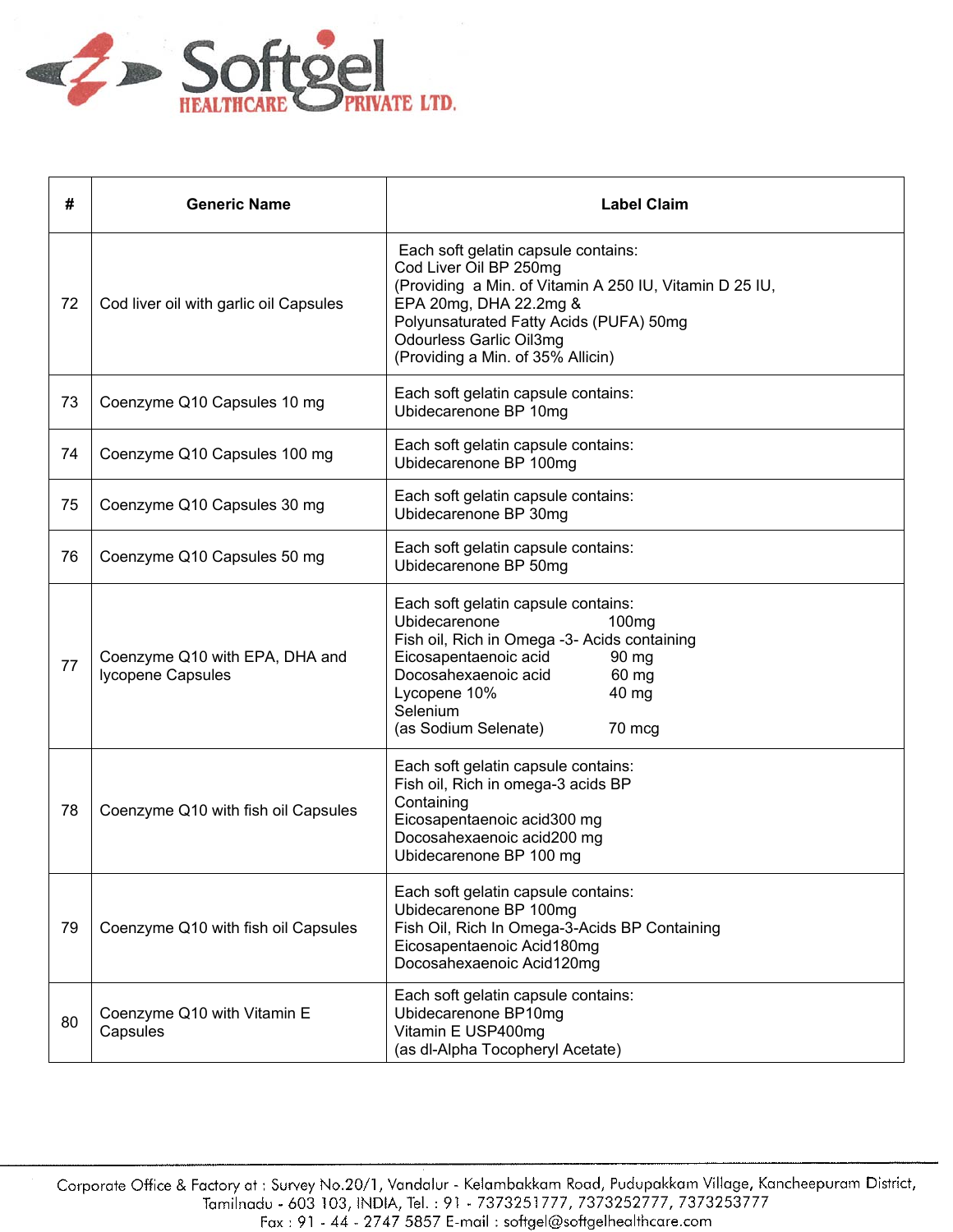

| #  | <b>Generic Name</b>                                 | <b>Label Claim</b>                                                                                                                                                                                                                                                  |
|----|-----------------------------------------------------|---------------------------------------------------------------------------------------------------------------------------------------------------------------------------------------------------------------------------------------------------------------------|
| 72 | Cod liver oil with garlic oil Capsules              | Each soft gelatin capsule contains:<br>Cod Liver Oil BP 250mg<br>(Providing a Min. of Vitamin A 250 IU, Vitamin D 25 IU,<br>EPA 20mg, DHA 22.2mg &<br>Polyunsaturated Fatty Acids (PUFA) 50mg<br>Odourless Garlic Oil3mg<br>(Providing a Min. of 35% Allicin)       |
| 73 | Coenzyme Q10 Capsules 10 mg                         | Each soft gelatin capsule contains:<br>Ubidecarenone BP 10mg                                                                                                                                                                                                        |
| 74 | Coenzyme Q10 Capsules 100 mg                        | Each soft gelatin capsule contains:<br>Ubidecarenone BP 100mg                                                                                                                                                                                                       |
| 75 | Coenzyme Q10 Capsules 30 mg                         | Each soft gelatin capsule contains:<br>Ubidecarenone BP 30mg                                                                                                                                                                                                        |
| 76 | Coenzyme Q10 Capsules 50 mg                         | Each soft gelatin capsule contains:<br>Ubidecarenone BP 50mg                                                                                                                                                                                                        |
| 77 | Coenzyme Q10 with EPA, DHA and<br>Iycopene Capsules | Each soft gelatin capsule contains:<br>Ubidecarenone<br>100 <sub>mg</sub><br>Fish oil, Rich in Omega -3- Acids containing<br>Eicosapentaenoic acid<br>90 mg<br>Docosahexaenoic acid<br>60 mg<br>Lycopene 10%<br>40 mg<br>Selenium<br>(as Sodium Selenate)<br>70 mcg |
| 78 | Coenzyme Q10 with fish oil Capsules                 | Each soft gelatin capsule contains:<br>Fish oil, Rich in omega-3 acids BP<br>Containing<br>Eicosapentaenoic acid300 mg<br>Docosahexaenoic acid200 mg<br>Ubidecarenone BP 100 mg                                                                                     |
| 79 | Coenzyme Q10 with fish oil Capsules                 | Each soft gelatin capsule contains:<br>Ubidecarenone BP 100mg<br>Fish Oil, Rich In Omega-3-Acids BP Containing<br>Eicosapentaenoic Acid180mg<br>Docosahexaenoic Acid120mg                                                                                           |
| 80 | Coenzyme Q10 with Vitamin E<br>Capsules             | Each soft gelatin capsule contains:<br>Ubidecarenone BP10mg<br>Vitamin E USP400mg<br>(as dl-Alpha Tocopheryl Acetate)                                                                                                                                               |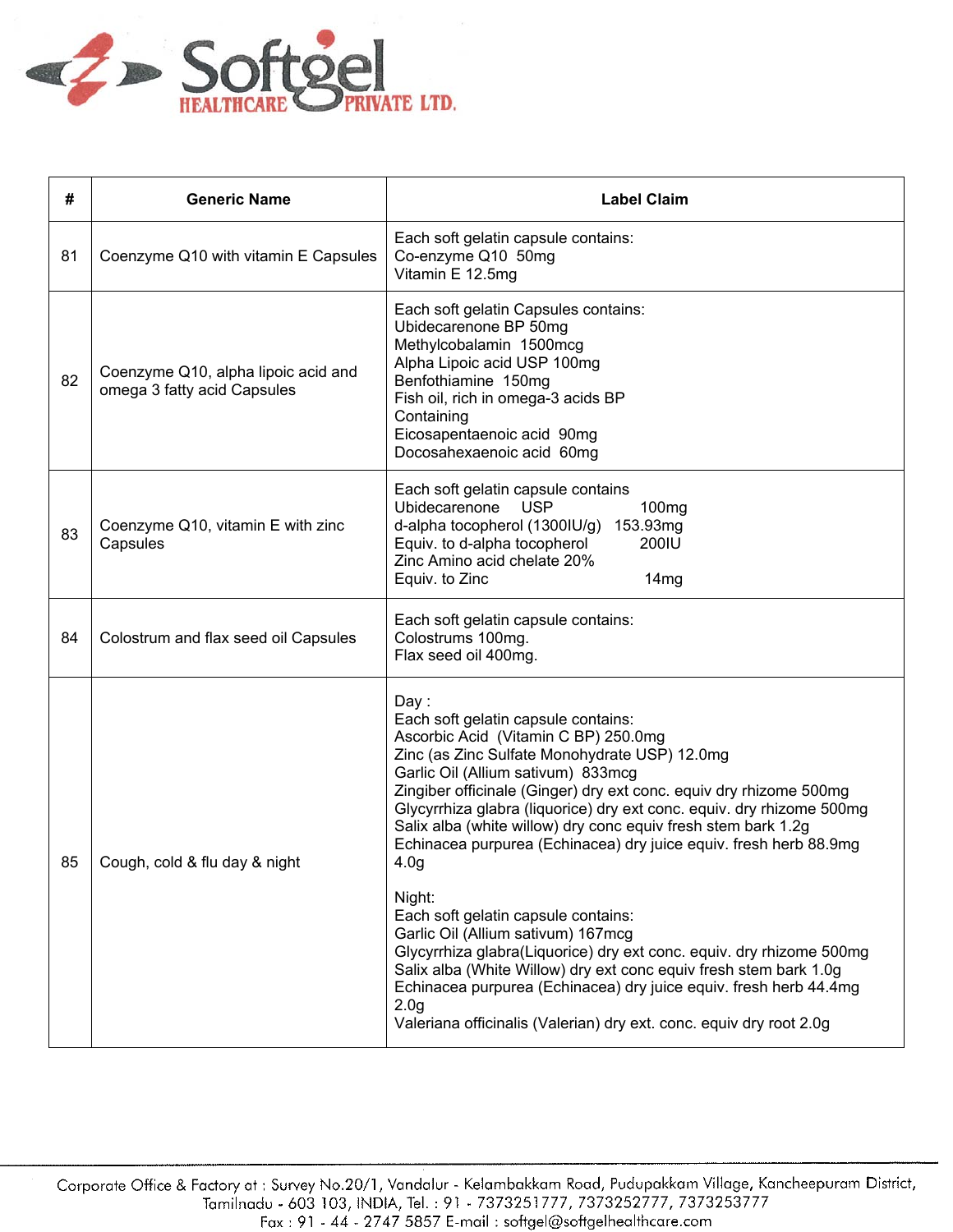

| #  | <b>Generic Name</b>                                                | <b>Label Claim</b>                                                                                                                                                                                                                                                                                                                                                                                                                                                                                                                                                                                                                                                                                                                                                                                                                                                                      |
|----|--------------------------------------------------------------------|-----------------------------------------------------------------------------------------------------------------------------------------------------------------------------------------------------------------------------------------------------------------------------------------------------------------------------------------------------------------------------------------------------------------------------------------------------------------------------------------------------------------------------------------------------------------------------------------------------------------------------------------------------------------------------------------------------------------------------------------------------------------------------------------------------------------------------------------------------------------------------------------|
| 81 | Coenzyme Q10 with vitamin E Capsules                               | Each soft gelatin capsule contains:<br>Co-enzyme Q10 50mg<br>Vitamin E 12.5mg                                                                                                                                                                                                                                                                                                                                                                                                                                                                                                                                                                                                                                                                                                                                                                                                           |
| 82 | Coenzyme Q10, alpha lipoic acid and<br>omega 3 fatty acid Capsules | Each soft gelatin Capsules contains:<br>Ubidecarenone BP 50mg<br>Methylcobalamin 1500mcg<br>Alpha Lipoic acid USP 100mg<br>Benfothiamine 150mg<br>Fish oil, rich in omega-3 acids BP<br>Containing<br>Eicosapentaenoic acid 90mg<br>Docosahexaenoic acid 60mg                                                                                                                                                                                                                                                                                                                                                                                                                                                                                                                                                                                                                           |
| 83 | Coenzyme Q10, vitamin E with zinc<br>Capsules                      | Each soft gelatin capsule contains<br>Ubidecarenone<br><b>USP</b><br>100 <sub>mg</sub><br>d-alpha tocopherol (1300IU/g)<br>153.93mg<br>Equiv. to d-alpha tocopherol<br>200IU<br>Zinc Amino acid chelate 20%<br>Equiv. to Zinc<br>14mg                                                                                                                                                                                                                                                                                                                                                                                                                                                                                                                                                                                                                                                   |
| 84 | Colostrum and flax seed oil Capsules                               | Each soft gelatin capsule contains:<br>Colostrums 100mg.<br>Flax seed oil 400mg.                                                                                                                                                                                                                                                                                                                                                                                                                                                                                                                                                                                                                                                                                                                                                                                                        |
| 85 | Cough, cold & flu day & night                                      | Day:<br>Each soft gelatin capsule contains:<br>Ascorbic Acid (Vitamin C BP) 250.0mg<br>Zinc (as Zinc Sulfate Monohydrate USP) 12.0mg<br>Garlic Oil (Allium sativum) 833mcg<br>Zingiber officinale (Ginger) dry ext conc. equiv dry rhizome 500mg<br>Glycyrrhiza glabra (liquorice) dry ext conc. equiv. dry rhizome 500mg<br>Salix alba (white willow) dry conc equiv fresh stem bark 1.2g<br>Echinacea purpurea (Echinacea) dry juice equiv. fresh herb 88.9mg<br>4.0 <sub>g</sub><br>Night:<br>Each soft gelatin capsule contains:<br>Garlic Oil (Allium sativum) 167mcg<br>Glycyrrhiza glabra(Liquorice) dry ext conc. equiv. dry rhizome 500mg<br>Salix alba (White Willow) dry ext conc equiv fresh stem bark 1.0g<br>Echinacea purpurea (Echinacea) dry juice equiv. fresh herb 44.4mg<br>2.0 <sub>g</sub><br>Valeriana officinalis (Valerian) dry ext. conc. equiv dry root 2.0g |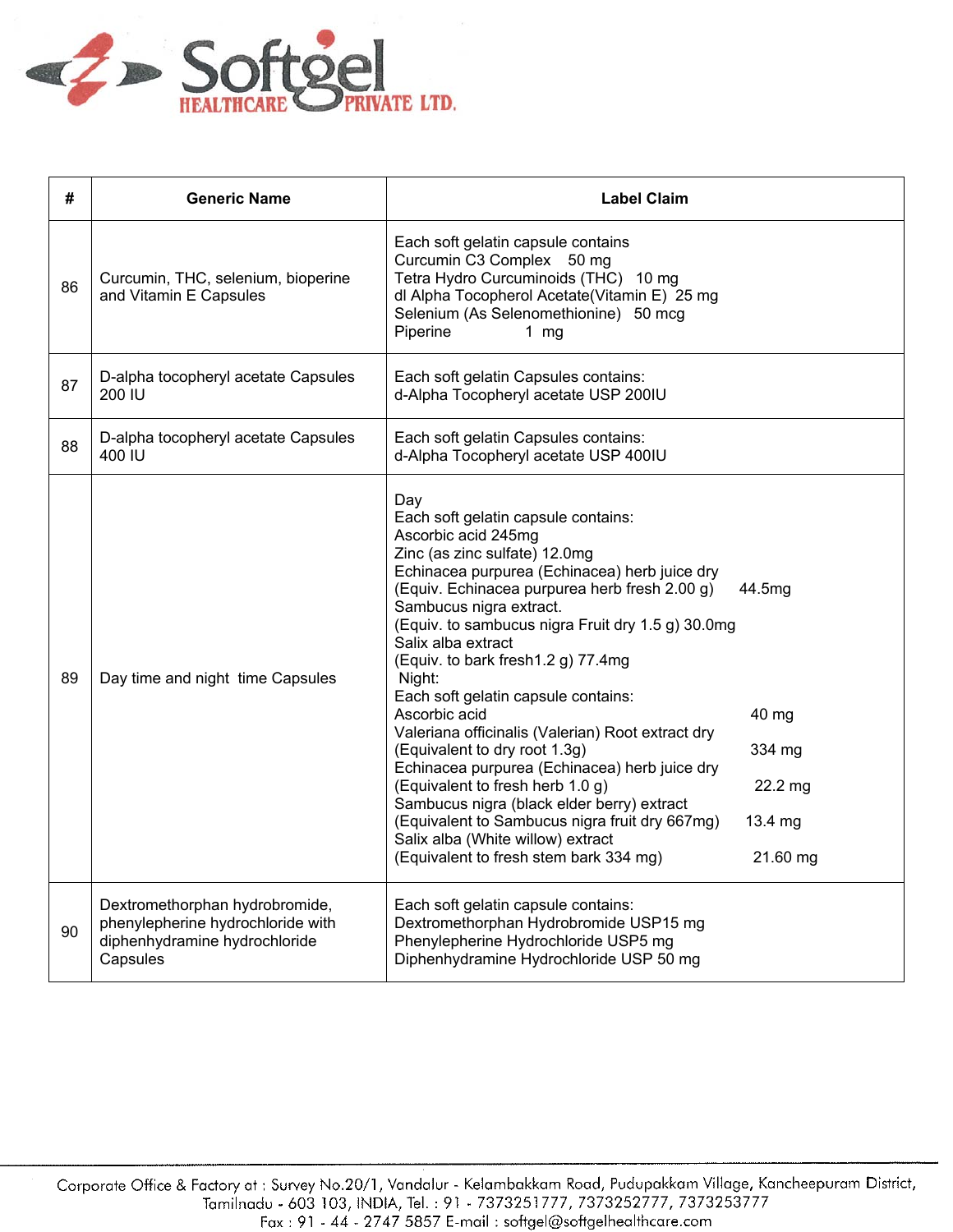

| #  | <b>Generic Name</b>                                                                                              | Label Claim                                                                                                                                                                                                                                                                                                                                                                                                                                                                                                                                                                                                                                                                                                                                                                                                                                           |
|----|------------------------------------------------------------------------------------------------------------------|-------------------------------------------------------------------------------------------------------------------------------------------------------------------------------------------------------------------------------------------------------------------------------------------------------------------------------------------------------------------------------------------------------------------------------------------------------------------------------------------------------------------------------------------------------------------------------------------------------------------------------------------------------------------------------------------------------------------------------------------------------------------------------------------------------------------------------------------------------|
| 86 | Curcumin, THC, selenium, bioperine<br>and Vitamin E Capsules                                                     | Each soft gelatin capsule contains<br>Curcumin C3 Complex 50 mg<br>Tetra Hydro Curcuminoids (THC) 10 mg<br>dl Alpha Tocopherol Acetate(Vitamin E) 25 mg<br>Selenium (As Selenomethionine) 50 mcg<br>Piperine<br>1 $mg$                                                                                                                                                                                                                                                                                                                                                                                                                                                                                                                                                                                                                                |
| 87 | D-alpha tocopheryl acetate Capsules<br>200 IU                                                                    | Each soft gelatin Capsules contains:<br>d-Alpha Tocopheryl acetate USP 200IU                                                                                                                                                                                                                                                                                                                                                                                                                                                                                                                                                                                                                                                                                                                                                                          |
| 88 | D-alpha tocopheryl acetate Capsules<br>400 IU                                                                    | Each soft gelatin Capsules contains:<br>d-Alpha Tocopheryl acetate USP 400IU                                                                                                                                                                                                                                                                                                                                                                                                                                                                                                                                                                                                                                                                                                                                                                          |
| 89 | Day time and night time Capsules                                                                                 | Day<br>Each soft gelatin capsule contains:<br>Ascorbic acid 245mg<br>Zinc (as zinc sulfate) 12.0mg<br>Echinacea purpurea (Echinacea) herb juice dry<br>(Equiv. Echinacea purpurea herb fresh 2.00 g)<br>44.5mg<br>Sambucus nigra extract.<br>(Equiv. to sambucus nigra Fruit dry 1.5 g) 30.0mg<br>Salix alba extract<br>(Equiv. to bark fresh1.2 g) 77.4mg<br>Night:<br>Each soft gelatin capsule contains:<br>Ascorbic acid<br>40 mg<br>Valeriana officinalis (Valerian) Root extract dry<br>(Equivalent to dry root 1.3g)<br>334 mg<br>Echinacea purpurea (Echinacea) herb juice dry<br>(Equivalent to fresh herb 1.0 g)<br>$22.2 \text{ mg}$<br>Sambucus nigra (black elder berry) extract<br>(Equivalent to Sambucus nigra fruit dry 667mg)<br>13.4 mg<br>Salix alba (White willow) extract<br>(Equivalent to fresh stem bark 334 mg)<br>21.60 mg |
| 90 | Dextromethorphan hydrobromide,<br>phenylepherine hydrochloride with<br>diphenhydramine hydrochloride<br>Capsules | Each soft gelatin capsule contains:<br>Dextromethorphan Hydrobromide USP15 mg<br>Phenylepherine Hydrochloride USP5 mg<br>Diphenhydramine Hydrochloride USP 50 mg                                                                                                                                                                                                                                                                                                                                                                                                                                                                                                                                                                                                                                                                                      |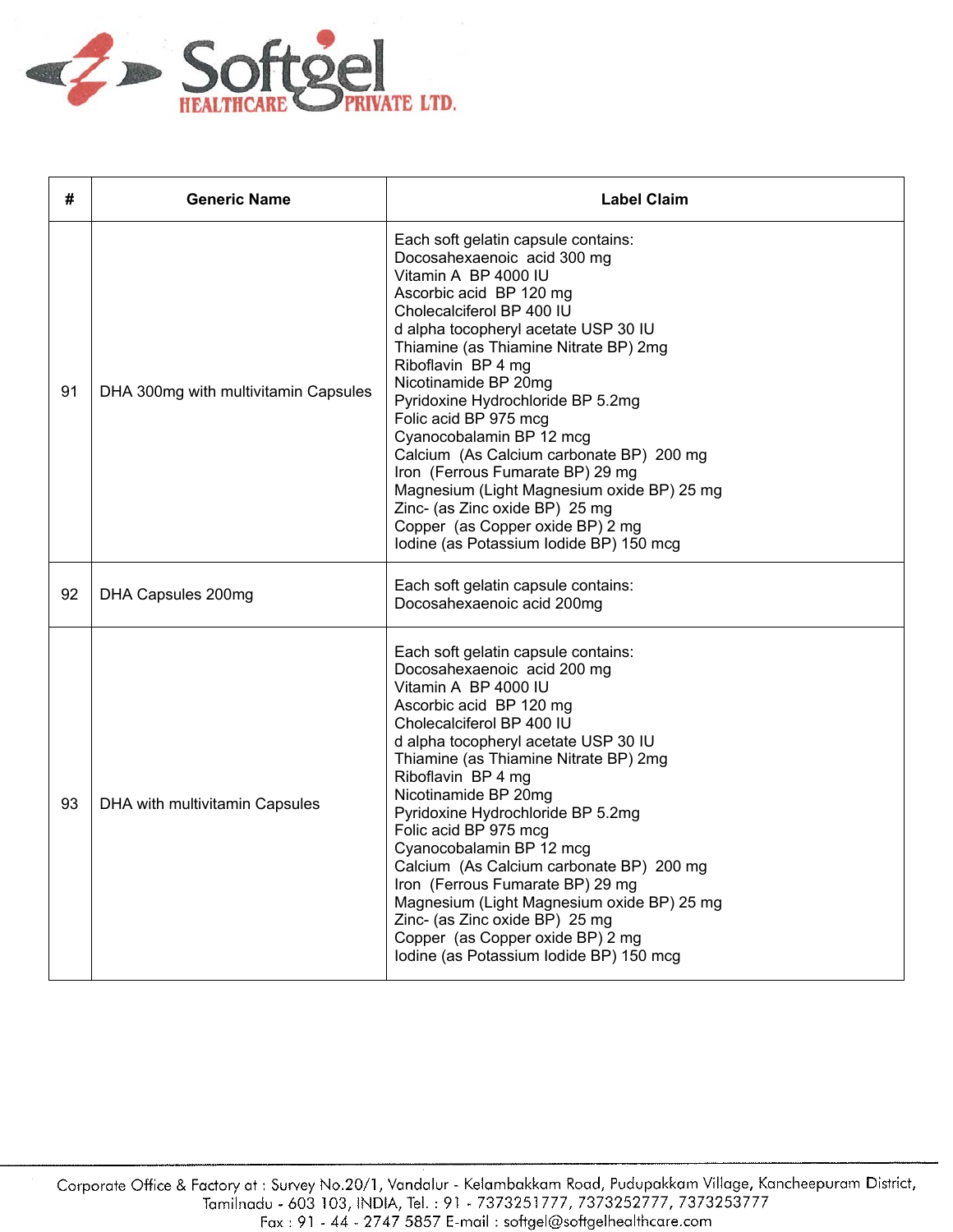

| #  | <b>Generic Name</b>                  | <b>Label Claim</b>                                                                                                                                                                                                                                                                                                                                                                                                                                                                                                                                                                                                         |
|----|--------------------------------------|----------------------------------------------------------------------------------------------------------------------------------------------------------------------------------------------------------------------------------------------------------------------------------------------------------------------------------------------------------------------------------------------------------------------------------------------------------------------------------------------------------------------------------------------------------------------------------------------------------------------------|
| 91 | DHA 300mg with multivitamin Capsules | Each soft gelatin capsule contains:<br>Docosahexaenoic acid 300 mg<br>Vitamin A BP 4000 IU<br>Ascorbic acid BP 120 mg<br>Cholecalciferol BP 400 IU<br>d alpha tocopheryl acetate USP 30 IU<br>Thiamine (as Thiamine Nitrate BP) 2mg<br>Riboflavin BP 4 mg<br>Nicotinamide BP 20mg<br>Pyridoxine Hydrochloride BP 5.2mg<br>Folic acid BP 975 mcg<br>Cyanocobalamin BP 12 mcg<br>Calcium (As Calcium carbonate BP) 200 mg<br>Iron (Ferrous Fumarate BP) 29 mg<br>Magnesium (Light Magnesium oxide BP) 25 mg<br>Zinc- (as Zinc oxide BP) 25 mg<br>Copper (as Copper oxide BP) 2 mg<br>Iodine (as Potassium Iodide BP) 150 mcg |
| 92 | DHA Capsules 200mg                   | Each soft gelatin capsule contains:<br>Docosahexaenoic acid 200mg                                                                                                                                                                                                                                                                                                                                                                                                                                                                                                                                                          |
| 93 | DHA with multivitamin Capsules       | Each soft gelatin capsule contains:<br>Docosahexaenoic acid 200 mg<br>Vitamin A BP 4000 IU<br>Ascorbic acid BP 120 mg<br>Cholecalciferol BP 400 IU<br>d alpha tocopheryl acetate USP 30 IU<br>Thiamine (as Thiamine Nitrate BP) 2mg<br>Riboflavin BP 4 mg<br>Nicotinamide BP 20mg<br>Pyridoxine Hydrochloride BP 5.2mg<br>Folic acid BP 975 mcg<br>Cyanocobalamin BP 12 mcg<br>Calcium (As Calcium carbonate BP) 200 mg<br>Iron (Ferrous Fumarate BP) 29 mg<br>Magnesium (Light Magnesium oxide BP) 25 mg<br>Zinc- (as Zinc oxide BP) 25 mg<br>Copper (as Copper oxide BP) 2 mg<br>Iodine (as Potassium Iodide BP) 150 mcg |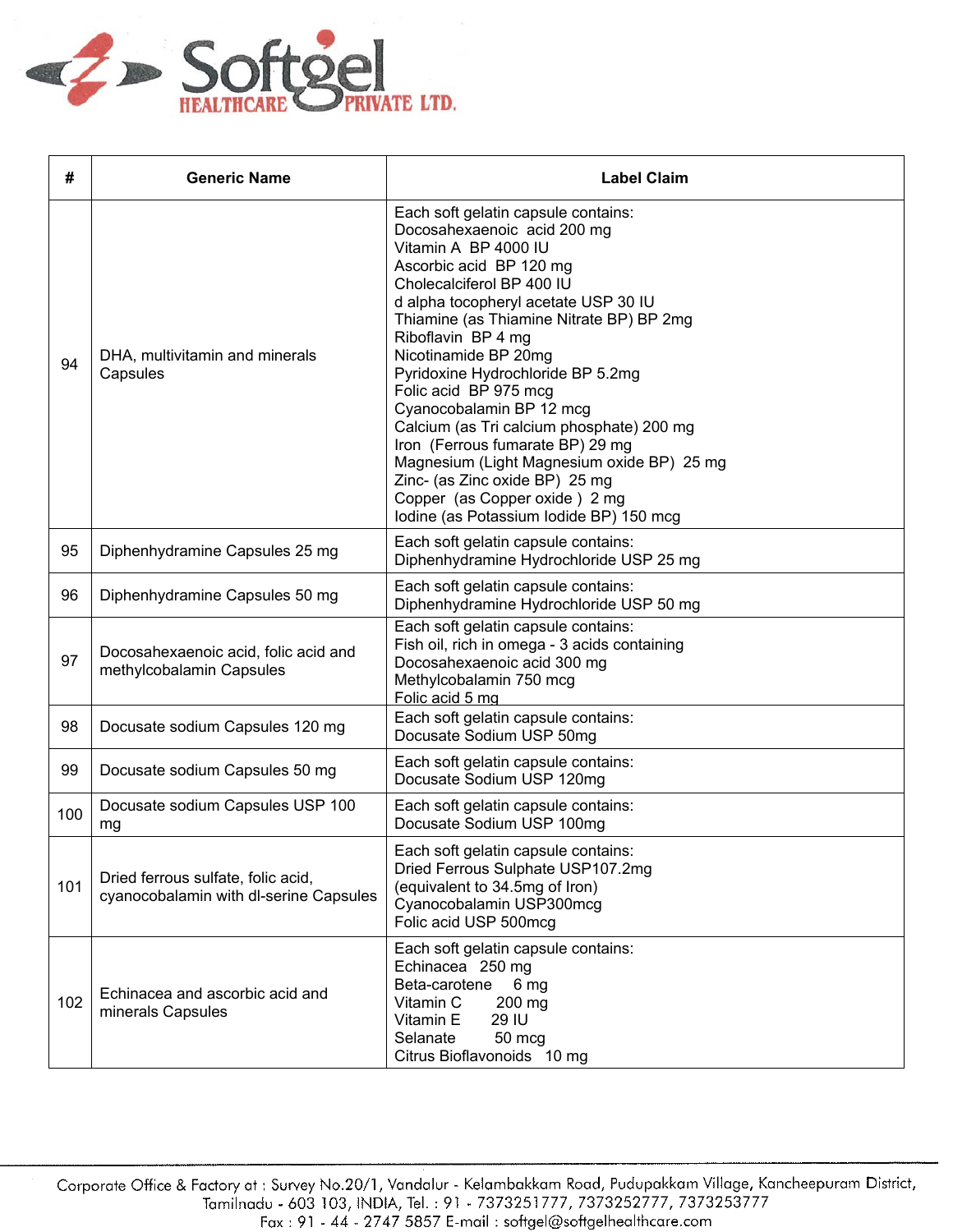

| #   | <b>Generic Name</b>                                                          | <b>Label Claim</b>                                                                                                                                                                                                                                                                                                                                                                                                                                                                                                                                                                                                          |
|-----|------------------------------------------------------------------------------|-----------------------------------------------------------------------------------------------------------------------------------------------------------------------------------------------------------------------------------------------------------------------------------------------------------------------------------------------------------------------------------------------------------------------------------------------------------------------------------------------------------------------------------------------------------------------------------------------------------------------------|
| 94  | DHA, multivitamin and minerals<br>Capsules                                   | Each soft gelatin capsule contains:<br>Docosahexaenoic acid 200 mg<br>Vitamin A BP 4000 IU<br>Ascorbic acid BP 120 mg<br>Cholecalciferol BP 400 IU<br>d alpha tocopheryl acetate USP 30 IU<br>Thiamine (as Thiamine Nitrate BP) BP 2mg<br>Riboflavin BP 4 mg<br>Nicotinamide BP 20mg<br>Pyridoxine Hydrochloride BP 5.2mg<br>Folic acid BP 975 mcg<br>Cyanocobalamin BP 12 mcg<br>Calcium (as Tri calcium phosphate) 200 mg<br>Iron (Ferrous fumarate BP) 29 mg<br>Magnesium (Light Magnesium oxide BP) 25 mg<br>Zinc- (as Zinc oxide BP) 25 mg<br>Copper (as Copper oxide) 2 mg<br>Iodine (as Potassium Iodide BP) 150 mcg |
| 95  | Diphenhydramine Capsules 25 mg                                               | Each soft gelatin capsule contains:<br>Diphenhydramine Hydrochloride USP 25 mg                                                                                                                                                                                                                                                                                                                                                                                                                                                                                                                                              |
| 96  | Diphenhydramine Capsules 50 mg                                               | Each soft gelatin capsule contains:<br>Diphenhydramine Hydrochloride USP 50 mg                                                                                                                                                                                                                                                                                                                                                                                                                                                                                                                                              |
| 97  | Docosahexaenoic acid, folic acid and<br>methylcobalamin Capsules             | Each soft gelatin capsule contains:<br>Fish oil, rich in omega - 3 acids containing<br>Docosahexaenoic acid 300 mg<br>Methylcobalamin 750 mcg<br>Folic acid 5 mg                                                                                                                                                                                                                                                                                                                                                                                                                                                            |
| 98  | Docusate sodium Capsules 120 mg                                              | Each soft gelatin capsule contains:<br>Docusate Sodium USP 50mg                                                                                                                                                                                                                                                                                                                                                                                                                                                                                                                                                             |
| 99  | Docusate sodium Capsules 50 mg                                               | Each soft gelatin capsule contains:<br>Docusate Sodium USP 120mg                                                                                                                                                                                                                                                                                                                                                                                                                                                                                                                                                            |
| 100 | Docusate sodium Capsules USP 100<br>mg                                       | Each soft gelatin capsule contains:<br>Docusate Sodium USP 100mg                                                                                                                                                                                                                                                                                                                                                                                                                                                                                                                                                            |
| 101 | Dried ferrous sulfate, folic acid,<br>cyanocobalamin with dl-serine Capsules | Each soft gelatin capsule contains:<br>Dried Ferrous Sulphate USP107.2mg<br>(equivalent to 34.5mg of Iron)<br>Cyanocobalamin USP300mcg<br>Folic acid USP 500mcg                                                                                                                                                                                                                                                                                                                                                                                                                                                             |
| 102 | Echinacea and ascorbic acid and<br>minerals Capsules                         | Each soft gelatin capsule contains:<br>Echinacea 250 mg<br>Beta-carotene<br>6 mg<br>Vitamin C<br>200 mg<br><b>29 IU</b><br>Vitamin E<br>50 mcg<br>Selanate<br>Citrus Bioflavonoids 10 mg                                                                                                                                                                                                                                                                                                                                                                                                                                    |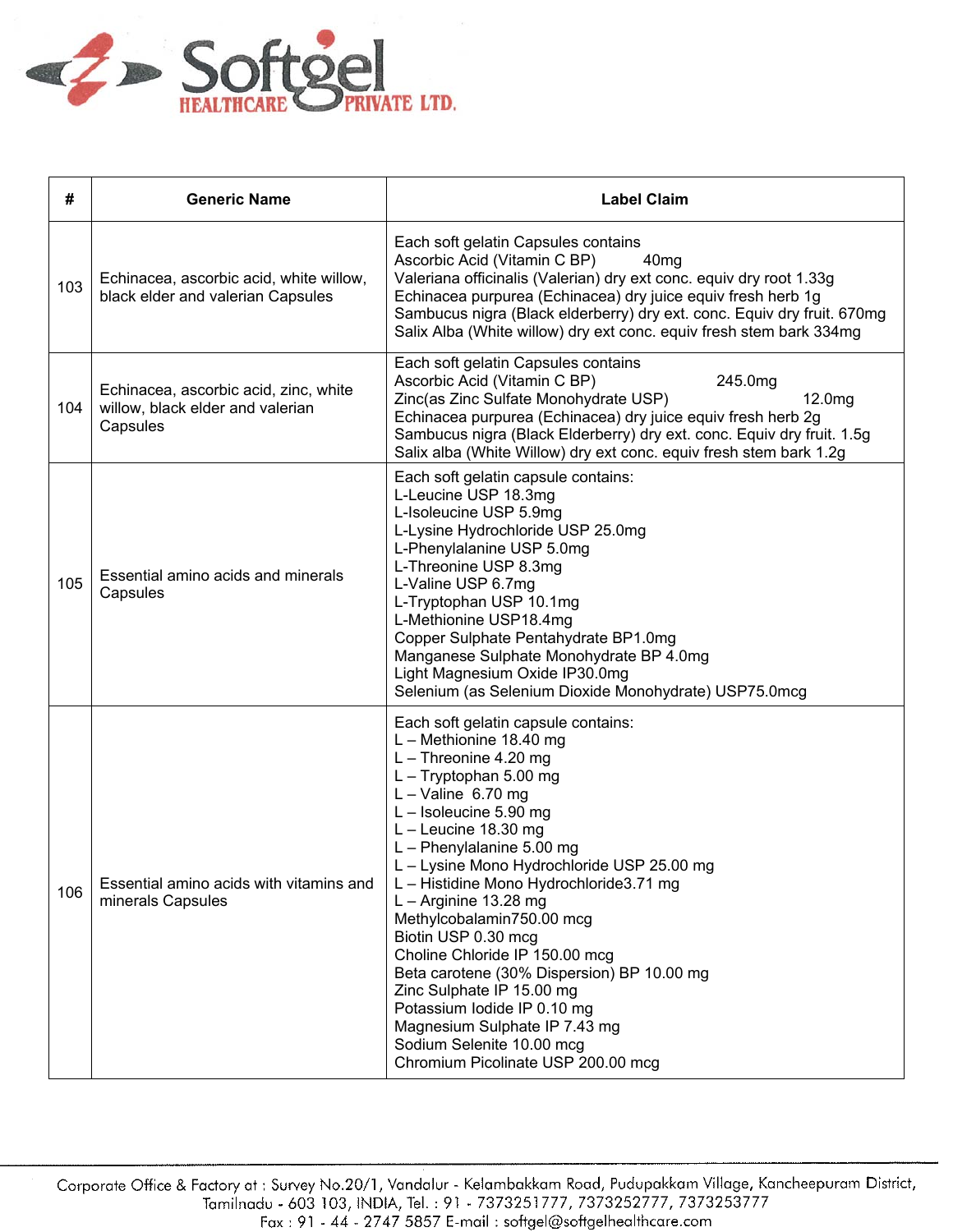

| #   | <b>Generic Name</b>                                                                   | <b>Label Claim</b>                                                                                                                                                                                                                                                                                                                                                                                                                                                                                                                                                                                                                                         |
|-----|---------------------------------------------------------------------------------------|------------------------------------------------------------------------------------------------------------------------------------------------------------------------------------------------------------------------------------------------------------------------------------------------------------------------------------------------------------------------------------------------------------------------------------------------------------------------------------------------------------------------------------------------------------------------------------------------------------------------------------------------------------|
| 103 | Echinacea, ascorbic acid, white willow,<br>black elder and valerian Capsules          | Each soft gelatin Capsules contains<br>Ascorbic Acid (Vitamin C BP)<br>40 <sub>mg</sub><br>Valeriana officinalis (Valerian) dry ext conc. equiv dry root 1.33g<br>Echinacea purpurea (Echinacea) dry juice equiv fresh herb 1g<br>Sambucus nigra (Black elderberry) dry ext. conc. Equiv dry fruit. 670mg<br>Salix Alba (White willow) dry ext conc. equiv fresh stem bark 334mg                                                                                                                                                                                                                                                                           |
| 104 | Echinacea, ascorbic acid, zinc, white<br>willow, black elder and valerian<br>Capsules | Each soft gelatin Capsules contains<br>Ascorbic Acid (Vitamin C BP)<br>245.0mg<br>Zinc(as Zinc Sulfate Monohydrate USP)<br>12.0mg<br>Echinacea purpurea (Echinacea) dry juice equiv fresh herb 2g<br>Sambucus nigra (Black Elderberry) dry ext. conc. Equiv dry fruit. 1.5g<br>Salix alba (White Willow) dry ext conc. equiv fresh stem bark 1.2g                                                                                                                                                                                                                                                                                                          |
| 105 | Essential amino acids and minerals<br>Capsules                                        | Each soft gelatin capsule contains:<br>L-Leucine USP 18.3mg<br>L-Isoleucine USP 5.9mg<br>L-Lysine Hydrochloride USP 25.0mg<br>L-Phenylalanine USP 5.0mg<br>L-Threonine USP 8.3mg<br>L-Valine USP 6.7mg<br>L-Tryptophan USP 10.1mg<br>L-Methionine USP18.4mg<br>Copper Sulphate Pentahydrate BP1.0mg<br>Manganese Sulphate Monohydrate BP 4.0mg<br>Light Magnesium Oxide IP30.0mg<br>Selenium (as Selenium Dioxide Monohydrate) USP75.0mcg                                                                                                                                                                                                                  |
| 106 | Essential amino acids with vitamins and<br>minerals Capsules                          | Each soft gelatin capsule contains:<br>$L -$ Methionine 18.40 mg<br>$L -$ Threonine 4.20 mg<br>$L - Tryptophan 5.00 mg$<br>$L -$ Valine 6.70 mg<br>L - Isoleucine 5.90 mg<br>$L -$ Leucine 18.30 mg<br>$L$ – Phenylalanine 5.00 mg<br>L - Lysine Mono Hydrochloride USP 25.00 mg<br>L - Histidine Mono Hydrochloride3.71 mg<br>$L -$ Arginine 13.28 mg<br>Methylcobalamin750.00 mcg<br>Biotin USP 0.30 mcg<br>Choline Chloride IP 150.00 mcg<br>Beta carotene (30% Dispersion) BP 10.00 mg<br>Zinc Sulphate IP 15.00 mg<br>Potassium lodide IP 0.10 mg<br>Magnesium Sulphate IP 7.43 mg<br>Sodium Selenite 10.00 mcg<br>Chromium Picolinate USP 200.00 mcg |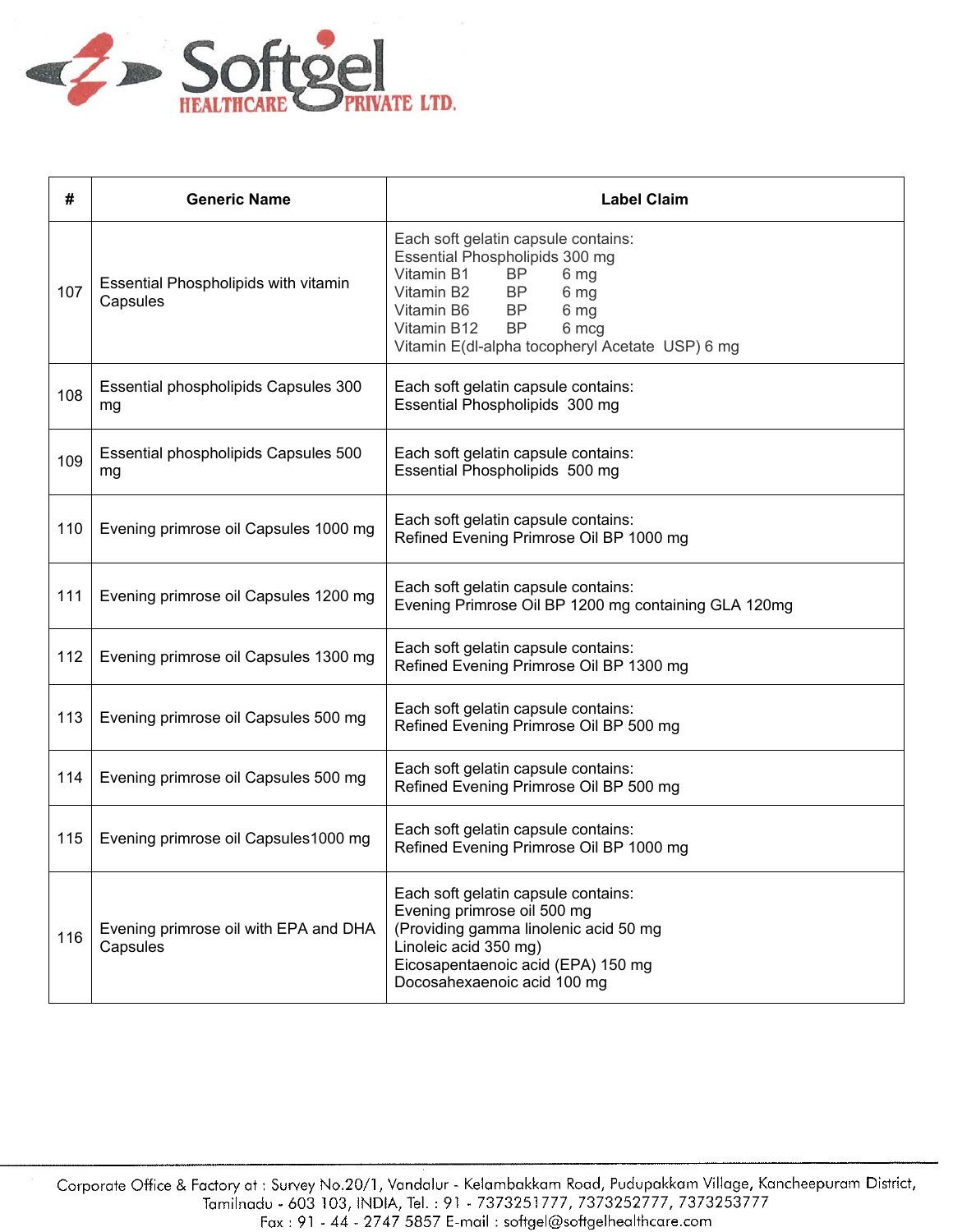

| #   | <b>Generic Name</b>                               | <b>Label Claim</b>                                                                                                                                                                                                                                                     |
|-----|---------------------------------------------------|------------------------------------------------------------------------------------------------------------------------------------------------------------------------------------------------------------------------------------------------------------------------|
| 107 | Essential Phospholipids with vitamin<br>Capsules  | Each soft gelatin capsule contains:<br>Essential Phospholipids 300 mg<br>Vitamin B1<br><b>BP</b><br>6 mg<br>Vitamin B2<br><b>BP</b><br>6 mg<br>Vitamin B6<br><b>BP</b><br>6 mg<br>Vitamin B12<br><b>BP</b><br>6 mcg<br>Vitamin E(dl-alpha tocopheryl Acetate USP) 6 mg |
| 108 | Essential phospholipids Capsules 300<br>mg        | Each soft gelatin capsule contains:<br>Essential Phospholipids 300 mg                                                                                                                                                                                                  |
| 109 | Essential phospholipids Capsules 500<br>mg        | Each soft gelatin capsule contains:<br>Essential Phospholipids 500 mg                                                                                                                                                                                                  |
| 110 | Evening primrose oil Capsules 1000 mg             | Each soft gelatin capsule contains:<br>Refined Evening Primrose Oil BP 1000 mg                                                                                                                                                                                         |
| 111 | Evening primrose oil Capsules 1200 mg             | Each soft gelatin capsule contains:<br>Evening Primrose Oil BP 1200 mg containing GLA 120mg                                                                                                                                                                            |
| 112 | Evening primrose oil Capsules 1300 mg             | Each soft gelatin capsule contains:<br>Refined Evening Primrose Oil BP 1300 mg                                                                                                                                                                                         |
| 113 | Evening primrose oil Capsules 500 mg              | Each soft gelatin capsule contains:<br>Refined Evening Primrose Oil BP 500 mg                                                                                                                                                                                          |
| 114 | Evening primrose oil Capsules 500 mg              | Each soft gelatin capsule contains:<br>Refined Evening Primrose Oil BP 500 mg                                                                                                                                                                                          |
| 115 | Evening primrose oil Capsules1000 mg              | Each soft gelatin capsule contains:<br>Refined Evening Primrose Oil BP 1000 mg                                                                                                                                                                                         |
| 116 | Evening primrose oil with EPA and DHA<br>Capsules | Each soft gelatin capsule contains:<br>Evening primrose oil 500 mg<br>(Providing gamma linolenic acid 50 mg<br>Linoleic acid 350 mg)<br>Eicosapentaenoic acid (EPA) 150 mg<br>Docosahexaenoic acid 100 mg                                                              |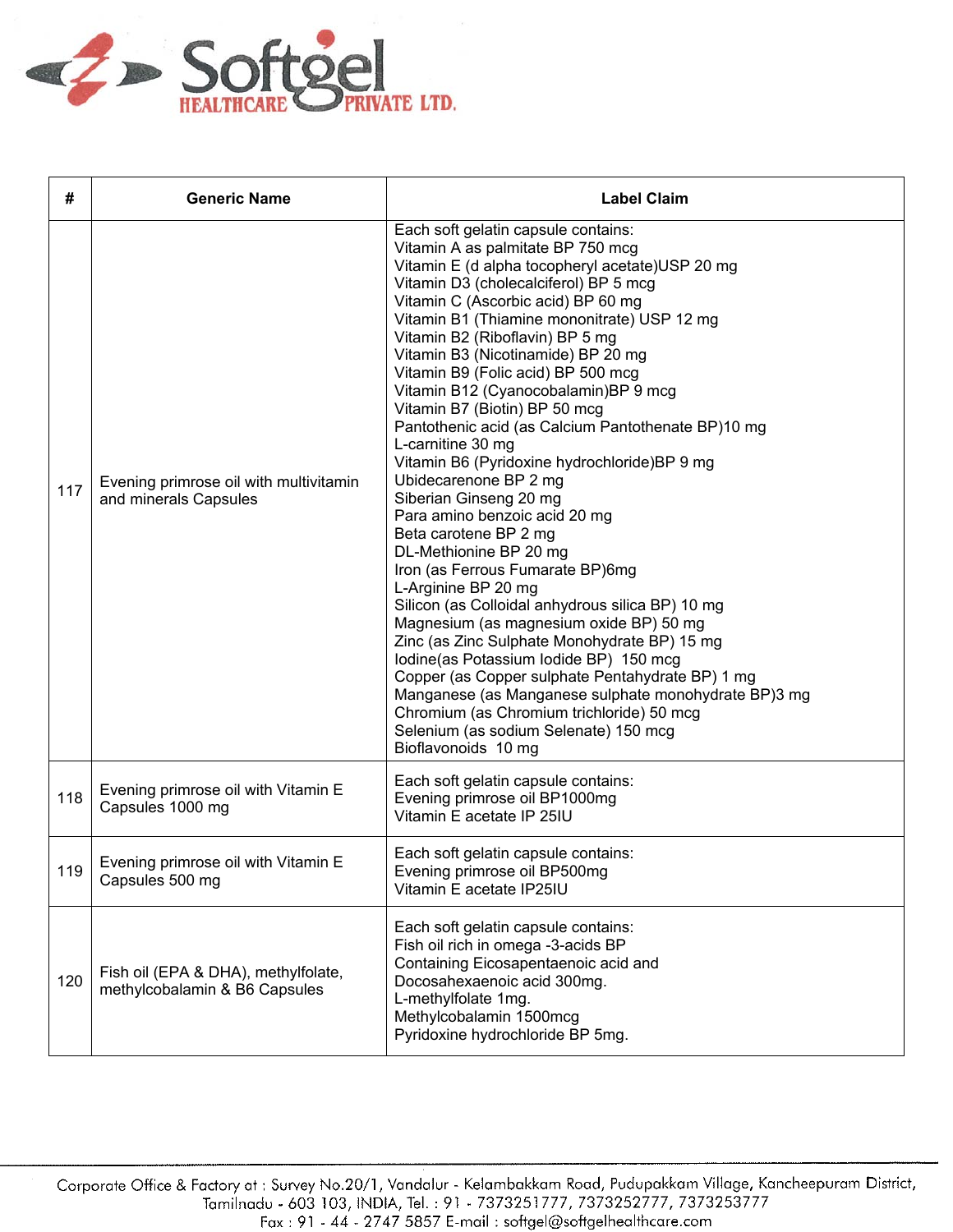

| #   | <b>Generic Name</b>                                                  | <b>Label Claim</b>                                                                                                                                                                                                                                                                                                                                                                                                                                                                                                                                                                                                                                                                                                                                                                                                                                                                                                                                                                                                                                                                                                                                                                                 |
|-----|----------------------------------------------------------------------|----------------------------------------------------------------------------------------------------------------------------------------------------------------------------------------------------------------------------------------------------------------------------------------------------------------------------------------------------------------------------------------------------------------------------------------------------------------------------------------------------------------------------------------------------------------------------------------------------------------------------------------------------------------------------------------------------------------------------------------------------------------------------------------------------------------------------------------------------------------------------------------------------------------------------------------------------------------------------------------------------------------------------------------------------------------------------------------------------------------------------------------------------------------------------------------------------|
| 117 | Evening primrose oil with multivitamin<br>and minerals Capsules      | Each soft gelatin capsule contains:<br>Vitamin A as palmitate BP 750 mcg<br>Vitamin E (d alpha tocopheryl acetate) USP 20 mg<br>Vitamin D3 (cholecalciferol) BP 5 mcg<br>Vitamin C (Ascorbic acid) BP 60 mg<br>Vitamin B1 (Thiamine mononitrate) USP 12 mg<br>Vitamin B2 (Riboflavin) BP 5 mg<br>Vitamin B3 (Nicotinamide) BP 20 mg<br>Vitamin B9 (Folic acid) BP 500 mcg<br>Vitamin B12 (Cyanocobalamin) BP 9 mcg<br>Vitamin B7 (Biotin) BP 50 mcg<br>Pantothenic acid (as Calcium Pantothenate BP)10 mg<br>L-carnitine 30 mg<br>Vitamin B6 (Pyridoxine hydrochloride)BP 9 mg<br>Ubidecarenone BP 2 mg<br>Siberian Ginseng 20 mg<br>Para amino benzoic acid 20 mg<br>Beta carotene BP 2 mg<br>DL-Methionine BP 20 mg<br>Iron (as Ferrous Fumarate BP)6mg<br>L-Arginine BP 20 mg<br>Silicon (as Colloidal anhydrous silica BP) 10 mg<br>Magnesium (as magnesium oxide BP) 50 mg<br>Zinc (as Zinc Sulphate Monohydrate BP) 15 mg<br>Iodine(as Potassium Iodide BP) 150 mcg<br>Copper (as Copper sulphate Pentahydrate BP) 1 mg<br>Manganese (as Manganese sulphate monohydrate BP)3 mg<br>Chromium (as Chromium trichloride) 50 mcg<br>Selenium (as sodium Selenate) 150 mcg<br>Bioflavonoids 10 mg |
| 118 | Evening primrose oil with Vitamin E<br>Capsules 1000 mg              | Each soft gelatin capsule contains:<br>Evening primrose oil BP1000mg<br>Vitamin E acetate IP 25IU                                                                                                                                                                                                                                                                                                                                                                                                                                                                                                                                                                                                                                                                                                                                                                                                                                                                                                                                                                                                                                                                                                  |
| 119 | Evening primrose oil with Vitamin E<br>Capsules 500 mg               | Each soft gelatin capsule contains:<br>Evening primrose oil BP500mg<br>Vitamin E acetate IP25IU                                                                                                                                                                                                                                                                                                                                                                                                                                                                                                                                                                                                                                                                                                                                                                                                                                                                                                                                                                                                                                                                                                    |
| 120 | Fish oil (EPA & DHA), methylfolate,<br>methylcobalamin & B6 Capsules | Each soft gelatin capsule contains:<br>Fish oil rich in omega -3-acids BP<br>Containing Eicosapentaenoic acid and<br>Docosahexaenoic acid 300mg.<br>L-methylfolate 1mg.<br>Methylcobalamin 1500mcg<br>Pyridoxine hydrochloride BP 5mg.                                                                                                                                                                                                                                                                                                                                                                                                                                                                                                                                                                                                                                                                                                                                                                                                                                                                                                                                                             |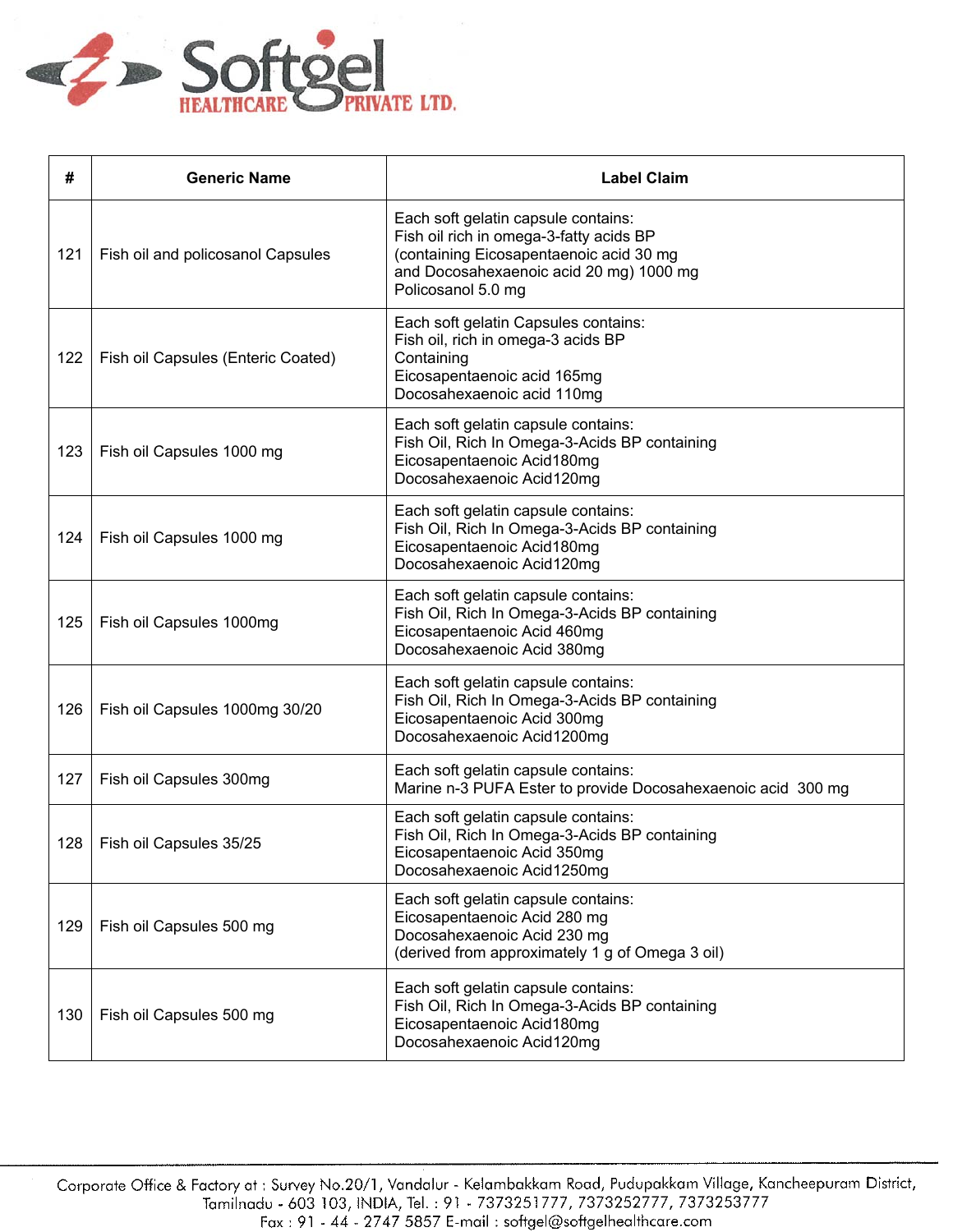

| #   | <b>Generic Name</b>                | <b>Label Claim</b>                                                                                                                                                                         |
|-----|------------------------------------|--------------------------------------------------------------------------------------------------------------------------------------------------------------------------------------------|
| 121 | Fish oil and policosanol Capsules  | Each soft gelatin capsule contains:<br>Fish oil rich in omega-3-fatty acids BP<br>(containing Eicosapentaenoic acid 30 mg<br>and Docosahexaenoic acid 20 mg) 1000 mg<br>Policosanol 5.0 mg |
| 122 | Fish oil Capsules (Enteric Coated) | Each soft gelatin Capsules contains:<br>Fish oil, rich in omega-3 acids BP<br>Containing<br>Eicosapentaenoic acid 165mg<br>Docosahexaenoic acid 110mg                                      |
| 123 | Fish oil Capsules 1000 mg          | Each soft gelatin capsule contains:<br>Fish Oil, Rich In Omega-3-Acids BP containing<br>Eicosapentaenoic Acid180mg<br>Docosahexaenoic Acid120mg                                            |
| 124 | Fish oil Capsules 1000 mg          | Each soft gelatin capsule contains:<br>Fish Oil, Rich In Omega-3-Acids BP containing<br>Eicosapentaenoic Acid180mg<br>Docosahexaenoic Acid120mg                                            |
| 125 | Fish oil Capsules 1000mg           | Each soft gelatin capsule contains:<br>Fish Oil, Rich In Omega-3-Acids BP containing<br>Eicosapentaenoic Acid 460mg<br>Docosahexaenoic Acid 380mg                                          |
| 126 | Fish oil Capsules 1000mg 30/20     | Each soft gelatin capsule contains:<br>Fish Oil, Rich In Omega-3-Acids BP containing<br>Eicosapentaenoic Acid 300mg<br>Docosahexaenoic Acid1200mg                                          |
| 127 | Fish oil Capsules 300mg            | Each soft gelatin capsule contains:<br>Marine n-3 PUFA Ester to provide Docosahexaenoic acid 300 mg                                                                                        |
| 128 | Fish oil Capsules 35/25            | Each soft gelatin capsule contains:<br>Fish Oil, Rich In Omega-3-Acids BP containing<br>Eicosapentaenoic Acid 350mg<br>Docosahexaenoic Acid1250mg                                          |
| 129 | Fish oil Capsules 500 mg           | Each soft gelatin capsule contains:<br>Eicosapentaenoic Acid 280 mg<br>Docosahexaenoic Acid 230 mg<br>(derived from approximately 1 g of Omega 3 oil)                                      |
| 130 | Fish oil Capsules 500 mg           | Each soft gelatin capsule contains:<br>Fish Oil, Rich In Omega-3-Acids BP containing<br>Eicosapentaenoic Acid180mg<br>Docosahexaenoic Acid120mg                                            |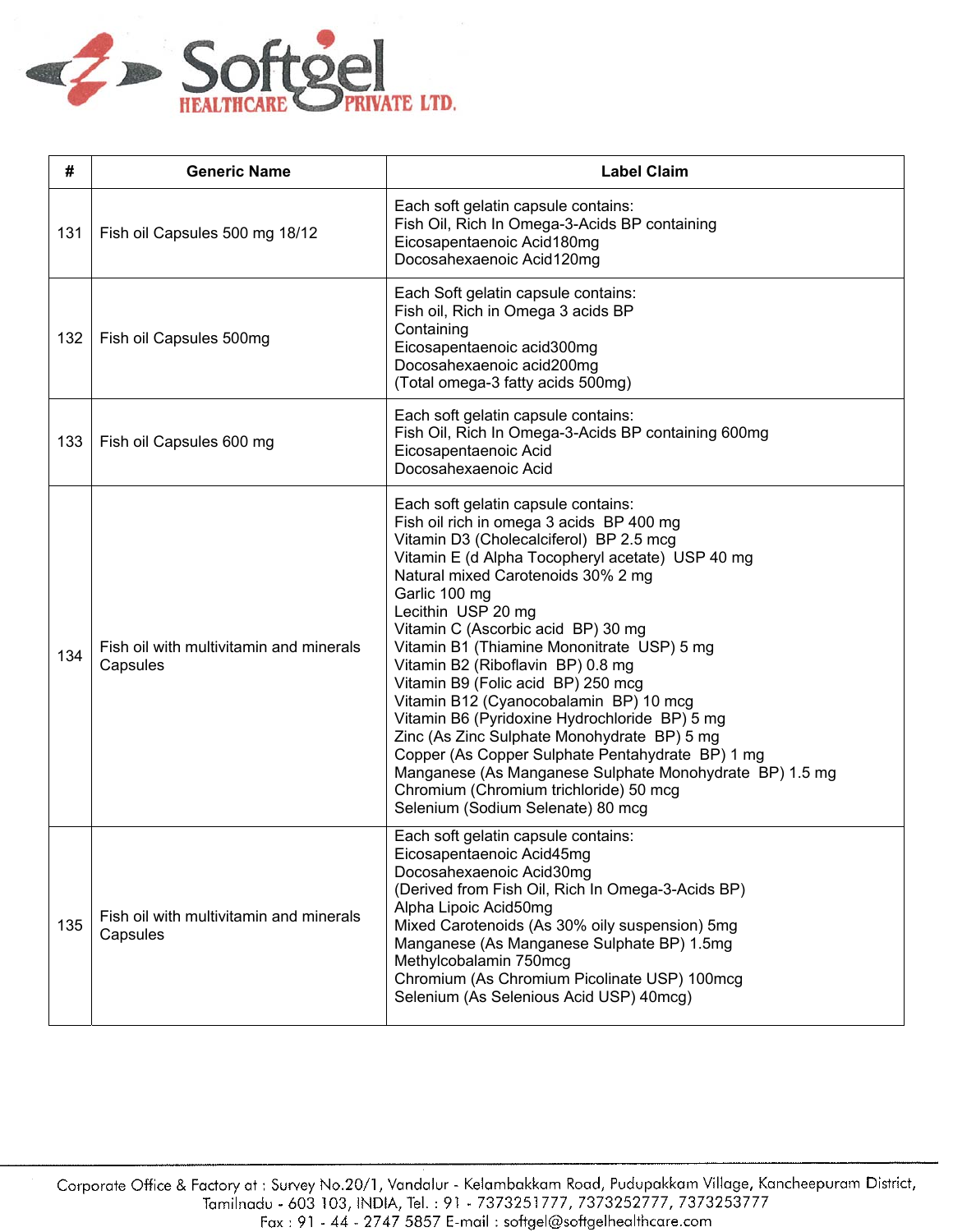

| #   | <b>Generic Name</b>                                 | <b>Label Claim</b>                                                                                                                                                                                                                                                                                                                                                                                                                                                                                                                                                                                                                                                                                                                                                 |
|-----|-----------------------------------------------------|--------------------------------------------------------------------------------------------------------------------------------------------------------------------------------------------------------------------------------------------------------------------------------------------------------------------------------------------------------------------------------------------------------------------------------------------------------------------------------------------------------------------------------------------------------------------------------------------------------------------------------------------------------------------------------------------------------------------------------------------------------------------|
| 131 | Fish oil Capsules 500 mg 18/12                      | Each soft gelatin capsule contains:<br>Fish Oil, Rich In Omega-3-Acids BP containing<br>Eicosapentaenoic Acid180mg<br>Docosahexaenoic Acid120mg                                                                                                                                                                                                                                                                                                                                                                                                                                                                                                                                                                                                                    |
| 132 | Fish oil Capsules 500mg                             | Each Soft gelatin capsule contains:<br>Fish oil, Rich in Omega 3 acids BP<br>Containing<br>Eicosapentaenoic acid300mg<br>Docosahexaenoic acid200mg<br>(Total omega-3 fatty acids 500mg)                                                                                                                                                                                                                                                                                                                                                                                                                                                                                                                                                                            |
| 133 | Fish oil Capsules 600 mg                            | Each soft gelatin capsule contains:<br>Fish Oil, Rich In Omega-3-Acids BP containing 600mg<br>Eicosapentaenoic Acid<br>Docosahexaenoic Acid                                                                                                                                                                                                                                                                                                                                                                                                                                                                                                                                                                                                                        |
| 134 | Fish oil with multivitamin and minerals<br>Capsules | Each soft gelatin capsule contains:<br>Fish oil rich in omega 3 acids BP 400 mg<br>Vitamin D3 (Cholecalciferol) BP 2.5 mcg<br>Vitamin E (d Alpha Tocopheryl acetate) USP 40 mg<br>Natural mixed Carotenoids 30% 2 mg<br>Garlic 100 mg<br>Lecithin USP 20 mg<br>Vitamin C (Ascorbic acid BP) 30 mg<br>Vitamin B1 (Thiamine Mononitrate USP) 5 mg<br>Vitamin B2 (Riboflavin BP) 0.8 mg<br>Vitamin B9 (Folic acid BP) 250 mcg<br>Vitamin B12 (Cyanocobalamin BP) 10 mcg<br>Vitamin B6 (Pyridoxine Hydrochloride BP) 5 mg<br>Zinc (As Zinc Sulphate Monohydrate BP) 5 mg<br>Copper (As Copper Sulphate Pentahydrate BP) 1 mg<br>Manganese (As Manganese Sulphate Monohydrate BP) 1.5 mg<br>Chromium (Chromium trichloride) 50 mcg<br>Selenium (Sodium Selenate) 80 mcg |
| 135 | Fish oil with multivitamin and minerals<br>Capsules | Each soft gelatin capsule contains:<br>Eicosapentaenoic Acid45mg<br>Docosahexaenoic Acid30mg<br>(Derived from Fish Oil, Rich In Omega-3-Acids BP)<br>Alpha Lipoic Acid50mg<br>Mixed Carotenoids (As 30% oily suspension) 5mg<br>Manganese (As Manganese Sulphate BP) 1.5mg<br>Methylcobalamin 750mcg<br>Chromium (As Chromium Picolinate USP) 100mcg<br>Selenium (As Selenious Acid USP) 40mcg)                                                                                                                                                                                                                                                                                                                                                                    |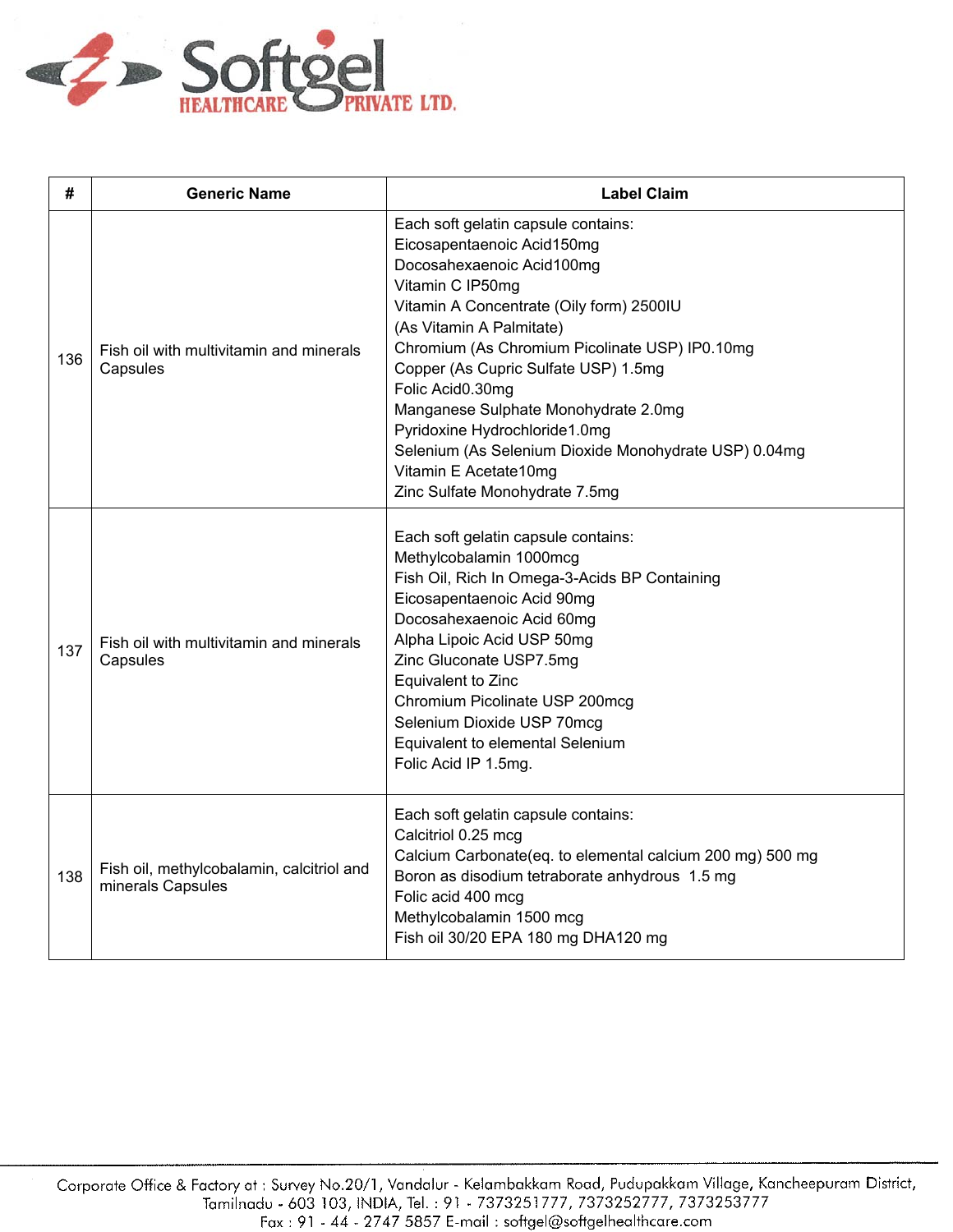

| #   | <b>Generic Name</b>                                            | <b>Label Claim</b>                                                                                                                                                                                                                                                                                                                                                                                                                                                                                    |
|-----|----------------------------------------------------------------|-------------------------------------------------------------------------------------------------------------------------------------------------------------------------------------------------------------------------------------------------------------------------------------------------------------------------------------------------------------------------------------------------------------------------------------------------------------------------------------------------------|
| 136 | Fish oil with multivitamin and minerals<br>Capsules            | Each soft gelatin capsule contains:<br>Eicosapentaenoic Acid150mg<br>Docosahexaenoic Acid100mg<br>Vitamin C IP50mg<br>Vitamin A Concentrate (Oily form) 2500IU<br>(As Vitamin A Palmitate)<br>Chromium (As Chromium Picolinate USP) IP0.10mg<br>Copper (As Cupric Sulfate USP) 1.5mg<br>Folic Acid0.30mg<br>Manganese Sulphate Monohydrate 2.0mg<br>Pyridoxine Hydrochloride1.0mg<br>Selenium (As Selenium Dioxide Monohydrate USP) 0.04mg<br>Vitamin E Acetate10mg<br>Zinc Sulfate Monohydrate 7.5mg |
| 137 | Fish oil with multivitamin and minerals<br>Capsules            | Each soft gelatin capsule contains:<br>Methylcobalamin 1000mcg<br>Fish Oil, Rich In Omega-3-Acids BP Containing<br>Eicosapentaenoic Acid 90mg<br>Docosahexaenoic Acid 60mg<br>Alpha Lipoic Acid USP 50mg<br>Zinc Gluconate USP7.5mg<br>Equivalent to Zinc<br>Chromium Picolinate USP 200mcg<br>Selenium Dioxide USP 70mcg<br>Equivalent to elemental Selenium<br>Folic Acid IP 1.5mg.                                                                                                                 |
| 138 | Fish oil, methylcobalamin, calcitriol and<br>minerals Capsules | Each soft gelatin capsule contains:<br>Calcitriol 0.25 mcg<br>Calcium Carbonate(eq. to elemental calcium 200 mg) 500 mg<br>Boron as disodium tetraborate anhydrous 1.5 mg<br>Folic acid 400 mcg<br>Methylcobalamin 1500 mcg<br>Fish oil 30/20 EPA 180 mg DHA120 mg                                                                                                                                                                                                                                    |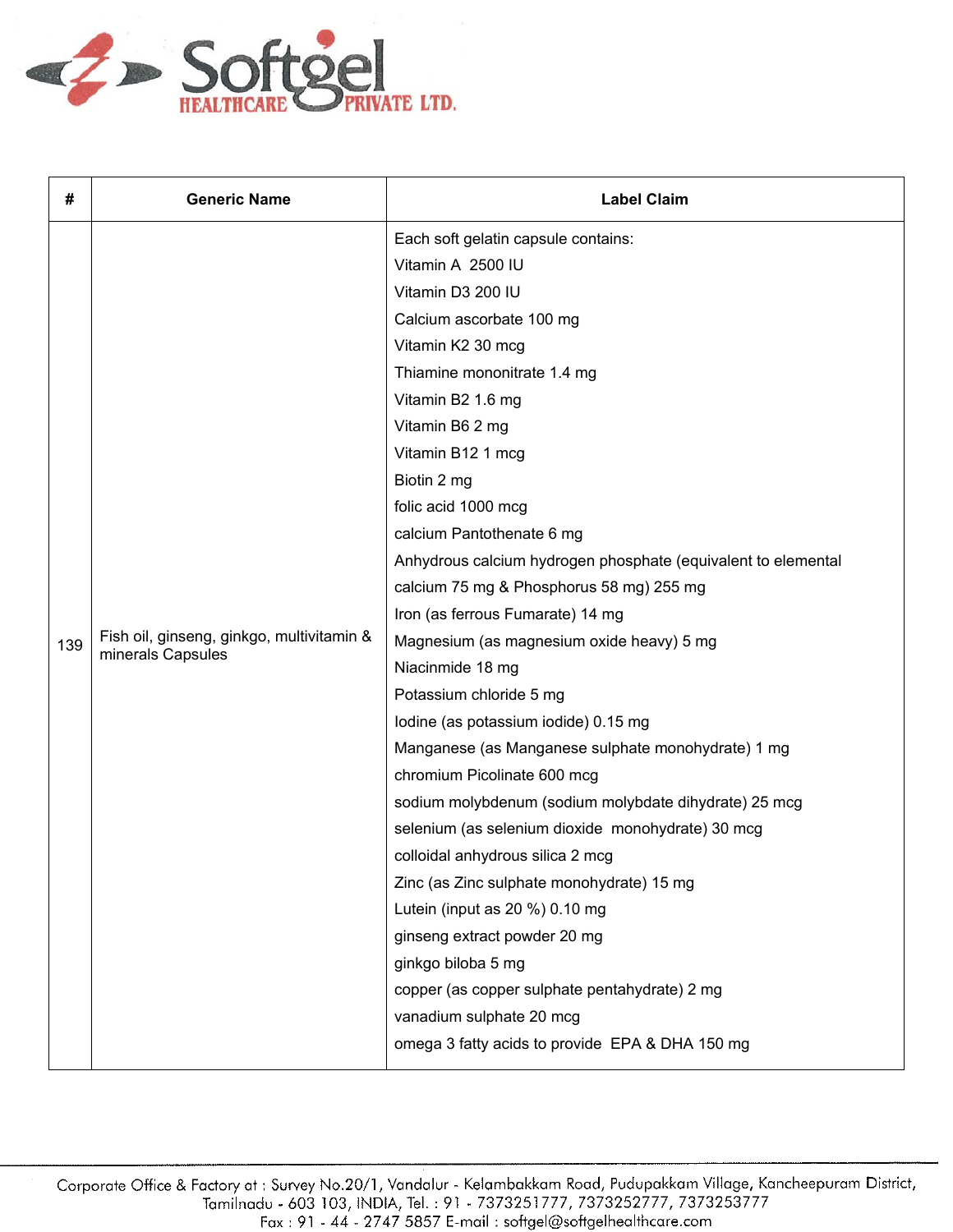

| #   | <b>Generic Name</b>                                            | <b>Label Claim</b>                                            |
|-----|----------------------------------------------------------------|---------------------------------------------------------------|
|     |                                                                | Each soft gelatin capsule contains:                           |
|     |                                                                | Vitamin A 2500 IU                                             |
|     |                                                                | Vitamin D3 200 IU                                             |
|     |                                                                | Calcium ascorbate 100 mg                                      |
|     |                                                                | Vitamin K2 30 mcg                                             |
|     |                                                                | Thiamine mononitrate 1.4 mg                                   |
|     |                                                                | Vitamin B2 1.6 mg                                             |
|     |                                                                | Vitamin B6 2 mg                                               |
|     |                                                                | Vitamin B12 1 mcg                                             |
|     |                                                                | Biotin 2 mg                                                   |
|     |                                                                | folic acid 1000 mcg                                           |
|     |                                                                | calcium Pantothenate 6 mg                                     |
|     |                                                                | Anhydrous calcium hydrogen phosphate (equivalent to elemental |
|     |                                                                | calcium 75 mg & Phosphorus 58 mg) 255 mg                      |
|     |                                                                | Iron (as ferrous Fumarate) 14 mg                              |
| 139 | Fish oil, ginseng, ginkgo, multivitamin &<br>minerals Capsules | Magnesium (as magnesium oxide heavy) 5 mg                     |
|     |                                                                | Niacinmide 18 mg                                              |
|     |                                                                | Potassium chloride 5 mg                                       |
|     |                                                                | lodine (as potassium iodide) 0.15 mg                          |
|     |                                                                | Manganese (as Manganese sulphate monohydrate) 1 mg            |
|     |                                                                | chromium Picolinate 600 mcg                                   |
|     |                                                                | sodium molybdenum (sodium molybdate dihydrate) 25 mcg         |
|     |                                                                | selenium (as selenium dioxide monohydrate) 30 mcg             |
|     |                                                                | colloidal anhydrous silica 2 mcg                              |
|     |                                                                | Zinc (as Zinc sulphate monohydrate) 15 mg                     |
|     |                                                                | Lutein (input as 20 %) 0.10 mg                                |
|     |                                                                | ginseng extract powder 20 mg                                  |
|     |                                                                | ginkgo biloba 5 mg                                            |
|     |                                                                | copper (as copper sulphate pentahydrate) 2 mg                 |
|     |                                                                | vanadium sulphate 20 mcg                                      |
|     |                                                                | omega 3 fatty acids to provide EPA & DHA 150 mg               |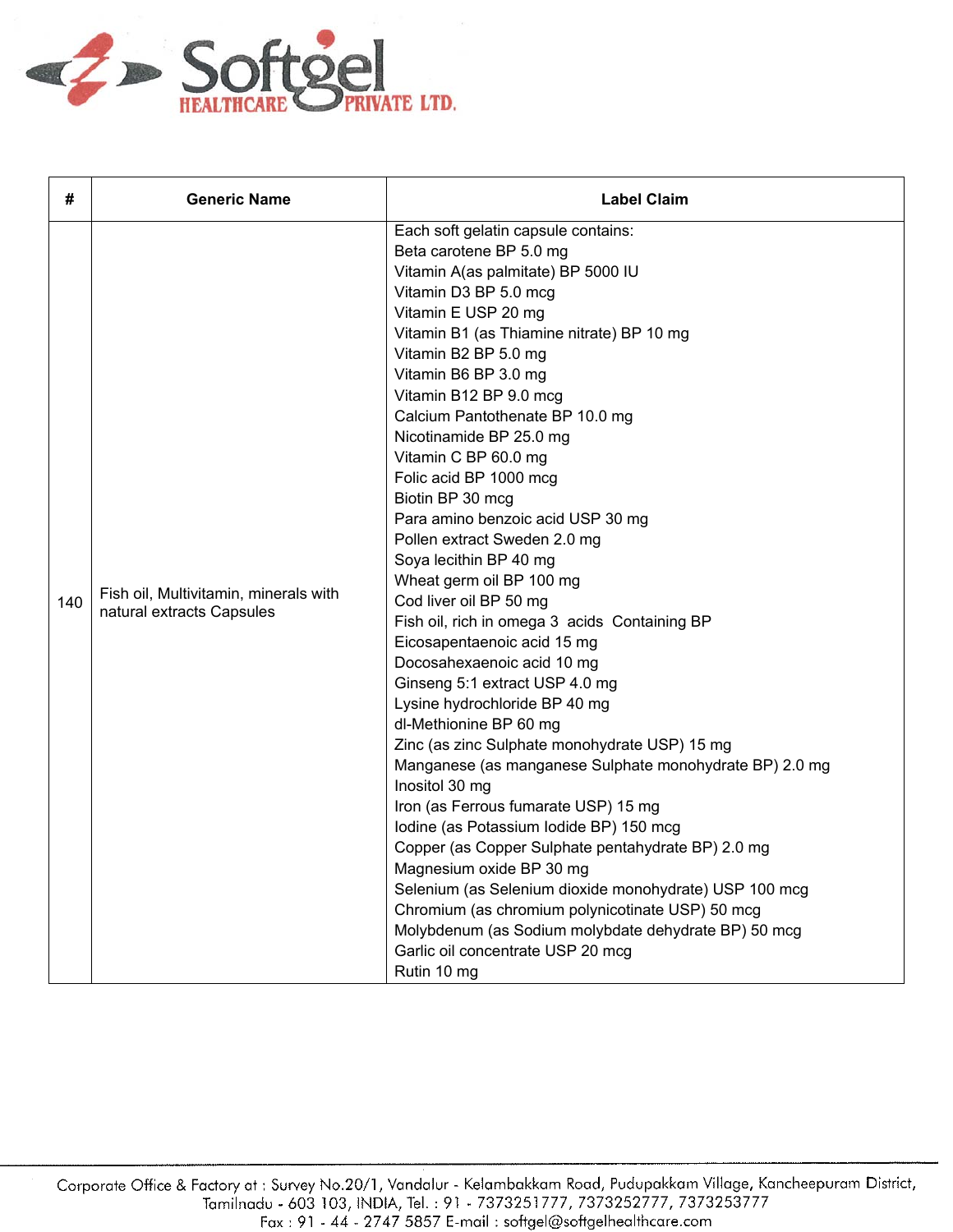

| #   | <b>Generic Name</b>                                                | <b>Label Claim</b>                                                                                                                                                                                                                                                                                                                                                                                                                                                                                                                                                                                                                                                                                                                                                                                                                                                                                                                                                                                                                                                                                                                                                                                                                                                                                           |
|-----|--------------------------------------------------------------------|--------------------------------------------------------------------------------------------------------------------------------------------------------------------------------------------------------------------------------------------------------------------------------------------------------------------------------------------------------------------------------------------------------------------------------------------------------------------------------------------------------------------------------------------------------------------------------------------------------------------------------------------------------------------------------------------------------------------------------------------------------------------------------------------------------------------------------------------------------------------------------------------------------------------------------------------------------------------------------------------------------------------------------------------------------------------------------------------------------------------------------------------------------------------------------------------------------------------------------------------------------------------------------------------------------------|
| 140 | Fish oil, Multivitamin, minerals with<br>natural extracts Capsules | Each soft gelatin capsule contains:<br>Beta carotene BP 5.0 mg<br>Vitamin A(as palmitate) BP 5000 IU<br>Vitamin D3 BP 5.0 mcg<br>Vitamin E USP 20 mg<br>Vitamin B1 (as Thiamine nitrate) BP 10 mg<br>Vitamin B2 BP 5.0 mg<br>Vitamin B6 BP 3.0 mg<br>Vitamin B12 BP 9.0 mcg<br>Calcium Pantothenate BP 10.0 mg<br>Nicotinamide BP 25.0 mg<br>Vitamin C BP 60.0 mg<br>Folic acid BP 1000 mcg<br>Biotin BP 30 mcg<br>Para amino benzoic acid USP 30 mg<br>Pollen extract Sweden 2.0 mg<br>Soya lecithin BP 40 mg<br>Wheat germ oil BP 100 mg<br>Cod liver oil BP 50 mg<br>Fish oil, rich in omega 3 acids Containing BP<br>Eicosapentaenoic acid 15 mg<br>Docosahexaenoic acid 10 mg<br>Ginseng 5:1 extract USP 4.0 mg<br>Lysine hydrochloride BP 40 mg<br>dl-Methionine BP 60 mg<br>Zinc (as zinc Sulphate monohydrate USP) 15 mg<br>Manganese (as manganese Sulphate monohydrate BP) 2.0 mg<br>Inositol 30 mg<br>Iron (as Ferrous fumarate USP) 15 mg<br>Iodine (as Potassium Iodide BP) 150 mcg<br>Copper (as Copper Sulphate pentahydrate BP) 2.0 mg<br>Magnesium oxide BP 30 mg<br>Selenium (as Selenium dioxide monohydrate) USP 100 mcg<br>Chromium (as chromium polynicotinate USP) 50 mcg<br>Molybdenum (as Sodium molybdate dehydrate BP) 50 mcg<br>Garlic oil concentrate USP 20 mcg<br>Rutin 10 mg |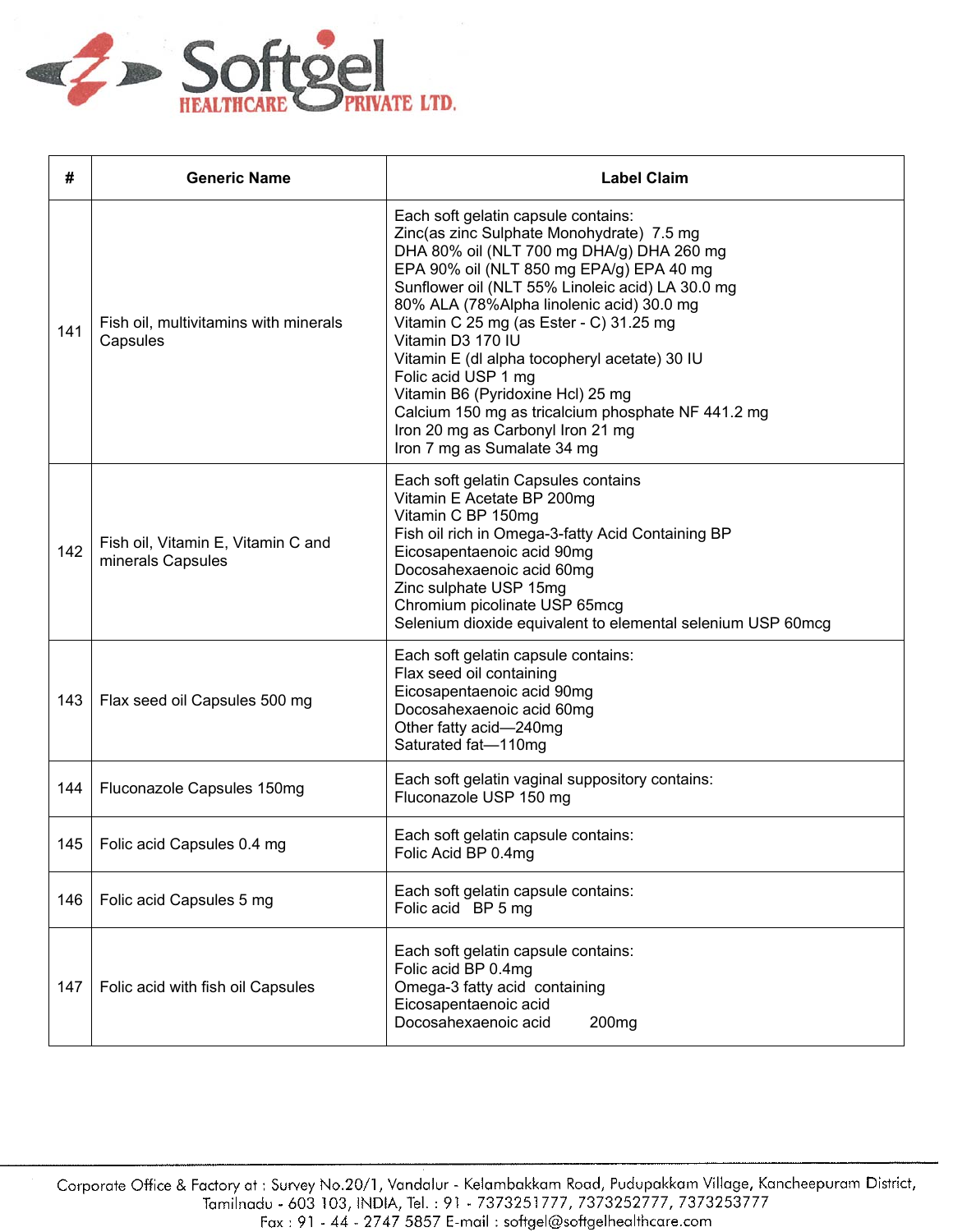

| #   | <b>Generic Name</b>                                     | <b>Label Claim</b>                                                                                                                                                                                                                                                                                                                                                                                                                                                                                                                                                                |
|-----|---------------------------------------------------------|-----------------------------------------------------------------------------------------------------------------------------------------------------------------------------------------------------------------------------------------------------------------------------------------------------------------------------------------------------------------------------------------------------------------------------------------------------------------------------------------------------------------------------------------------------------------------------------|
| 141 | Fish oil, multivitamins with minerals<br>Capsules       | Each soft gelatin capsule contains:<br>Zinc(as zinc Sulphate Monohydrate) 7.5 mg<br>DHA 80% oil (NLT 700 mg DHA/g) DHA 260 mg<br>EPA 90% oil (NLT 850 mg EPA/g) EPA 40 mg<br>Sunflower oil (NLT 55% Linoleic acid) LA 30.0 mg<br>80% ALA (78%Alpha linolenic acid) 30.0 mg<br>Vitamin C 25 mg (as Ester - C) 31.25 mg<br>Vitamin D3 170 IU<br>Vitamin E (dl alpha tocopheryl acetate) 30 IU<br>Folic acid USP 1 mg<br>Vitamin B6 (Pyridoxine Hcl) 25 mg<br>Calcium 150 mg as tricalcium phosphate NF 441.2 mg<br>Iron 20 mg as Carbonyl Iron 21 mg<br>Iron 7 mg as Sumalate 34 mg |
| 142 | Fish oil, Vitamin E, Vitamin C and<br>minerals Capsules | Each soft gelatin Capsules contains<br>Vitamin E Acetate BP 200mg<br>Vitamin C BP 150mg<br>Fish oil rich in Omega-3-fatty Acid Containing BP<br>Eicosapentaenoic acid 90mg<br>Docosahexaenoic acid 60mg<br>Zinc sulphate USP 15mg<br>Chromium picolinate USP 65mcg<br>Selenium dioxide equivalent to elemental selenium USP 60mcg                                                                                                                                                                                                                                                 |
| 143 | Flax seed oil Capsules 500 mg                           | Each soft gelatin capsule contains:<br>Flax seed oil containing<br>Eicosapentaenoic acid 90mg<br>Docosahexaenoic acid 60mg<br>Other fatty acid-240mg<br>Saturated fat-110mg                                                                                                                                                                                                                                                                                                                                                                                                       |
| 144 | Fluconazole Capsules 150mg                              | Each soft gelatin vaginal suppository contains:<br>Fluconazole USP 150 mg                                                                                                                                                                                                                                                                                                                                                                                                                                                                                                         |
| 145 | Folic acid Capsules 0.4 mg                              | Each soft gelatin capsule contains:<br>Folic Acid BP 0.4mg                                                                                                                                                                                                                                                                                                                                                                                                                                                                                                                        |
| 146 | Folic acid Capsules 5 mg                                | Each soft gelatin capsule contains:<br>Folic acid BP 5 mg                                                                                                                                                                                                                                                                                                                                                                                                                                                                                                                         |
| 147 | Folic acid with fish oil Capsules                       | Each soft gelatin capsule contains:<br>Folic acid BP 0.4mg<br>Omega-3 fatty acid containing<br>Eicosapentaenoic acid<br>Docosahexaenoic acid<br>200 <sub>mg</sub>                                                                                                                                                                                                                                                                                                                                                                                                                 |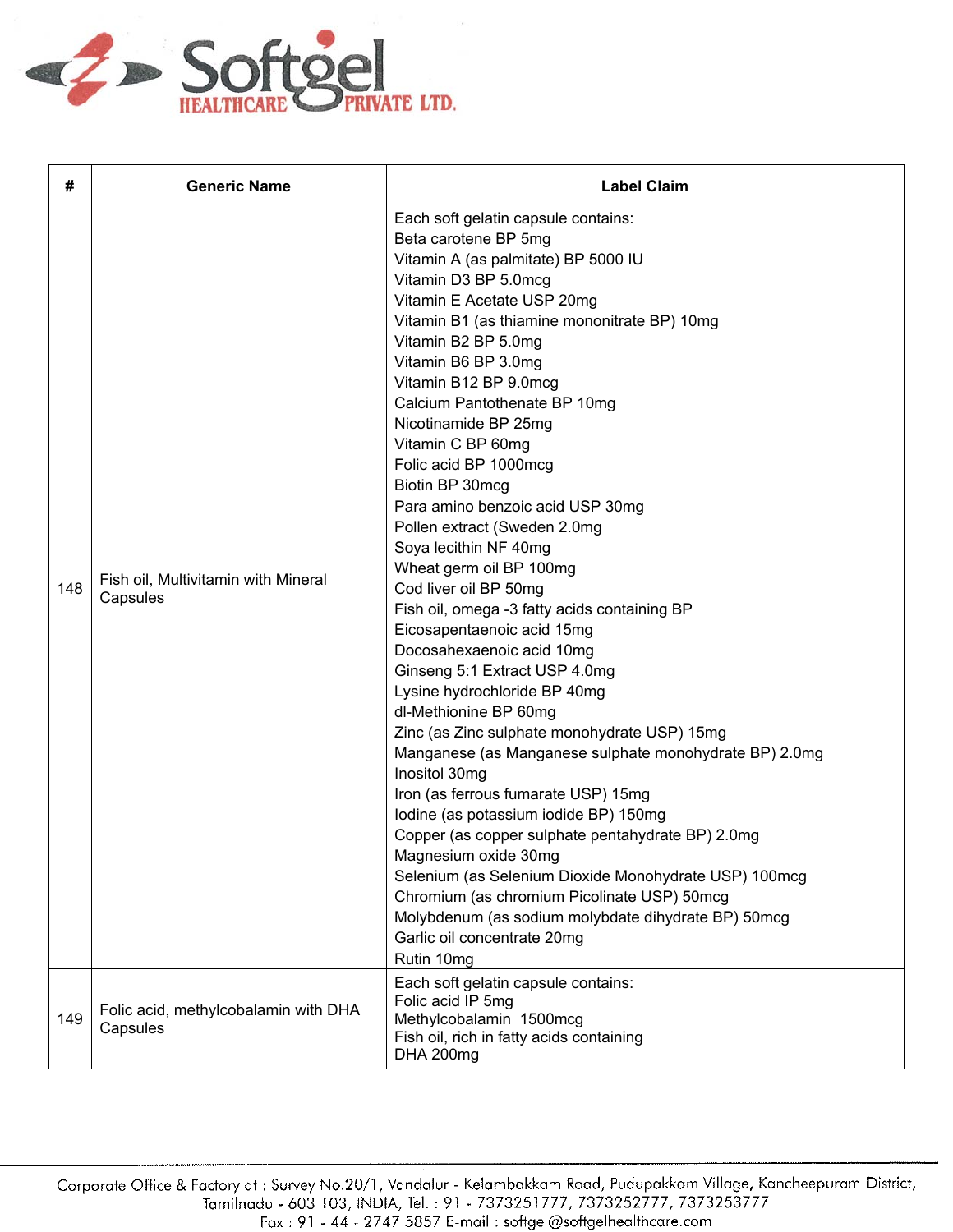

| #   | <b>Generic Name</b>                              | <b>Label Claim</b>                                                                                                                                                                                                                                                                                                                                                                                                                                                                                                                                                                                                                                                                                                                                                                                                                                                                                                                                                                                                                                                                                                                                                                                                                                                 |
|-----|--------------------------------------------------|--------------------------------------------------------------------------------------------------------------------------------------------------------------------------------------------------------------------------------------------------------------------------------------------------------------------------------------------------------------------------------------------------------------------------------------------------------------------------------------------------------------------------------------------------------------------------------------------------------------------------------------------------------------------------------------------------------------------------------------------------------------------------------------------------------------------------------------------------------------------------------------------------------------------------------------------------------------------------------------------------------------------------------------------------------------------------------------------------------------------------------------------------------------------------------------------------------------------------------------------------------------------|
| 148 | Fish oil, Multivitamin with Mineral<br>Capsules  | Each soft gelatin capsule contains:<br>Beta carotene BP 5mg<br>Vitamin A (as palmitate) BP 5000 IU<br>Vitamin D3 BP 5.0mcg<br>Vitamin E Acetate USP 20mg<br>Vitamin B1 (as thiamine mononitrate BP) 10mg<br>Vitamin B2 BP 5.0mg<br>Vitamin B6 BP 3.0mg<br>Vitamin B12 BP 9.0mcg<br>Calcium Pantothenate BP 10mg<br>Nicotinamide BP 25mg<br>Vitamin C BP 60mg<br>Folic acid BP 1000mcg<br>Biotin BP 30mcg<br>Para amino benzoic acid USP 30mg<br>Pollen extract (Sweden 2.0mg<br>Soya lecithin NF 40mg<br>Wheat germ oil BP 100mg<br>Cod liver oil BP 50mg<br>Fish oil, omega -3 fatty acids containing BP<br>Eicosapentaenoic acid 15mg<br>Docosahexaenoic acid 10mg<br>Ginseng 5:1 Extract USP 4.0mg<br>Lysine hydrochloride BP 40mg<br>dl-Methionine BP 60mg<br>Zinc (as Zinc sulphate monohydrate USP) 15mg<br>Manganese (as Manganese sulphate monohydrate BP) 2.0mg<br>Inositol 30mg<br>Iron (as ferrous fumarate USP) 15mg<br>Iodine (as potassium iodide BP) 150mg<br>Copper (as copper sulphate pentahydrate BP) 2.0mg<br>Magnesium oxide 30mg<br>Selenium (as Selenium Dioxide Monohydrate USP) 100mcg<br>Chromium (as chromium Picolinate USP) 50mcg<br>Molybdenum (as sodium molybdate dihydrate BP) 50mcg<br>Garlic oil concentrate 20mg<br>Rutin 10mg |
| 149 | Folic acid, methylcobalamin with DHA<br>Capsules | Each soft gelatin capsule contains:<br>Folic acid IP 5mg<br>Methylcobalamin 1500mcg<br>Fish oil, rich in fatty acids containing<br>DHA 200mg                                                                                                                                                                                                                                                                                                                                                                                                                                                                                                                                                                                                                                                                                                                                                                                                                                                                                                                                                                                                                                                                                                                       |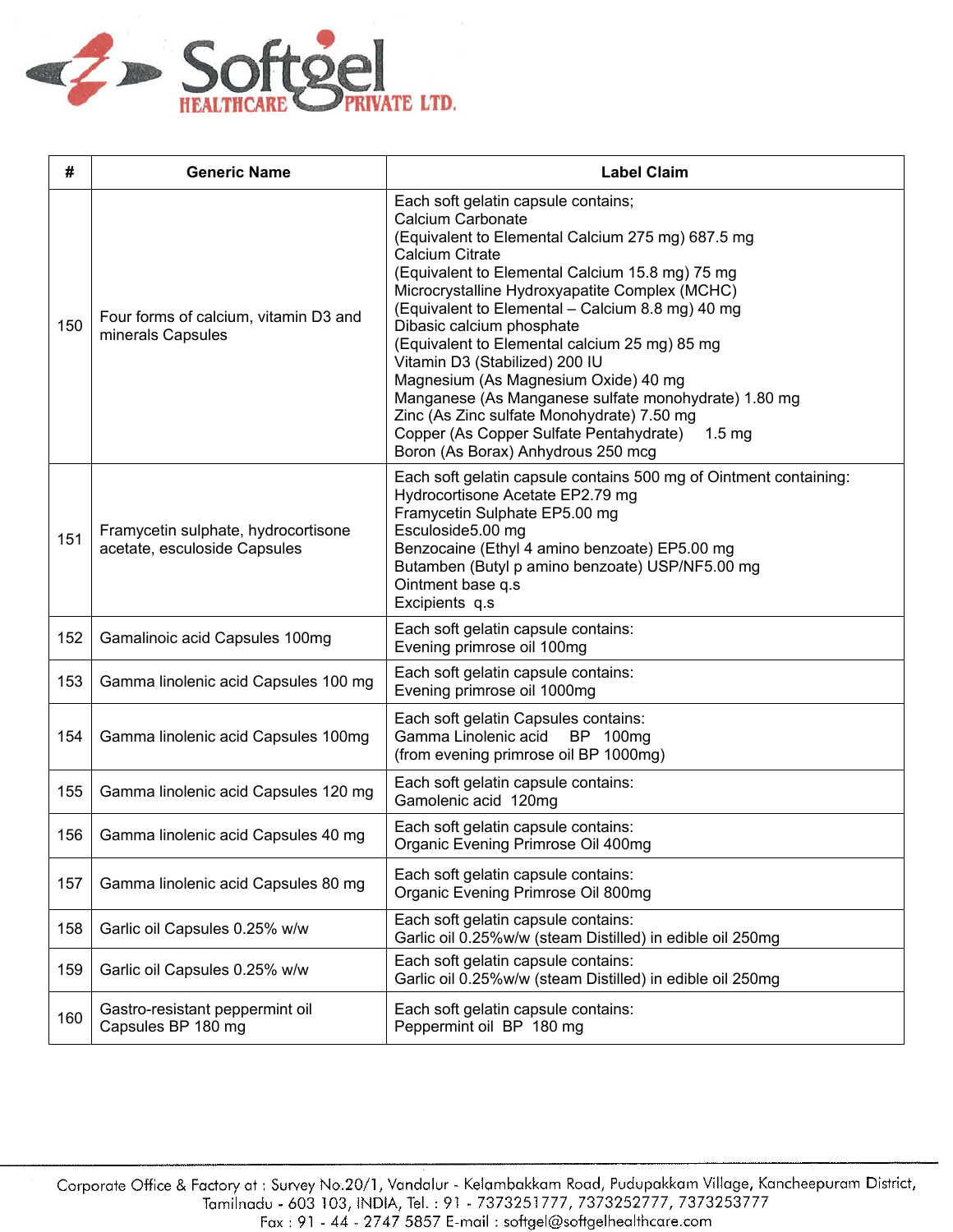

| #   | <b>Generic Name</b>                                                 | <b>Label Claim</b>                                                                                                                                                                                                                                                                                                                                                                                                                                                                                                                                                                                                                              |
|-----|---------------------------------------------------------------------|-------------------------------------------------------------------------------------------------------------------------------------------------------------------------------------------------------------------------------------------------------------------------------------------------------------------------------------------------------------------------------------------------------------------------------------------------------------------------------------------------------------------------------------------------------------------------------------------------------------------------------------------------|
| 150 | Four forms of calcium, vitamin D3 and<br>minerals Capsules          | Each soft gelatin capsule contains;<br>Calcium Carbonate<br>(Equivalent to Elemental Calcium 275 mg) 687.5 mg<br>Calcium Citrate<br>(Equivalent to Elemental Calcium 15.8 mg) 75 mg<br>Microcrystalline Hydroxyapatite Complex (MCHC)<br>(Equivalent to Elemental - Calcium 8.8 mg) 40 mg<br>Dibasic calcium phosphate<br>(Equivalent to Elemental calcium 25 mg) 85 mg<br>Vitamin D3 (Stabilized) 200 IU<br>Magnesium (As Magnesium Oxide) 40 mg<br>Manganese (As Manganese sulfate monohydrate) 1.80 mg<br>Zinc (As Zinc sulfate Monohydrate) 7.50 mg<br>Copper (As Copper Sulfate Pentahydrate) 1.5 mg<br>Boron (As Borax) Anhydrous 250 mcg |
| 151 | Framycetin sulphate, hydrocortisone<br>acetate, esculoside Capsules | Each soft gelatin capsule contains 500 mg of Ointment containing:<br>Hydrocortisone Acetate EP2.79 mg<br>Framycetin Sulphate EP5.00 mg<br>Esculoside5.00 mg<br>Benzocaine (Ethyl 4 amino benzoate) EP5.00 mg<br>Butamben (Butyl p amino benzoate) USP/NF5.00 mg<br>Ointment base q.s<br>Excipients q.s                                                                                                                                                                                                                                                                                                                                          |
| 152 | Gamalinoic acid Capsules 100mg                                      | Each soft gelatin capsule contains:<br>Evening primrose oil 100mg                                                                                                                                                                                                                                                                                                                                                                                                                                                                                                                                                                               |
| 153 | Gamma linolenic acid Capsules 100 mg                                | Each soft gelatin capsule contains:<br>Evening primrose oil 1000mg                                                                                                                                                                                                                                                                                                                                                                                                                                                                                                                                                                              |
| 154 | Gamma linolenic acid Capsules 100mg                                 | Each soft gelatin Capsules contains:<br>Gamma Linolenic acid<br>BP 100mg<br>(from evening primrose oil BP 1000mg)                                                                                                                                                                                                                                                                                                                                                                                                                                                                                                                               |
| 155 | Gamma linolenic acid Capsules 120 mg                                | Each soft gelatin capsule contains:<br>Gamolenic acid 120mg                                                                                                                                                                                                                                                                                                                                                                                                                                                                                                                                                                                     |
| 156 | Gamma linolenic acid Capsules 40 mg                                 | Each soft gelatin capsule contains:<br>Organic Evening Primrose Oil 400mg                                                                                                                                                                                                                                                                                                                                                                                                                                                                                                                                                                       |
| 157 | Gamma linolenic acid Capsules 80 mg                                 | Each soft gelatin capsule contains:<br>Organic Evening Primrose Oil 800mg                                                                                                                                                                                                                                                                                                                                                                                                                                                                                                                                                                       |
| 158 | Garlic oil Capsules 0.25% w/w                                       | Each soft gelatin capsule contains:<br>Garlic oil 0.25%w/w (steam Distilled) in edible oil 250mg                                                                                                                                                                                                                                                                                                                                                                                                                                                                                                                                                |
| 159 | Garlic oil Capsules 0.25% w/w                                       | Each soft gelatin capsule contains:<br>Garlic oil 0.25%w/w (steam Distilled) in edible oil 250mg                                                                                                                                                                                                                                                                                                                                                                                                                                                                                                                                                |
| 160 | Gastro-resistant peppermint oil<br>Capsules BP 180 mg               | Each soft gelatin capsule contains:<br>Peppermint oil BP 180 mg                                                                                                                                                                                                                                                                                                                                                                                                                                                                                                                                                                                 |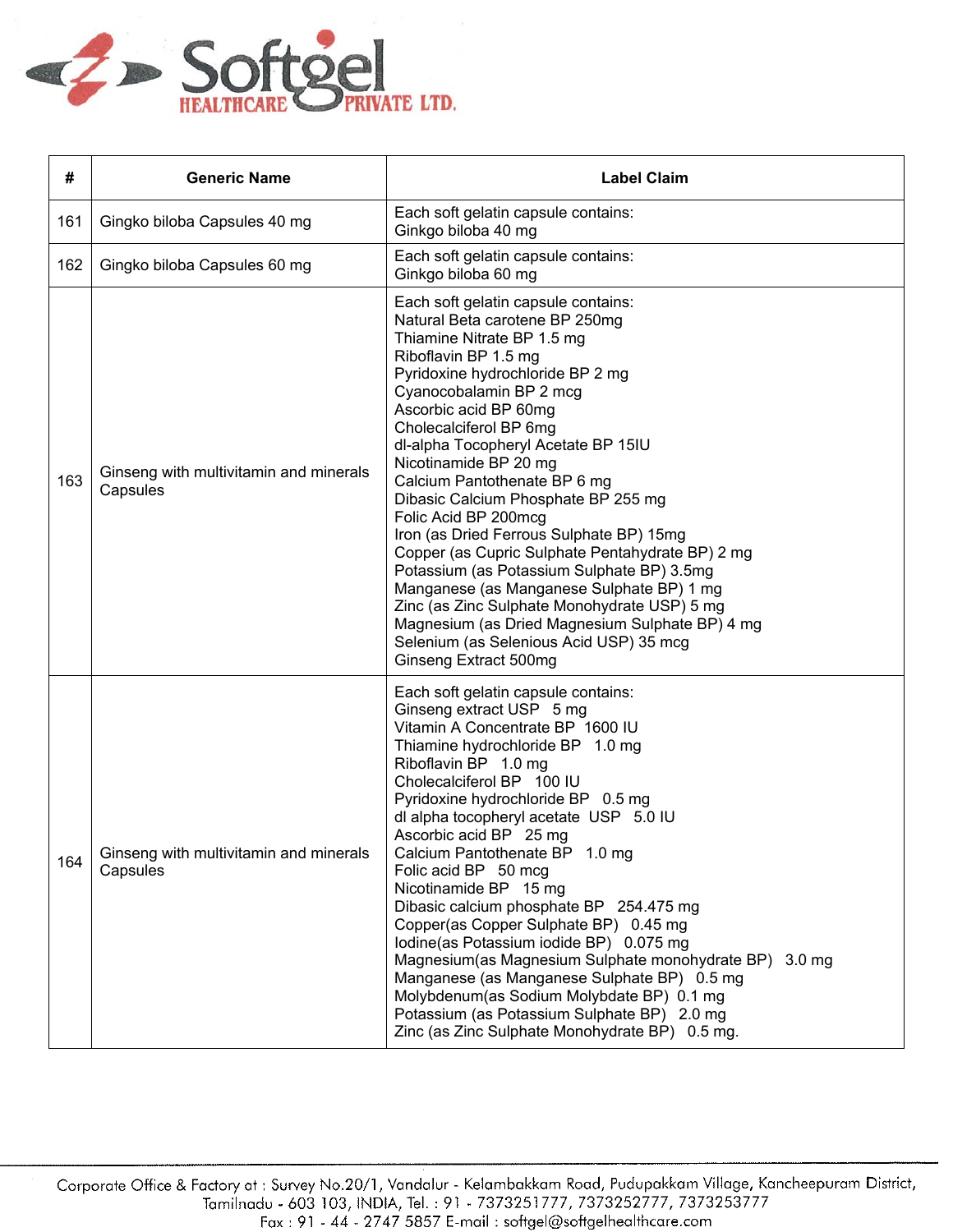

| #   | <b>Generic Name</b>                                | <b>Label Claim</b>                                                                                                                                                                                                                                                                                                                                                                                                                                                                                                                                                                                                                                                                                                                                                              |
|-----|----------------------------------------------------|---------------------------------------------------------------------------------------------------------------------------------------------------------------------------------------------------------------------------------------------------------------------------------------------------------------------------------------------------------------------------------------------------------------------------------------------------------------------------------------------------------------------------------------------------------------------------------------------------------------------------------------------------------------------------------------------------------------------------------------------------------------------------------|
| 161 | Gingko biloba Capsules 40 mg                       | Each soft gelatin capsule contains:<br>Ginkgo biloba 40 mg                                                                                                                                                                                                                                                                                                                                                                                                                                                                                                                                                                                                                                                                                                                      |
| 162 | Gingko biloba Capsules 60 mg                       | Each soft gelatin capsule contains:<br>Ginkgo biloba 60 mg                                                                                                                                                                                                                                                                                                                                                                                                                                                                                                                                                                                                                                                                                                                      |
| 163 | Ginseng with multivitamin and minerals<br>Capsules | Each soft gelatin capsule contains:<br>Natural Beta carotene BP 250mg<br>Thiamine Nitrate BP 1.5 mg<br>Riboflavin BP 1.5 mg<br>Pyridoxine hydrochloride BP 2 mg<br>Cyanocobalamin BP 2 mcg<br>Ascorbic acid BP 60mg<br>Cholecalciferol BP 6mg<br>dl-alpha Tocopheryl Acetate BP 15IU<br>Nicotinamide BP 20 mg<br>Calcium Pantothenate BP 6 mg<br>Dibasic Calcium Phosphate BP 255 mg<br>Folic Acid BP 200mcg<br>Iron (as Dried Ferrous Sulphate BP) 15mg<br>Copper (as Cupric Sulphate Pentahydrate BP) 2 mg<br>Potassium (as Potassium Sulphate BP) 3.5mg<br>Manganese (as Manganese Sulphate BP) 1 mg<br>Zinc (as Zinc Sulphate Monohydrate USP) 5 mg<br>Magnesium (as Dried Magnesium Sulphate BP) 4 mg<br>Selenium (as Selenious Acid USP) 35 mcg<br>Ginseng Extract 500mg  |
| 164 | Ginseng with multivitamin and minerals<br>Capsules | Each soft gelatin capsule contains:<br>Ginseng extract USP 5 mg<br>Vitamin A Concentrate BP 1600 IU<br>Thiamine hydrochloride BP 1.0 mg<br>Riboflavin BP 1.0 mg<br>Cholecalciferol BP 100 IU<br>Pyridoxine hydrochloride BP 0.5 mg<br>dl alpha tocopheryl acetate USP 5.0 IU<br>Ascorbic acid BP 25 mg<br>Calcium Pantothenate BP 1.0 mg<br>Folic acid BP 50 mcg<br>Nicotinamide BP 15 mg<br>Dibasic calcium phosphate BP 254.475 mg<br>Copper(as Copper Sulphate BP) 0.45 mg<br>Iodine(as Potassium iodide BP) 0.075 mg<br>Magnesium(as Magnesium Sulphate monohydrate BP) 3.0 mg<br>Manganese (as Manganese Sulphate BP) 0.5 mg<br>Molybdenum(as Sodium Molybdate BP) 0.1 mg<br>Potassium (as Potassium Sulphate BP) 2.0 mg<br>Zinc (as Zinc Sulphate Monohydrate BP) 0.5 mg. |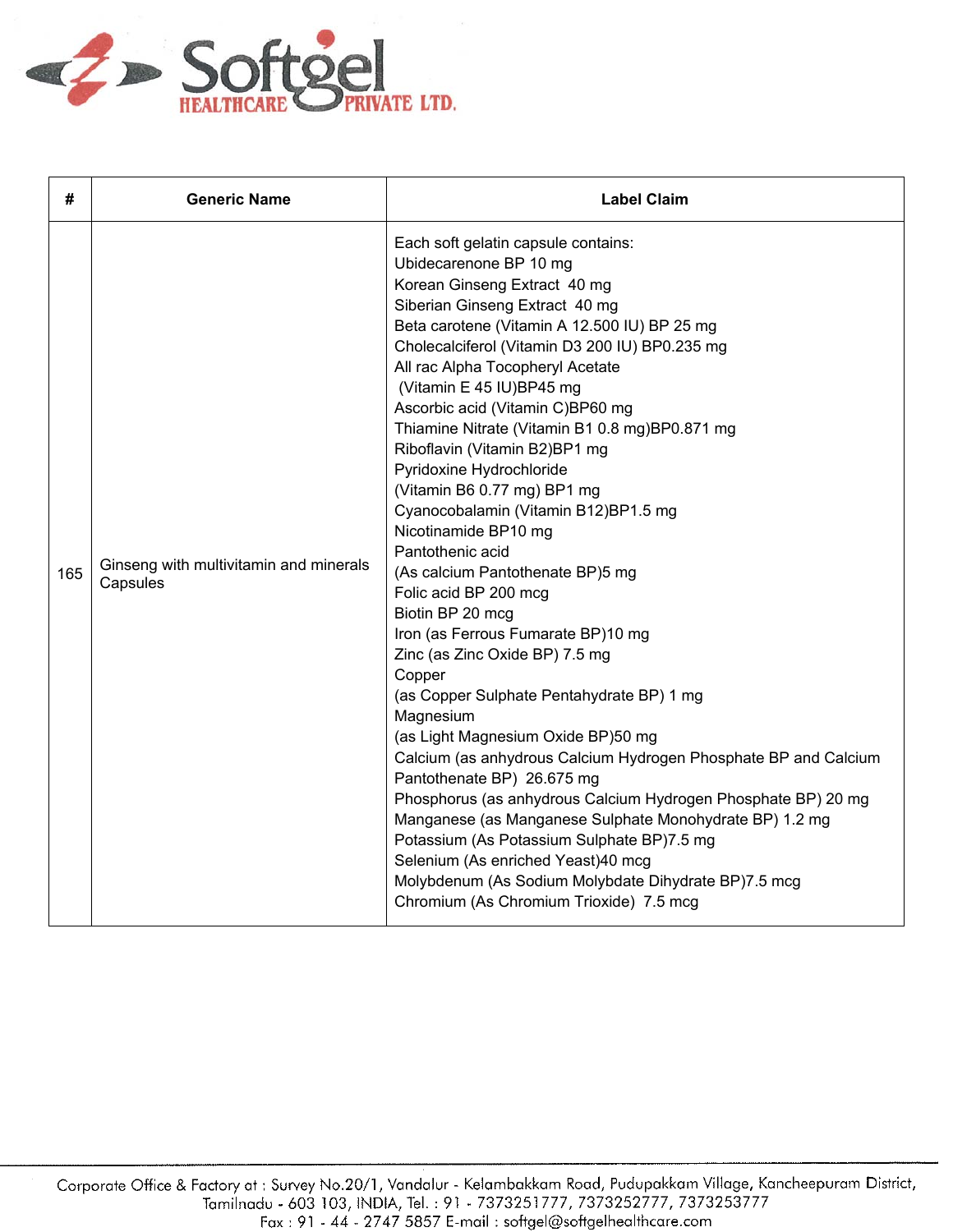

| #   | <b>Generic Name</b>                                | <b>Label Claim</b>                                                                                                                                                                                                                                                                                                                                                                                                                                                                                                                                                                                                                                                                                                                                                                                                                                                                                                                                                                                                                                                                                                                                                                                                                                             |
|-----|----------------------------------------------------|----------------------------------------------------------------------------------------------------------------------------------------------------------------------------------------------------------------------------------------------------------------------------------------------------------------------------------------------------------------------------------------------------------------------------------------------------------------------------------------------------------------------------------------------------------------------------------------------------------------------------------------------------------------------------------------------------------------------------------------------------------------------------------------------------------------------------------------------------------------------------------------------------------------------------------------------------------------------------------------------------------------------------------------------------------------------------------------------------------------------------------------------------------------------------------------------------------------------------------------------------------------|
| 165 | Ginseng with multivitamin and minerals<br>Capsules | Each soft gelatin capsule contains:<br>Ubidecarenone BP 10 mg<br>Korean Ginseng Extract 40 mg<br>Siberian Ginseng Extract 40 mg<br>Beta carotene (Vitamin A 12.500 IU) BP 25 mg<br>Cholecalciferol (Vitamin D3 200 IU) BP0.235 mg<br>All rac Alpha Tocopheryl Acetate<br>(Vitamin E 45 IU)BP45 mg<br>Ascorbic acid (Vitamin C)BP60 mg<br>Thiamine Nitrate (Vitamin B1 0.8 mg)BP0.871 mg<br>Riboflavin (Vitamin B2)BP1 mg<br>Pyridoxine Hydrochloride<br>(Vitamin B6 0.77 mg) BP1 mg<br>Cyanocobalamin (Vitamin B12)BP1.5 mg<br>Nicotinamide BP10 mg<br>Pantothenic acid<br>(As calcium Pantothenate BP)5 mg<br>Folic acid BP 200 mcg<br>Biotin BP 20 mcg<br>Iron (as Ferrous Fumarate BP)10 mg<br>Zinc (as Zinc Oxide BP) 7.5 mg<br>Copper<br>(as Copper Sulphate Pentahydrate BP) 1 mg<br>Magnesium<br>(as Light Magnesium Oxide BP)50 mg<br>Calcium (as anhydrous Calcium Hydrogen Phosphate BP and Calcium<br>Pantothenate BP) 26.675 mg<br>Phosphorus (as anhydrous Calcium Hydrogen Phosphate BP) 20 mg<br>Manganese (as Manganese Sulphate Monohydrate BP) 1.2 mg<br>Potassium (As Potassium Sulphate BP)7.5 mg<br>Selenium (As enriched Yeast)40 mcg<br>Molybdenum (As Sodium Molybdate Dihydrate BP)7.5 mcg<br>Chromium (As Chromium Trioxide) 7.5 mcg |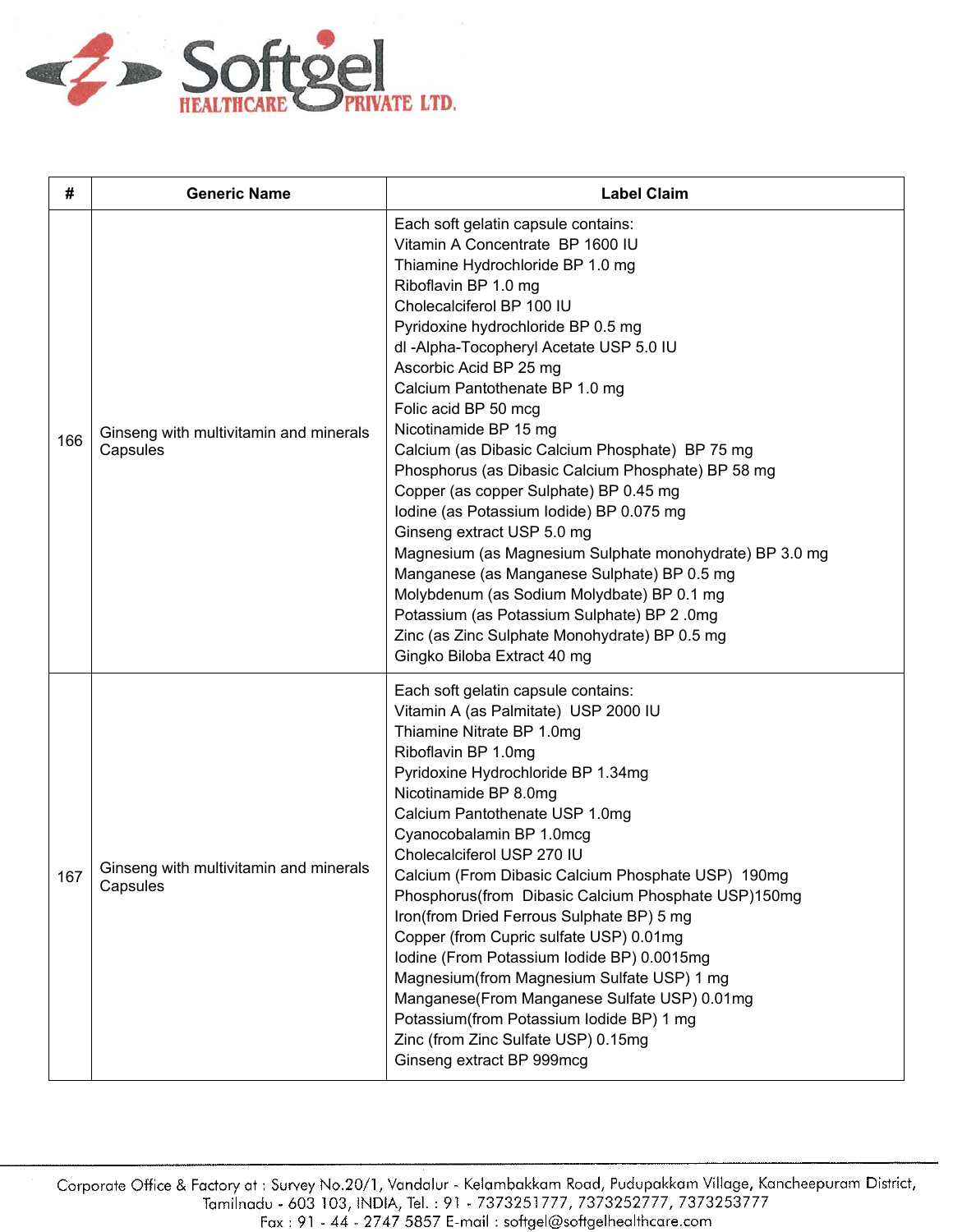

| #   | <b>Generic Name</b>                                | <b>Label Claim</b>                                                                                                                                                                                                                                                                                                                                                                                                                                                                                                                                                                                                                                                                                                                                                                                                                                                                |
|-----|----------------------------------------------------|-----------------------------------------------------------------------------------------------------------------------------------------------------------------------------------------------------------------------------------------------------------------------------------------------------------------------------------------------------------------------------------------------------------------------------------------------------------------------------------------------------------------------------------------------------------------------------------------------------------------------------------------------------------------------------------------------------------------------------------------------------------------------------------------------------------------------------------------------------------------------------------|
| 166 | Ginseng with multivitamin and minerals<br>Capsules | Each soft gelatin capsule contains:<br>Vitamin A Concentrate BP 1600 IU<br>Thiamine Hydrochloride BP 1.0 mg<br>Riboflavin BP 1.0 mg<br>Cholecalciferol BP 100 IU<br>Pyridoxine hydrochloride BP 0.5 mg<br>dl -Alpha-Tocopheryl Acetate USP 5.0 IU<br>Ascorbic Acid BP 25 mg<br>Calcium Pantothenate BP 1.0 mg<br>Folic acid BP 50 mcg<br>Nicotinamide BP 15 mg<br>Calcium (as Dibasic Calcium Phosphate) BP 75 mg<br>Phosphorus (as Dibasic Calcium Phosphate) BP 58 mg<br>Copper (as copper Sulphate) BP 0.45 mg<br>Iodine (as Potassium Iodide) BP 0.075 mg<br>Ginseng extract USP 5.0 mg<br>Magnesium (as Magnesium Sulphate monohydrate) BP 3.0 mg<br>Manganese (as Manganese Sulphate) BP 0.5 mg<br>Molybdenum (as Sodium Molydbate) BP 0.1 mg<br>Potassium (as Potassium Sulphate) BP 2.0mg<br>Zinc (as Zinc Sulphate Monohydrate) BP 0.5 mg<br>Gingko Biloba Extract 40 mg |
| 167 | Ginseng with multivitamin and minerals<br>Capsules | Each soft gelatin capsule contains:<br>Vitamin A (as Palmitate) USP 2000 IU<br>Thiamine Nitrate BP 1.0mg<br>Riboflavin BP 1.0mg<br>Pyridoxine Hydrochloride BP 1.34mg<br>Nicotinamide BP 8.0mg<br>Calcium Pantothenate USP 1.0mg<br>Cyanocobalamin BP 1.0mcg<br>Cholecalciferol USP 270 IU<br>Calcium (From Dibasic Calcium Phosphate USP) 190mg<br>Phosphorus(from Dibasic Calcium Phosphate USP)150mg<br>Iron(from Dried Ferrous Sulphate BP) 5 mg<br>Copper (from Cupric sulfate USP) 0.01mg<br>Iodine (From Potassium Iodide BP) 0.0015mg<br>Magnesium(from Magnesium Sulfate USP) 1 mg<br>Manganese(From Manganese Sulfate USP) 0.01mg<br>Potassium (from Potassium Iodide BP) 1 mg<br>Zinc (from Zinc Sulfate USP) 0.15mg<br>Ginseng extract BP 999mcg                                                                                                                      |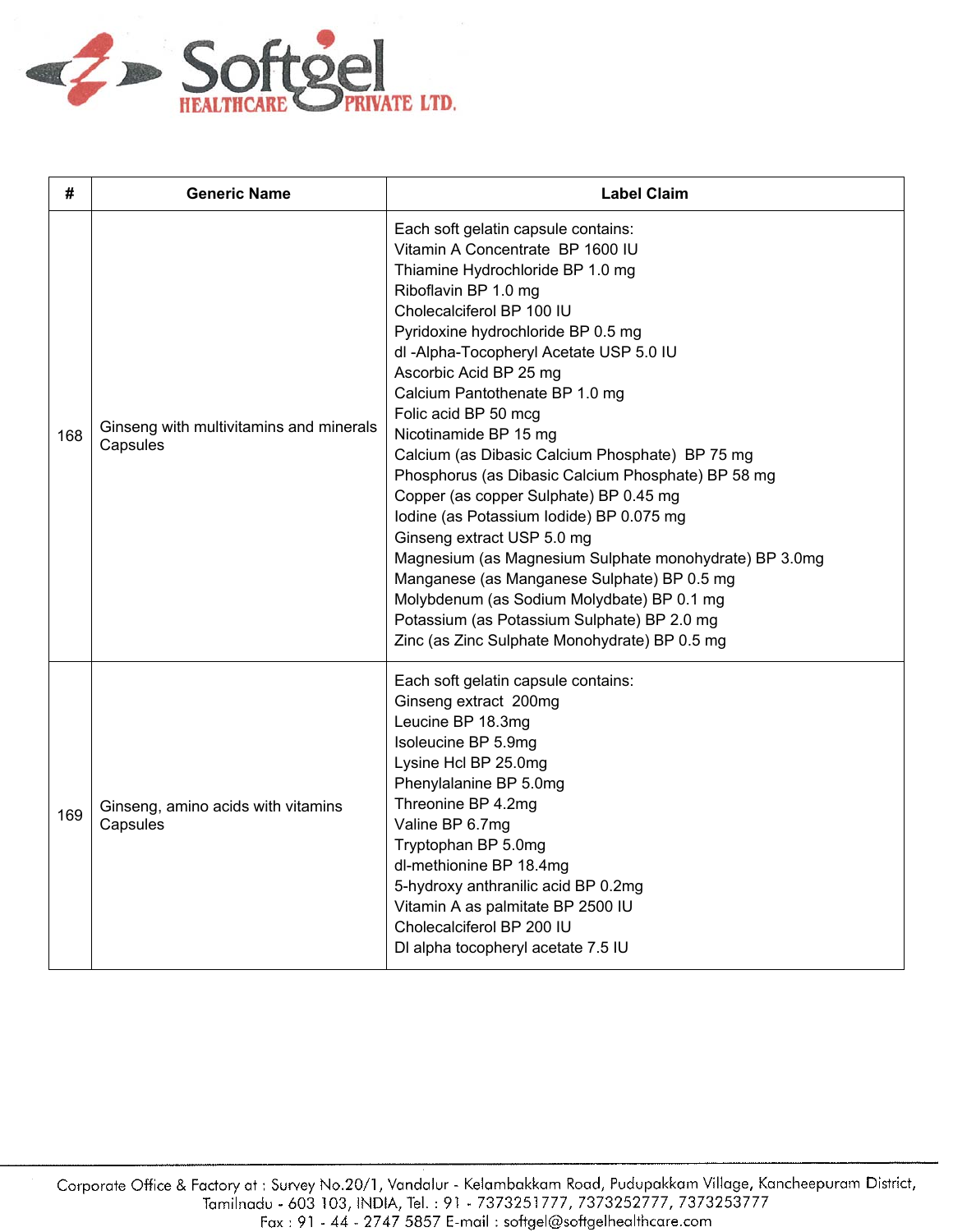

| #   | <b>Generic Name</b>                                 | <b>Label Claim</b>                                                                                                                                                                                                                                                                                                                                                                                                                                                                                                                                                                                                                                                                                                                                                                                                                                 |
|-----|-----------------------------------------------------|----------------------------------------------------------------------------------------------------------------------------------------------------------------------------------------------------------------------------------------------------------------------------------------------------------------------------------------------------------------------------------------------------------------------------------------------------------------------------------------------------------------------------------------------------------------------------------------------------------------------------------------------------------------------------------------------------------------------------------------------------------------------------------------------------------------------------------------------------|
| 168 | Ginseng with multivitamins and minerals<br>Capsules | Each soft gelatin capsule contains:<br>Vitamin A Concentrate BP 1600 IU<br>Thiamine Hydrochloride BP 1.0 mg<br>Riboflavin BP 1.0 mg<br>Cholecalciferol BP 100 IU<br>Pyridoxine hydrochloride BP 0.5 mg<br>dl -Alpha-Tocopheryl Acetate USP 5.0 IU<br>Ascorbic Acid BP 25 mg<br>Calcium Pantothenate BP 1.0 mg<br>Folic acid BP 50 mcg<br>Nicotinamide BP 15 mg<br>Calcium (as Dibasic Calcium Phosphate) BP 75 mg<br>Phosphorus (as Dibasic Calcium Phosphate) BP 58 mg<br>Copper (as copper Sulphate) BP 0.45 mg<br>Iodine (as Potassium Iodide) BP 0.075 mg<br>Ginseng extract USP 5.0 mg<br>Magnesium (as Magnesium Sulphate monohydrate) BP 3.0mg<br>Manganese (as Manganese Sulphate) BP 0.5 mg<br>Molybdenum (as Sodium Molydbate) BP 0.1 mg<br>Potassium (as Potassium Sulphate) BP 2.0 mg<br>Zinc (as Zinc Sulphate Monohydrate) BP 0.5 mg |
| 169 | Ginseng, amino acids with vitamins<br>Capsules      | Each soft gelatin capsule contains:<br>Ginseng extract 200mg<br>Leucine BP 18.3mg<br>Isoleucine BP 5.9mg<br>Lysine Hcl BP 25.0mg<br>Phenylalanine BP 5.0mg<br>Threonine BP 4.2mg<br>Valine BP 6.7mg<br>Tryptophan BP 5.0mg<br>dl-methionine BP 18.4mg<br>5-hydroxy anthranilic acid BP 0.2mg<br>Vitamin A as palmitate BP 2500 IU<br>Cholecalciferol BP 200 IU<br>DI alpha tocopheryl acetate 7.5 IU                                                                                                                                                                                                                                                                                                                                                                                                                                               |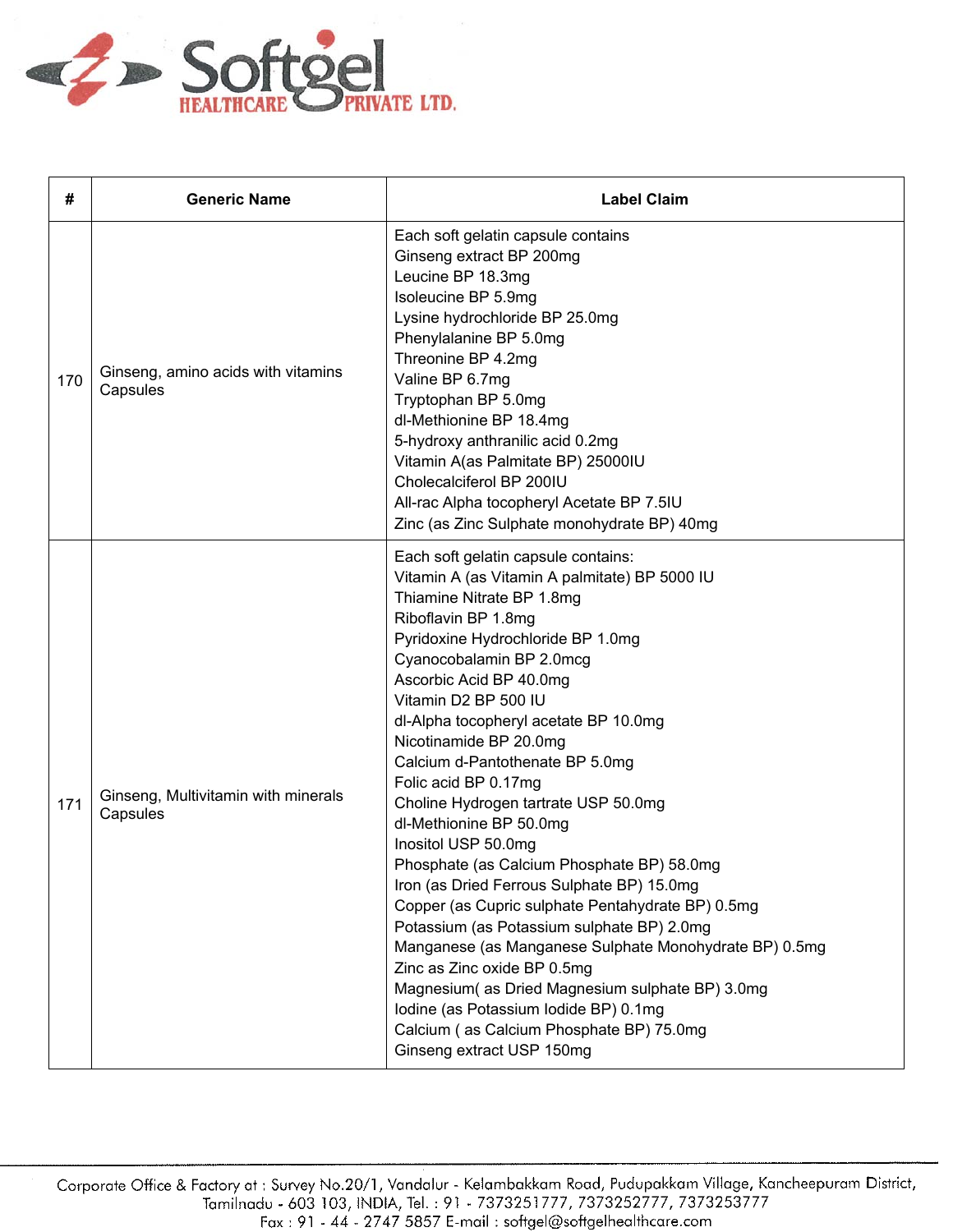

| #   | <b>Generic Name</b>                             | <b>Label Claim</b>                                                                                                                                                                                                                                                                                                                                                                                                                                                                                                                                                                                                                                                                                                                                                                                                                                                                                                                                |
|-----|-------------------------------------------------|---------------------------------------------------------------------------------------------------------------------------------------------------------------------------------------------------------------------------------------------------------------------------------------------------------------------------------------------------------------------------------------------------------------------------------------------------------------------------------------------------------------------------------------------------------------------------------------------------------------------------------------------------------------------------------------------------------------------------------------------------------------------------------------------------------------------------------------------------------------------------------------------------------------------------------------------------|
| 170 | Ginseng, amino acids with vitamins<br>Capsules  | Each soft gelatin capsule contains<br>Ginseng extract BP 200mg<br>Leucine BP 18.3mg<br>Isoleucine BP 5.9mg<br>Lysine hydrochloride BP 25.0mg<br>Phenylalanine BP 5.0mg<br>Threonine BP 4.2mg<br>Valine BP 6.7mg<br>Tryptophan BP 5.0mg<br>dl-Methionine BP 18.4mg<br>5-hydroxy anthranilic acid 0.2mg<br>Vitamin A(as Palmitate BP) 25000IU<br>Cholecalciferol BP 200IU<br>All-rac Alpha tocopheryl Acetate BP 7.5IU<br>Zinc (as Zinc Sulphate monohydrate BP) 40mg                                                                                                                                                                                                                                                                                                                                                                                                                                                                               |
| 171 | Ginseng, Multivitamin with minerals<br>Capsules | Each soft gelatin capsule contains:<br>Vitamin A (as Vitamin A palmitate) BP 5000 IU<br>Thiamine Nitrate BP 1.8mg<br>Riboflavin BP 1.8mg<br>Pyridoxine Hydrochloride BP 1.0mg<br>Cyanocobalamin BP 2.0mcg<br>Ascorbic Acid BP 40.0mg<br>Vitamin D2 BP 500 IU<br>dl-Alpha tocopheryl acetate BP 10.0mg<br>Nicotinamide BP 20.0mg<br>Calcium d-Pantothenate BP 5.0mg<br>Folic acid BP 0.17mg<br>Choline Hydrogen tartrate USP 50.0mg<br>dl-Methionine BP 50.0mg<br>Inositol USP 50.0mg<br>Phosphate (as Calcium Phosphate BP) 58.0mg<br>Iron (as Dried Ferrous Sulphate BP) 15.0mg<br>Copper (as Cupric sulphate Pentahydrate BP) 0.5mg<br>Potassium (as Potassium sulphate BP) 2.0mg<br>Manganese (as Manganese Sulphate Monohydrate BP) 0.5mg<br>Zinc as Zinc oxide BP 0.5mg<br>Magnesium(as Dried Magnesium sulphate BP) 3.0mg<br>Iodine (as Potassium Iodide BP) 0.1mg<br>Calcium (as Calcium Phosphate BP) 75.0mg<br>Ginseng extract USP 150mg |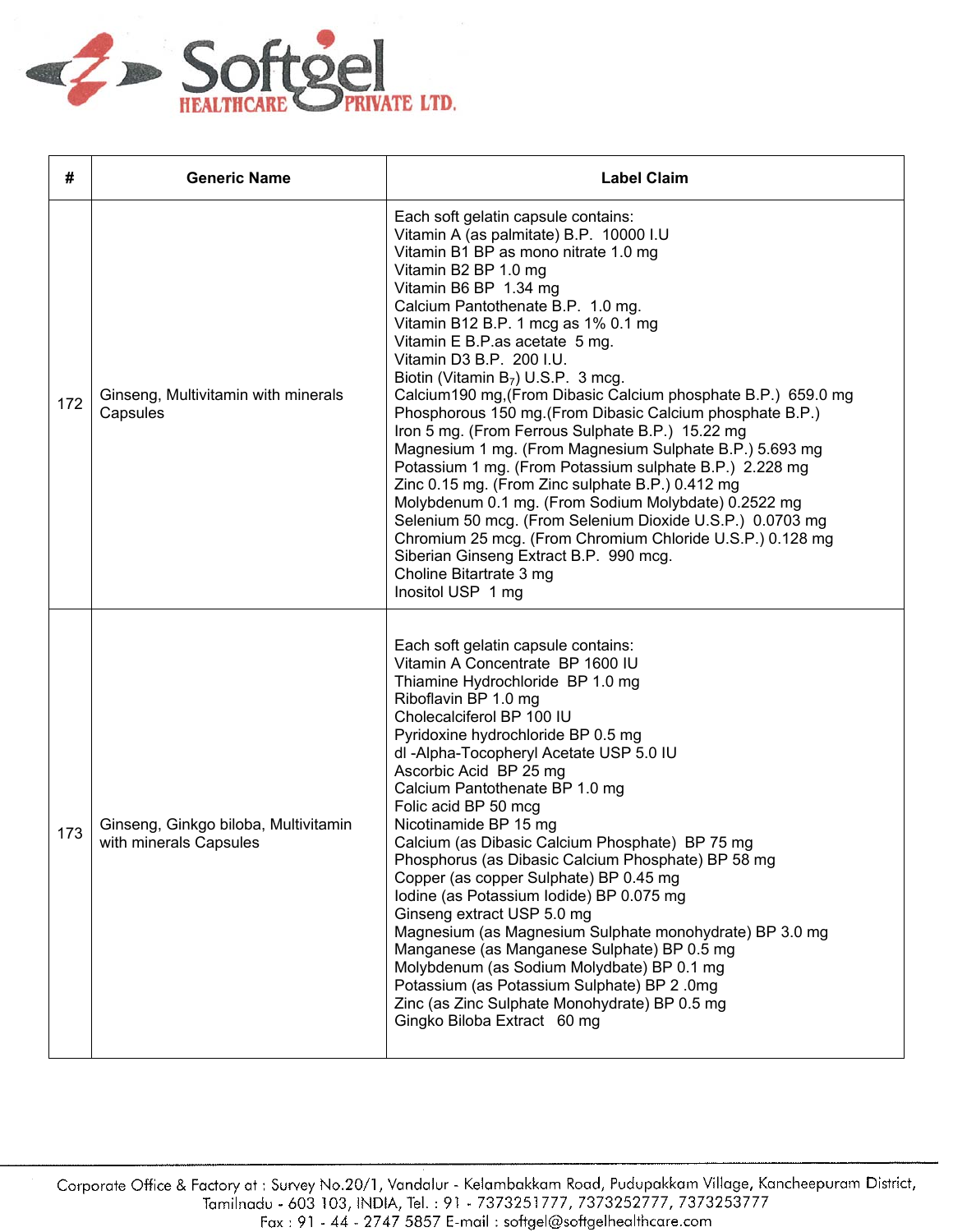

| #   | <b>Generic Name</b>                                            | <b>Label Claim</b>                                                                                                                                                                                                                                                                                                                                                                                                                                                                                                                                                                                                                                                                                                                                                                                                                                                                                                                                                                                 |
|-----|----------------------------------------------------------------|----------------------------------------------------------------------------------------------------------------------------------------------------------------------------------------------------------------------------------------------------------------------------------------------------------------------------------------------------------------------------------------------------------------------------------------------------------------------------------------------------------------------------------------------------------------------------------------------------------------------------------------------------------------------------------------------------------------------------------------------------------------------------------------------------------------------------------------------------------------------------------------------------------------------------------------------------------------------------------------------------|
| 172 | Ginseng, Multivitamin with minerals<br>Capsules                | Each soft gelatin capsule contains:<br>Vitamin A (as palmitate) B.P. 10000 I.U<br>Vitamin B1 BP as mono nitrate 1.0 mg<br>Vitamin B2 BP 1.0 mg<br>Vitamin B6 BP 1.34 mg<br>Calcium Pantothenate B.P. 1.0 mg.<br>Vitamin B12 B.P. 1 mcg as 1% 0.1 mg<br>Vitamin E B.P.as acetate 5 mg.<br>Vitamin D3 B.P. 200 I.U.<br>Biotin (Vitamin $B_7$ ) U.S.P. 3 mcg.<br>Calcium190 mg, (From Dibasic Calcium phosphate B.P.) 659.0 mg<br>Phosphorous 150 mg. (From Dibasic Calcium phosphate B.P.)<br>Iron 5 mg. (From Ferrous Sulphate B.P.) 15.22 mg<br>Magnesium 1 mg. (From Magnesium Sulphate B.P.) 5.693 mg<br>Potassium 1 mg. (From Potassium sulphate B.P.) 2.228 mg<br>Zinc 0.15 mg. (From Zinc sulphate B.P.) 0.412 mg<br>Molybdenum 0.1 mg. (From Sodium Molybdate) 0.2522 mg<br>Selenium 50 mcg. (From Selenium Dioxide U.S.P.) 0.0703 mg<br>Chromium 25 mcg. (From Chromium Chloride U.S.P.) 0.128 mg<br>Siberian Ginseng Extract B.P. 990 mcg.<br>Choline Bitartrate 3 mg<br>Inositol USP 1 mg |
| 173 | Ginseng, Ginkgo biloba, Multivitamin<br>with minerals Capsules | Each soft gelatin capsule contains:<br>Vitamin A Concentrate BP 1600 IU<br>Thiamine Hydrochloride BP 1.0 mg<br>Riboflavin BP 1.0 mg<br>Cholecalciferol BP 100 IU<br>Pyridoxine hydrochloride BP 0.5 mg<br>dl -Alpha-Tocopheryl Acetate USP 5.0 IU<br>Ascorbic Acid BP 25 mg<br>Calcium Pantothenate BP 1.0 mg<br>Folic acid BP 50 mcg<br>Nicotinamide BP 15 mg<br>Calcium (as Dibasic Calcium Phosphate) BP 75 mg<br>Phosphorus (as Dibasic Calcium Phosphate) BP 58 mg<br>Copper (as copper Sulphate) BP 0.45 mg<br>Iodine (as Potassium Iodide) BP 0.075 mg<br>Ginseng extract USP 5.0 mg<br>Magnesium (as Magnesium Sulphate monohydrate) BP 3.0 mg<br>Manganese (as Manganese Sulphate) BP 0.5 mg<br>Molybdenum (as Sodium Molydbate) BP 0.1 mg<br>Potassium (as Potassium Sulphate) BP 2.0mg<br>Zinc (as Zinc Sulphate Monohydrate) BP 0.5 mg<br>Gingko Biloba Extract 60 mg                                                                                                                  |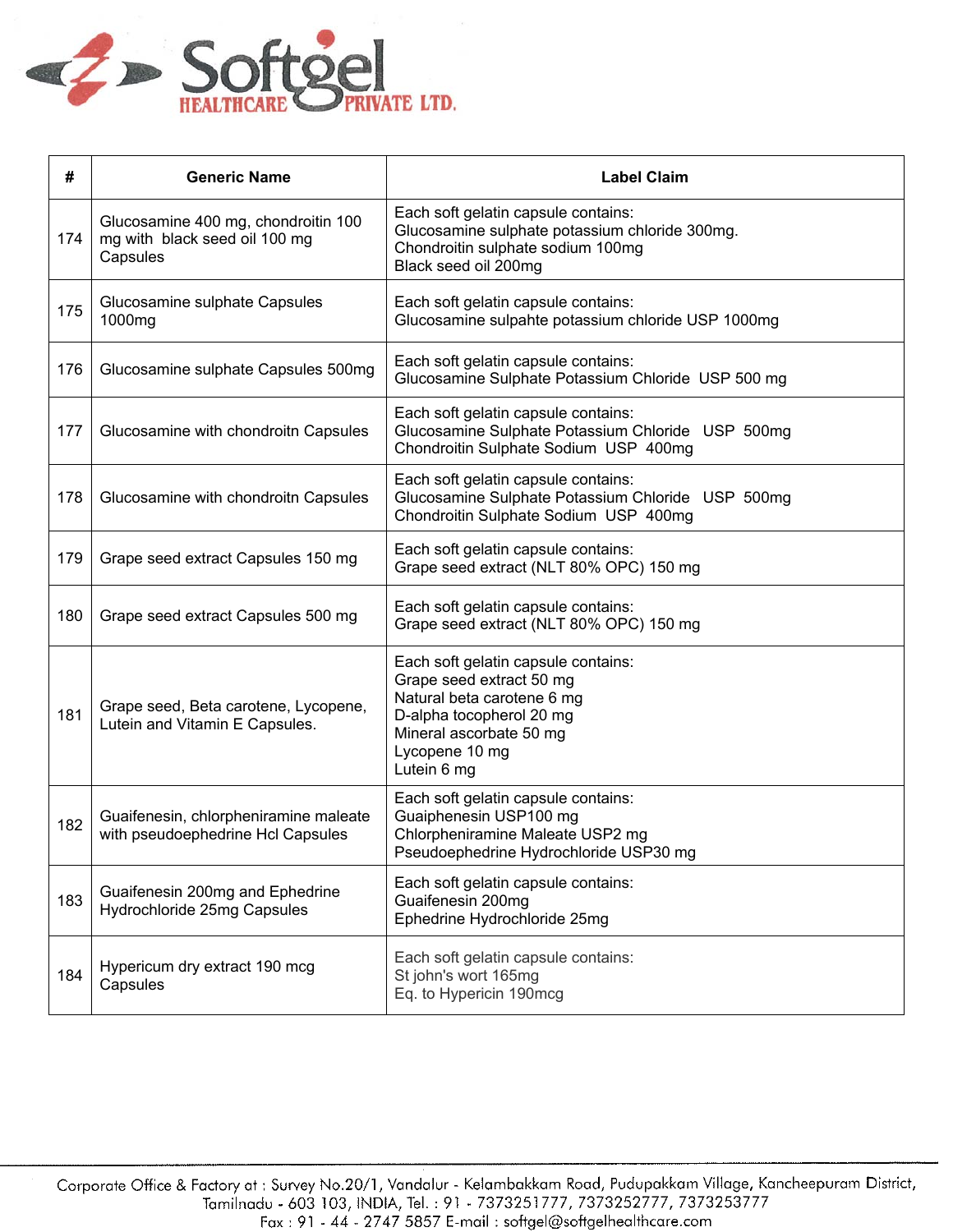

| #   | <b>Generic Name</b>                                                              | <b>Label Claim</b>                                                                                                                                                                    |
|-----|----------------------------------------------------------------------------------|---------------------------------------------------------------------------------------------------------------------------------------------------------------------------------------|
| 174 | Glucosamine 400 mg, chondroitin 100<br>mg with black seed oil 100 mg<br>Capsules | Each soft gelatin capsule contains:<br>Glucosamine sulphate potassium chloride 300mg.<br>Chondroitin sulphate sodium 100mg<br>Black seed oil 200mg                                    |
| 175 | Glucosamine sulphate Capsules<br>1000mg                                          | Each soft gelatin capsule contains:<br>Glucosamine sulpahte potassium chloride USP 1000mg                                                                                             |
| 176 | Glucosamine sulphate Capsules 500mg                                              | Each soft gelatin capsule contains:<br>Glucosamine Sulphate Potassium Chloride USP 500 mg                                                                                             |
| 177 | Glucosamine with chondroitn Capsules                                             | Each soft gelatin capsule contains:<br>Glucosamine Sulphate Potassium Chloride USP 500mg<br>Chondroitin Sulphate Sodium USP 400mg                                                     |
| 178 | Glucosamine with chondroitn Capsules                                             | Each soft gelatin capsule contains:<br>Glucosamine Sulphate Potassium Chloride USP 500mg<br>Chondroitin Sulphate Sodium USP 400mg                                                     |
| 179 | Grape seed extract Capsules 150 mg                                               | Each soft gelatin capsule contains:<br>Grape seed extract (NLT 80% OPC) 150 mg                                                                                                        |
| 180 | Grape seed extract Capsules 500 mg                                               | Each soft gelatin capsule contains:<br>Grape seed extract (NLT 80% OPC) 150 mg                                                                                                        |
| 181 | Grape seed, Beta carotene, Lycopene,<br>Lutein and Vitamin E Capsules.           | Each soft gelatin capsule contains:<br>Grape seed extract 50 mg<br>Natural beta carotene 6 mg<br>D-alpha tocopherol 20 mg<br>Mineral ascorbate 50 mg<br>Lycopene 10 mg<br>Lutein 6 mg |
| 182 | Guaifenesin, chlorpheniramine maleate<br>with pseudoephedrine Hcl Capsules       | Each soft gelatin capsule contains:<br>Guaiphenesin USP100 mg<br>Chlorpheniramine Maleate USP2 mg<br>Pseudoephedrine Hydrochloride USP30 mg                                           |
| 183 | Guaifenesin 200mg and Ephedrine<br>Hydrochloride 25mg Capsules                   | Each soft gelatin capsule contains:<br>Guaifenesin 200mg<br>Ephedrine Hydrochloride 25mg                                                                                              |
| 184 | Hypericum dry extract 190 mcg<br>Capsules                                        | Each soft gelatin capsule contains:<br>St john's wort 165mg<br>Eq. to Hypericin 190mcg                                                                                                |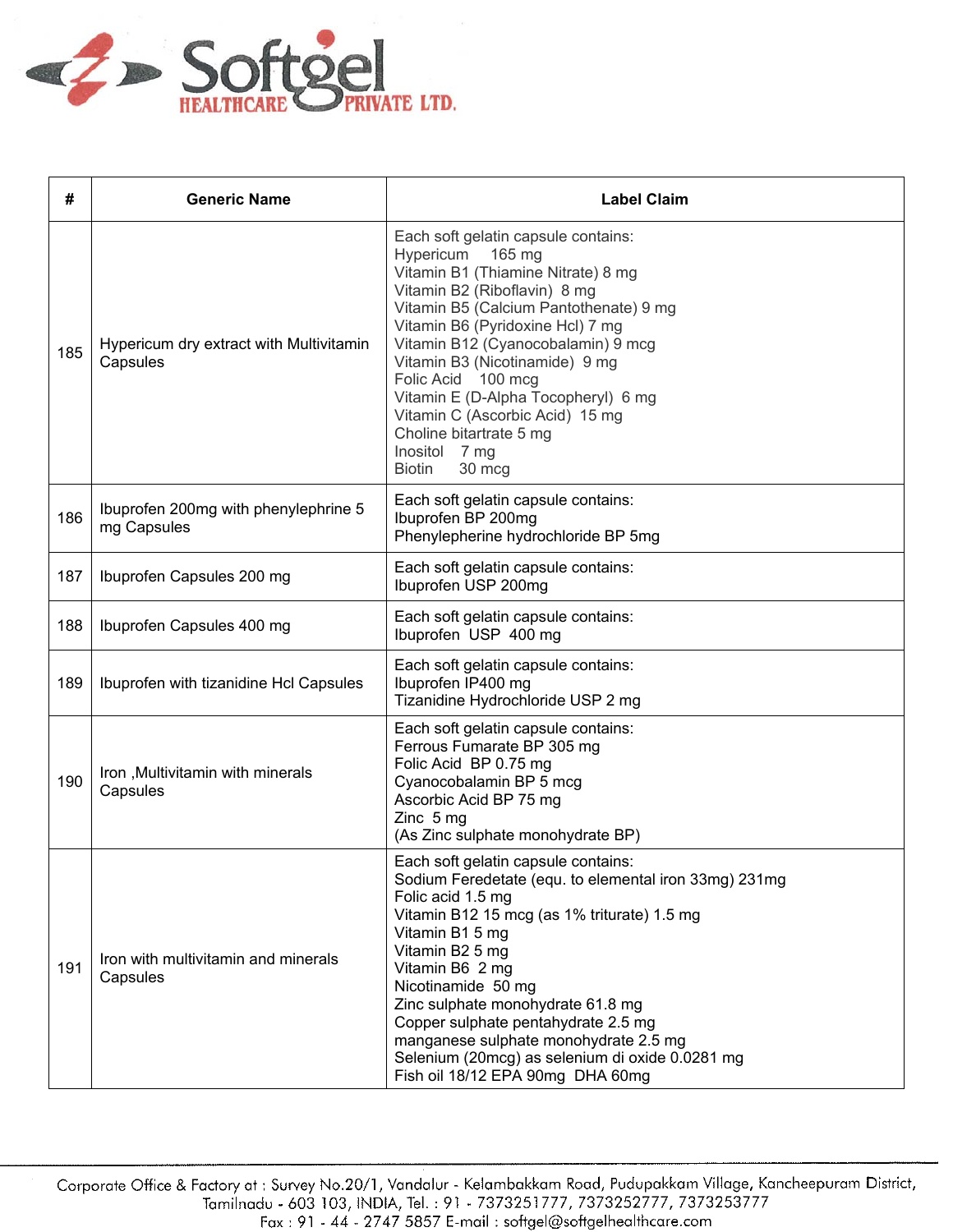

| #   | <b>Generic Name</b>                                 | <b>Label Claim</b>                                                                                                                                                                                                                                                                                                                                                                                                                                            |
|-----|-----------------------------------------------------|---------------------------------------------------------------------------------------------------------------------------------------------------------------------------------------------------------------------------------------------------------------------------------------------------------------------------------------------------------------------------------------------------------------------------------------------------------------|
| 185 | Hypericum dry extract with Multivitamin<br>Capsules | Each soft gelatin capsule contains:<br>Hypericum<br>165 mg<br>Vitamin B1 (Thiamine Nitrate) 8 mg<br>Vitamin B2 (Riboflavin) 8 mg<br>Vitamin B5 (Calcium Pantothenate) 9 mg<br>Vitamin B6 (Pyridoxine Hcl) 7 mg<br>Vitamin B12 (Cyanocobalamin) 9 mcg<br>Vitamin B3 (Nicotinamide) 9 mg<br>Folic Acid 100 mcg<br>Vitamin E (D-Alpha Tocopheryl) 6 mg<br>Vitamin C (Ascorbic Acid) 15 mg<br>Choline bitartrate 5 mg<br>Inositol 7 mg<br><b>Biotin</b><br>30 mcg |
| 186 | Ibuprofen 200mg with phenylephrine 5<br>mg Capsules | Each soft gelatin capsule contains:<br>Ibuprofen BP 200mg<br>Phenylepherine hydrochloride BP 5mg                                                                                                                                                                                                                                                                                                                                                              |
| 187 | Ibuprofen Capsules 200 mg                           | Each soft gelatin capsule contains:<br>Ibuprofen USP 200mg                                                                                                                                                                                                                                                                                                                                                                                                    |
| 188 | Ibuprofen Capsules 400 mg                           | Each soft gelatin capsule contains:<br>Ibuprofen USP 400 mg                                                                                                                                                                                                                                                                                                                                                                                                   |
| 189 | Ibuprofen with tizanidine Hcl Capsules              | Each soft gelatin capsule contains:<br>Ibuprofen IP400 mg<br>Tizanidine Hydrochloride USP 2 mg                                                                                                                                                                                                                                                                                                                                                                |
| 190 | Iron, Multivitamin with minerals<br>Capsules        | Each soft gelatin capsule contains:<br>Ferrous Fumarate BP 305 mg<br>Folic Acid BP 0.75 mg<br>Cyanocobalamin BP 5 mcg<br>Ascorbic Acid BP 75 mg<br>Zinc 5 mg<br>(As Zinc sulphate monohydrate BP)                                                                                                                                                                                                                                                             |
| 191 | Iron with multivitamin and minerals<br>Capsules     | Each soft gelatin capsule contains:<br>Sodium Feredetate (equ. to elemental iron 33mg) 231mg<br>Folic acid 1.5 mg<br>Vitamin B12 15 mcg (as 1% triturate) 1.5 mg<br>Vitamin B1 5 mg<br>Vitamin B2 5 mg<br>Vitamin B6 2 mg<br>Nicotinamide 50 mg<br>Zinc sulphate monohydrate 61.8 mg<br>Copper sulphate pentahydrate 2.5 mg<br>manganese sulphate monohydrate 2.5 mg<br>Selenium (20mcg) as selenium di oxide 0.0281 mg<br>Fish oil 18/12 EPA 90mg DHA 60mg   |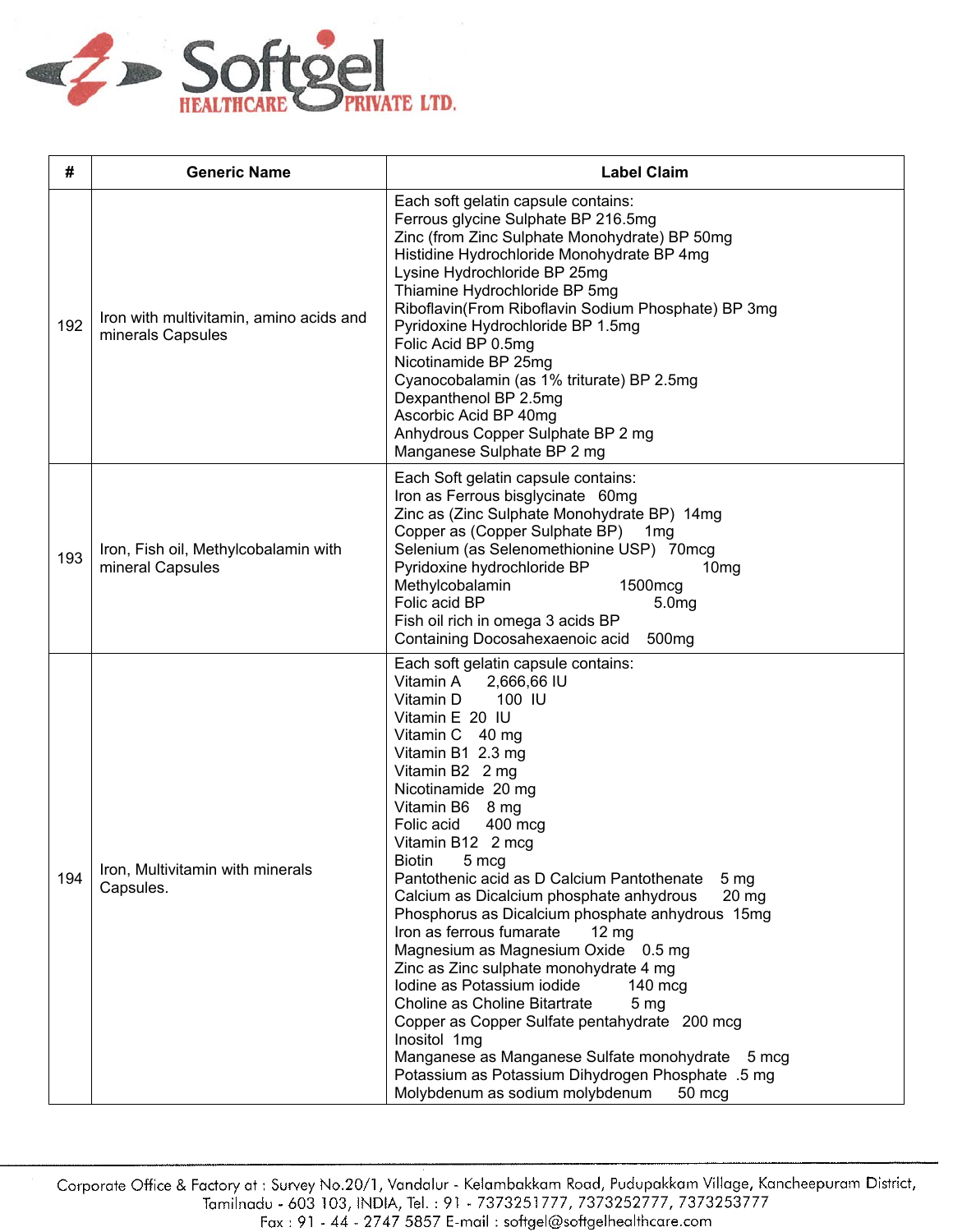

| #   | <b>Generic Name</b>                                          | <b>Label Claim</b>                                                                                                                                                                                                                                                                                                                                                                                                                                                                                                                                                                                                                                                                                                                                                                                                                                                                                                                |
|-----|--------------------------------------------------------------|-----------------------------------------------------------------------------------------------------------------------------------------------------------------------------------------------------------------------------------------------------------------------------------------------------------------------------------------------------------------------------------------------------------------------------------------------------------------------------------------------------------------------------------------------------------------------------------------------------------------------------------------------------------------------------------------------------------------------------------------------------------------------------------------------------------------------------------------------------------------------------------------------------------------------------------|
| 192 | Iron with multivitamin, amino acids and<br>minerals Capsules | Each soft gelatin capsule contains:<br>Ferrous glycine Sulphate BP 216.5mg<br>Zinc (from Zinc Sulphate Monohydrate) BP 50mg<br>Histidine Hydrochloride Monohydrate BP 4mg<br>Lysine Hydrochloride BP 25mg<br>Thiamine Hydrochloride BP 5mg<br>Riboflavin(From Riboflavin Sodium Phosphate) BP 3mg<br>Pyridoxine Hydrochloride BP 1.5mg<br>Folic Acid BP 0.5mg<br>Nicotinamide BP 25mg<br>Cyanocobalamin (as 1% triturate) BP 2.5mg<br>Dexpanthenol BP 2.5mg<br>Ascorbic Acid BP 40mg<br>Anhydrous Copper Sulphate BP 2 mg<br>Manganese Sulphate BP 2 mg                                                                                                                                                                                                                                                                                                                                                                           |
| 193 | Iron, Fish oil, Methylcobalamin with<br>mineral Capsules     | Each Soft gelatin capsule contains:<br>Iron as Ferrous bisglycinate 60mg<br>Zinc as (Zinc Sulphate Monohydrate BP) 14mg<br>Copper as (Copper Sulphate BP) 1mg<br>Selenium (as Selenomethionine USP) 70mcg<br>Pyridoxine hydrochloride BP<br>10 <sub>mg</sub><br>Methylcobalamin<br>1500mcg<br>Folic acid BP<br>5.0 <sub>mg</sub><br>Fish oil rich in omega 3 acids BP<br>Containing Docosahexaenoic acid<br>500 <sub>mg</sub>                                                                                                                                                                                                                                                                                                                                                                                                                                                                                                     |
| 194 | Iron, Multivitamin with minerals<br>Capsules.                | Each soft gelatin capsule contains:<br>Vitamin A<br>2,666,66 IU<br>100 IU<br>Vitamin D<br>Vitamin E 20 IU<br>Vitamin C 40 mg<br>Vitamin B1 2.3 mg<br>Vitamin B2 2 mg<br>Nicotinamide 20 mg<br>Vitamin B6 8 mg<br>400 mcg<br>Folic acid<br>Vitamin B12 2 mcg<br><b>Biotin</b><br>5 mcg<br>Pantothenic acid as D Calcium Pantothenate<br>5 <sub>mg</sub><br>Calcium as Dicalcium phosphate anhydrous<br>$20 \, mg$<br>Phosphorus as Dicalcium phosphate anhydrous 15mg<br>Iron as ferrous fumarate<br>$12 \text{ mg}$<br>Magnesium as Magnesium Oxide 0.5 mg<br>Zinc as Zinc sulphate monohydrate 4 mg<br>Iodine as Potassium iodide<br>$140 \text{ mc}$<br>Choline as Choline Bitartrate<br>5 <sub>mg</sub><br>Copper as Copper Sulfate pentahydrate 200 mcg<br>Inositol 1mg<br>Manganese as Manganese Sulfate monohydrate 5 mcg<br>Potassium as Potassium Dihydrogen Phosphate .5 mg<br>Molybdenum as sodium molybdenum<br>50 mcg |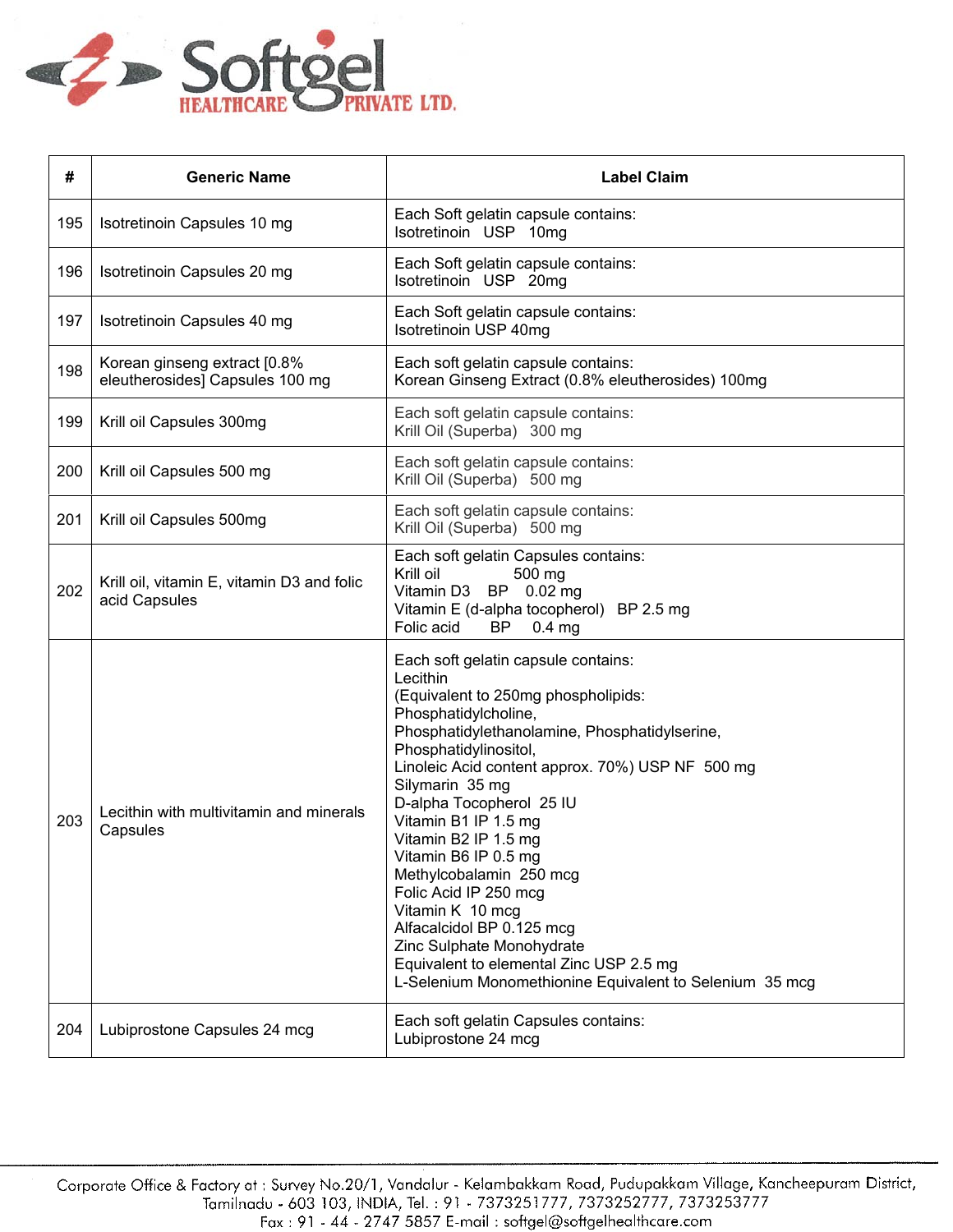

| #   | <b>Generic Name</b>                                             | <b>Label Claim</b>                                                                                                                                                                                                                                                                                                                                                                                                                                                                                                                                                                                          |
|-----|-----------------------------------------------------------------|-------------------------------------------------------------------------------------------------------------------------------------------------------------------------------------------------------------------------------------------------------------------------------------------------------------------------------------------------------------------------------------------------------------------------------------------------------------------------------------------------------------------------------------------------------------------------------------------------------------|
| 195 | Isotretinoin Capsules 10 mg                                     | Each Soft gelatin capsule contains:<br>Isotretinoin USP 10mg                                                                                                                                                                                                                                                                                                                                                                                                                                                                                                                                                |
| 196 | Isotretinoin Capsules 20 mg                                     | Each Soft gelatin capsule contains:<br>Isotretinoin USP 20mg                                                                                                                                                                                                                                                                                                                                                                                                                                                                                                                                                |
| 197 | Isotretinoin Capsules 40 mg                                     | Each Soft gelatin capsule contains:<br>Isotretinoin USP 40mg                                                                                                                                                                                                                                                                                                                                                                                                                                                                                                                                                |
| 198 | Korean ginseng extract [0.8%<br>eleutherosides] Capsules 100 mg | Each soft gelatin capsule contains:<br>Korean Ginseng Extract (0.8% eleutherosides) 100mg                                                                                                                                                                                                                                                                                                                                                                                                                                                                                                                   |
| 199 | Krill oil Capsules 300mg                                        | Each soft gelatin capsule contains:<br>Krill Oil (Superba) 300 mg                                                                                                                                                                                                                                                                                                                                                                                                                                                                                                                                           |
| 200 | Krill oil Capsules 500 mg                                       | Each soft gelatin capsule contains:<br>Krill Oil (Superba) 500 mg                                                                                                                                                                                                                                                                                                                                                                                                                                                                                                                                           |
| 201 | Krill oil Capsules 500mg                                        | Each soft gelatin capsule contains:<br>Krill Oil (Superba) 500 mg                                                                                                                                                                                                                                                                                                                                                                                                                                                                                                                                           |
| 202 | Krill oil, vitamin E, vitamin D3 and folic<br>acid Capsules     | Each soft gelatin Capsules contains:<br>Krill oil<br>500 mg<br>BP 0.02 mg<br>Vitamin D3<br>Vitamin E (d-alpha tocopherol) BP 2.5 mg<br>Folic acid<br><b>BP</b><br>0.4 <sub>mg</sub>                                                                                                                                                                                                                                                                                                                                                                                                                         |
| 203 | Lecithin with multivitamin and minerals<br>Capsules             | Each soft gelatin capsule contains:<br>Lecithin<br>(Equivalent to 250mg phospholipids:<br>Phosphatidylcholine,<br>Phosphatidylethanolamine, Phosphatidylserine,<br>Phosphatidylinositol,<br>Linoleic Acid content approx. 70%) USP NF 500 mg<br>Silymarin 35 mg<br>D-alpha Tocopherol 25 IU<br>Vitamin B1 IP 1.5 mg<br>Vitamin B2 IP 1.5 mg<br>Vitamin B6 IP 0.5 mg<br>Methylcobalamin 250 mcg<br>Folic Acid IP 250 mcg<br>Vitamin K 10 mcg<br>Alfacalcidol BP 0.125 mcg<br>Zinc Sulphate Monohydrate<br>Equivalent to elemental Zinc USP 2.5 mg<br>L-Selenium Monomethionine Equivalent to Selenium 35 mcg |
| 204 | Lubiprostone Capsules 24 mcg                                    | Each soft gelatin Capsules contains:<br>Lubiprostone 24 mcg                                                                                                                                                                                                                                                                                                                                                                                                                                                                                                                                                 |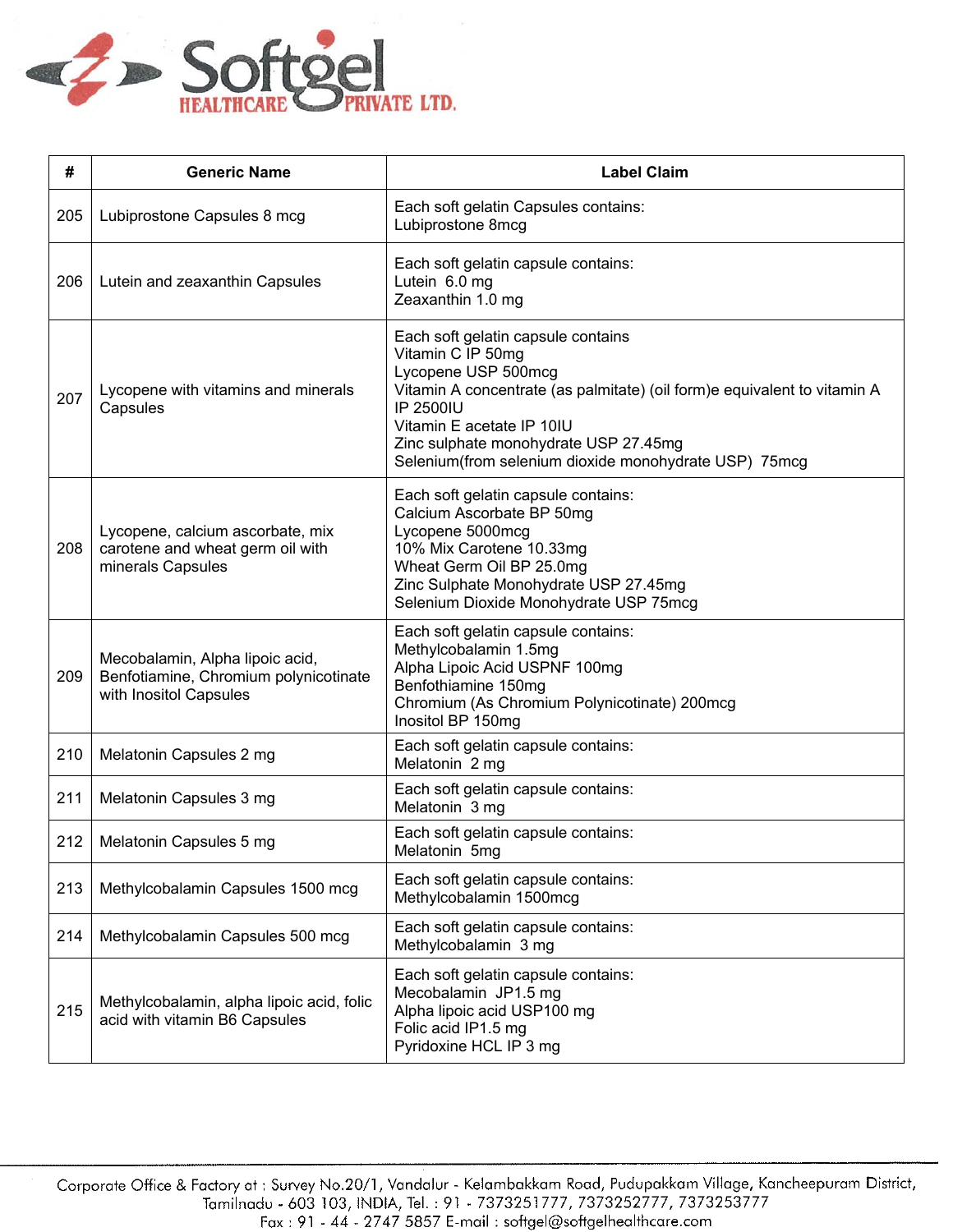

| #   | <b>Generic Name</b>                                                                                | <b>Label Claim</b>                                                                                                                                                                                                                                                                                     |
|-----|----------------------------------------------------------------------------------------------------|--------------------------------------------------------------------------------------------------------------------------------------------------------------------------------------------------------------------------------------------------------------------------------------------------------|
| 205 | Lubiprostone Capsules 8 mcg                                                                        | Each soft gelatin Capsules contains:<br>Lubiprostone 8mcg                                                                                                                                                                                                                                              |
| 206 | Lutein and zeaxanthin Capsules                                                                     | Each soft gelatin capsule contains:<br>Lutein 6.0 mg<br>Zeaxanthin 1.0 mg                                                                                                                                                                                                                              |
| 207 | Lycopene with vitamins and minerals<br>Capsules                                                    | Each soft gelatin capsule contains<br>Vitamin C IP 50mg<br>Lycopene USP 500mcg<br>Vitamin A concentrate (as palmitate) (oil form)e equivalent to vitamin A<br>IP 2500IU<br>Vitamin E acetate IP 10IU<br>Zinc sulphate monohydrate USP 27.45mg<br>Selenium(from selenium dioxide monohydrate USP) 75mcg |
| 208 | Lycopene, calcium ascorbate, mix<br>carotene and wheat germ oil with<br>minerals Capsules          | Each soft gelatin capsule contains:<br>Calcium Ascorbate BP 50mg<br>Lycopene 5000mcg<br>10% Mix Carotene 10.33mg<br>Wheat Germ Oil BP 25.0mg<br>Zinc Sulphate Monohydrate USP 27.45mg<br>Selenium Dioxide Monohydrate USP 75mcg                                                                        |
| 209 | Mecobalamin, Alpha lipoic acid,<br>Benfotiamine, Chromium polynicotinate<br>with Inositol Capsules | Each soft gelatin capsule contains:<br>Methylcobalamin 1.5mg<br>Alpha Lipoic Acid USPNF 100mg<br>Benfothiamine 150mg<br>Chromium (As Chromium Polynicotinate) 200mcg<br>Inositol BP 150mg                                                                                                              |
| 210 | Melatonin Capsules 2 mg                                                                            | Each soft gelatin capsule contains:<br>Melatonin 2 mg                                                                                                                                                                                                                                                  |
| 211 | Melatonin Capsules 3 mg                                                                            | Each soft gelatin capsule contains:<br>Melatonin 3 mg                                                                                                                                                                                                                                                  |
| 212 | Melatonin Capsules 5 mg                                                                            | Each soft gelatin capsule contains:<br>Melatonin 5mg                                                                                                                                                                                                                                                   |
| 213 | Methylcobalamin Capsules 1500 mcg                                                                  | Each soft gelatin capsule contains:<br>Methylcobalamin 1500mcg                                                                                                                                                                                                                                         |
| 214 | Methylcobalamin Capsules 500 mcg                                                                   | Each soft gelatin capsule contains:<br>Methylcobalamin 3 mg                                                                                                                                                                                                                                            |
| 215 | Methylcobalamin, alpha lipoic acid, folic<br>acid with vitamin B6 Capsules                         | Each soft gelatin capsule contains:<br>Mecobalamin JP1.5 mg<br>Alpha lipoic acid USP100 mg<br>Folic acid IP1.5 mg<br>Pyridoxine HCL IP 3 mg                                                                                                                                                            |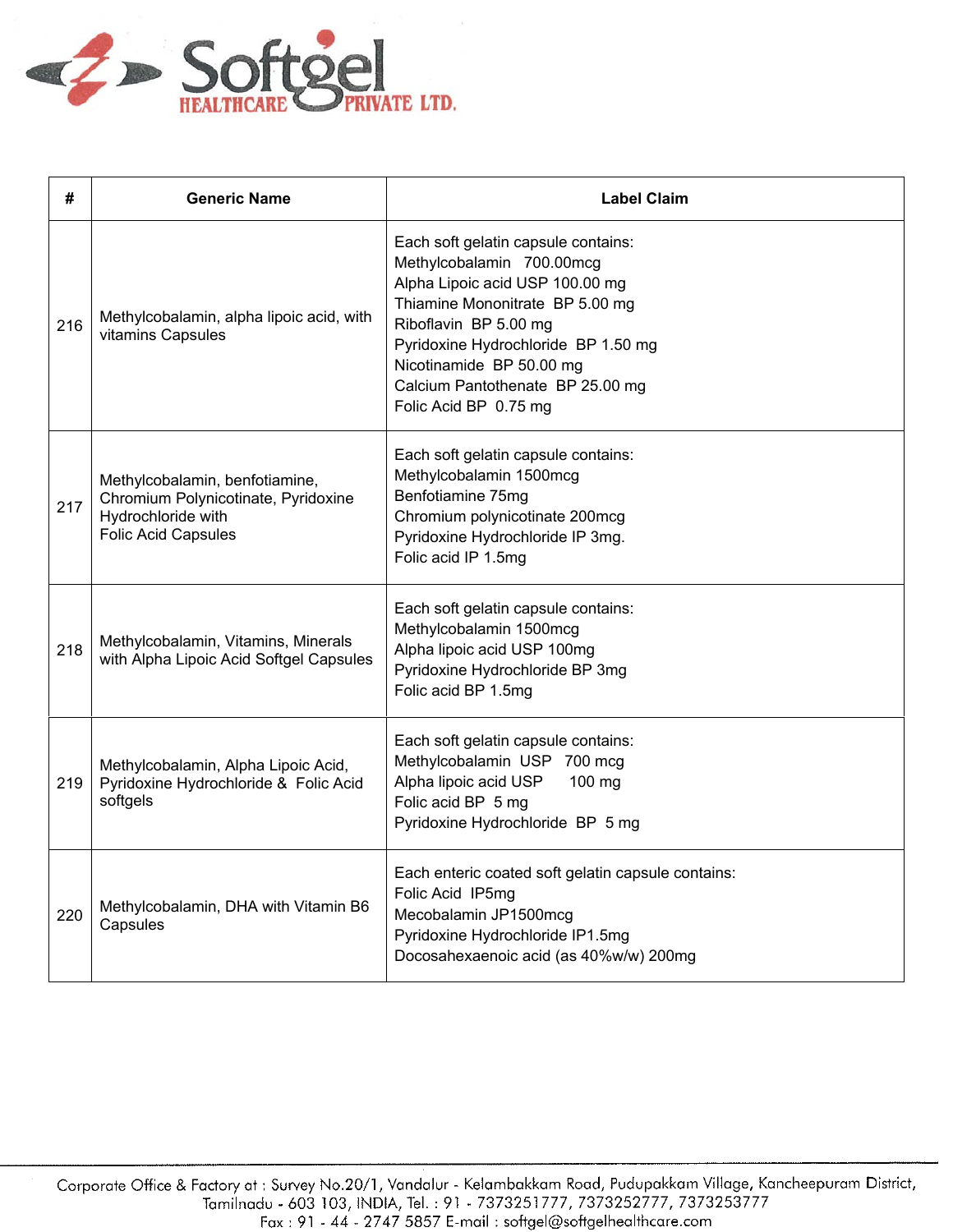

| #   | <b>Generic Name</b>                                                                                                       | <b>Label Claim</b>                                                                                                                                                                                                                                                                              |
|-----|---------------------------------------------------------------------------------------------------------------------------|-------------------------------------------------------------------------------------------------------------------------------------------------------------------------------------------------------------------------------------------------------------------------------------------------|
| 216 | Methylcobalamin, alpha lipoic acid, with<br>vitamins Capsules                                                             | Each soft gelatin capsule contains:<br>Methylcobalamin 700.00mcg<br>Alpha Lipoic acid USP 100.00 mg<br>Thiamine Mononitrate BP 5.00 mg<br>Riboflavin BP 5.00 mg<br>Pyridoxine Hydrochloride BP 1.50 mg<br>Nicotinamide BP 50.00 mg<br>Calcium Pantothenate BP 25.00 mg<br>Folic Acid BP 0.75 mg |
| 217 | Methylcobalamin, benfotiamine,<br>Chromium Polynicotinate, Pyridoxine<br>Hydrochloride with<br><b>Folic Acid Capsules</b> | Each soft gelatin capsule contains:<br>Methylcobalamin 1500mcg<br>Benfotiamine 75mg<br>Chromium polynicotinate 200mcg<br>Pyridoxine Hydrochloride IP 3mg.<br>Folic acid IP 1.5mg                                                                                                                |
| 218 | Methylcobalamin, Vitamins, Minerals<br>with Alpha Lipoic Acid Softgel Capsules                                            | Each soft gelatin capsule contains:<br>Methylcobalamin 1500mcg<br>Alpha lipoic acid USP 100mg<br>Pyridoxine Hydrochloride BP 3mg<br>Folic acid BP 1.5mg                                                                                                                                         |
| 219 | Methylcobalamin, Alpha Lipoic Acid,<br>Pyridoxine Hydrochloride & Folic Acid<br>softgels                                  | Each soft gelatin capsule contains:<br>Methylcobalamin USP 700 mcg<br>Alpha lipoic acid USP<br>100 mg<br>Folic acid BP 5 mg<br>Pyridoxine Hydrochloride BP 5 mg                                                                                                                                 |
| 220 | Methylcobalamin, DHA with Vitamin B6<br>Capsules                                                                          | Each enteric coated soft gelatin capsule contains:<br>Folic Acid IP5mg<br>Mecobalamin JP1500mcg<br>Pyridoxine Hydrochloride IP1.5mg<br>Docosahexaenoic acid (as 40%w/w) 200mg                                                                                                                   |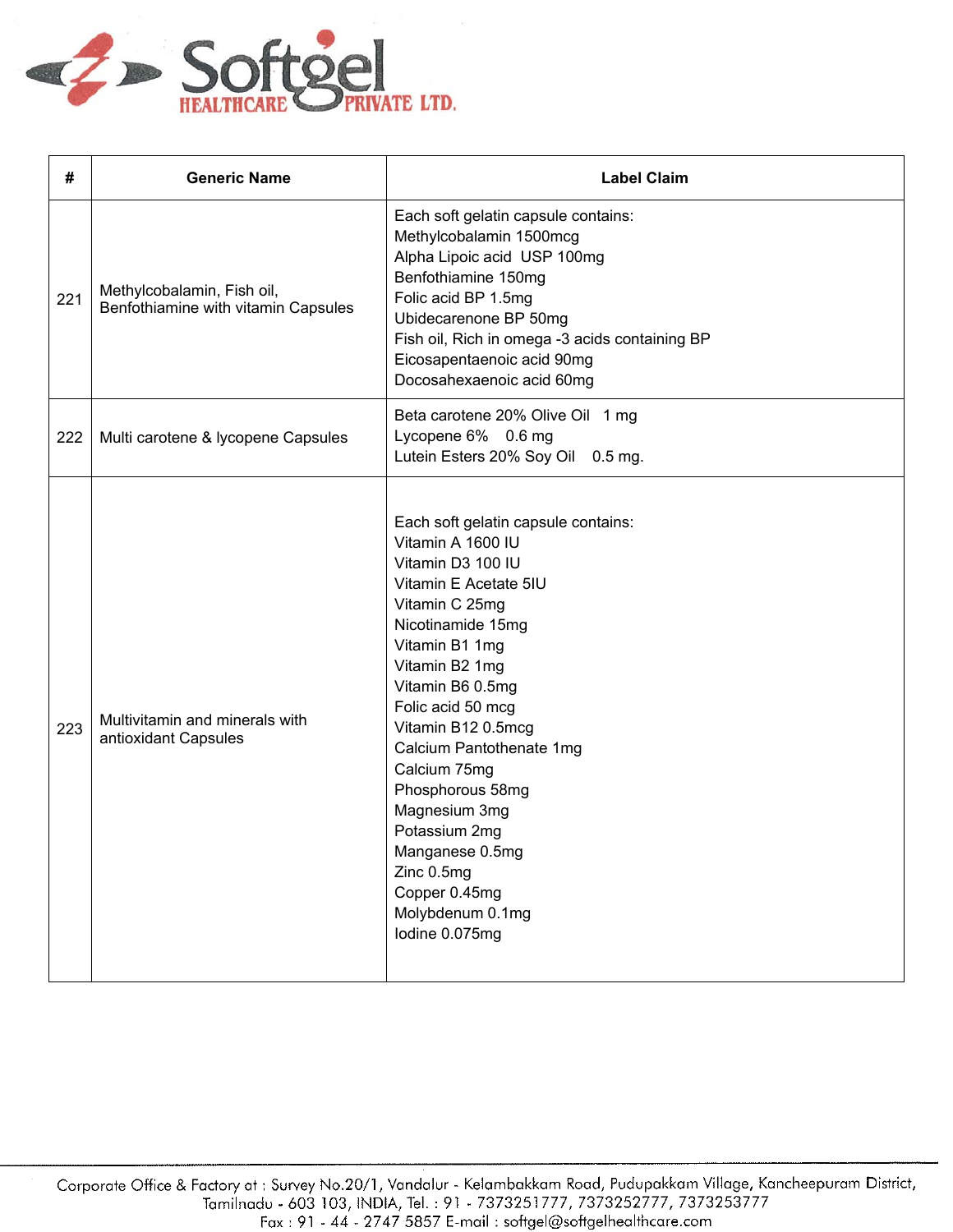

| #   | <b>Generic Name</b>                                               | <b>Label Claim</b>                                                                                                                                                                                                                                                                                                                                                                                                                         |
|-----|-------------------------------------------------------------------|--------------------------------------------------------------------------------------------------------------------------------------------------------------------------------------------------------------------------------------------------------------------------------------------------------------------------------------------------------------------------------------------------------------------------------------------|
| 221 | Methylcobalamin, Fish oil,<br>Benfothiamine with vitamin Capsules | Each soft gelatin capsule contains:<br>Methylcobalamin 1500mcg<br>Alpha Lipoic acid USP 100mg<br>Benfothiamine 150mg<br>Folic acid BP 1.5mg<br>Ubidecarenone BP 50mg<br>Fish oil, Rich in omega -3 acids containing BP<br>Eicosapentaenoic acid 90mg<br>Docosahexaenoic acid 60mg                                                                                                                                                          |
| 222 | Multi carotene & lycopene Capsules                                | Beta carotene 20% Olive Oil 1 mg<br>Lycopene 6% 0.6 mg<br>Lutein Esters 20% Soy Oil 0.5 mg.                                                                                                                                                                                                                                                                                                                                                |
| 223 | Multivitamin and minerals with<br>antioxidant Capsules            | Each soft gelatin capsule contains:<br>Vitamin A 1600 IU<br>Vitamin D3 100 IU<br>Vitamin E Acetate 5IU<br>Vitamin C 25mg<br>Nicotinamide 15mg<br>Vitamin B1 1mg<br>Vitamin B2 1mg<br>Vitamin B6 0.5mg<br>Folic acid 50 mcg<br>Vitamin B12 0.5mcg<br>Calcium Pantothenate 1mg<br>Calcium 75mg<br>Phosphorous 58mg<br>Magnesium 3mg<br>Potassium 2mg<br>Manganese 0.5mg<br>Zinc 0.5mg<br>Copper 0.45mg<br>Molybdenum 0.1mg<br>lodine 0.075mg |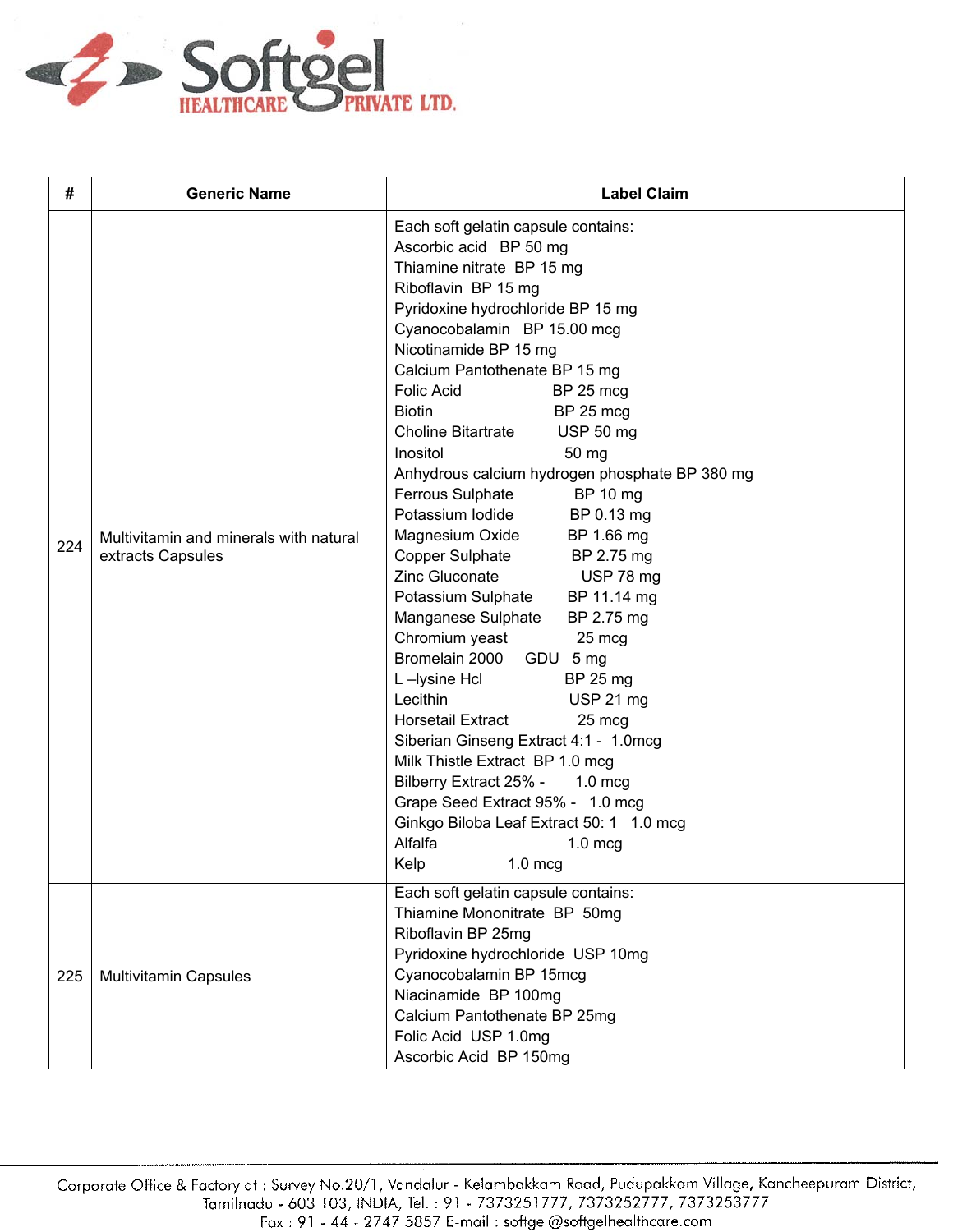

| #   | <b>Generic Name</b>                                         | <b>Label Claim</b>                                                                                                                                                                                                                                                                                                                                                                                                                                                                                                                                                                                                                                                                                                                                                                                                                                                                                                                                                                                                                                                                        |
|-----|-------------------------------------------------------------|-------------------------------------------------------------------------------------------------------------------------------------------------------------------------------------------------------------------------------------------------------------------------------------------------------------------------------------------------------------------------------------------------------------------------------------------------------------------------------------------------------------------------------------------------------------------------------------------------------------------------------------------------------------------------------------------------------------------------------------------------------------------------------------------------------------------------------------------------------------------------------------------------------------------------------------------------------------------------------------------------------------------------------------------------------------------------------------------|
| 224 | Multivitamin and minerals with natural<br>extracts Capsules | Each soft gelatin capsule contains:<br>Ascorbic acid BP 50 mg<br>Thiamine nitrate BP 15 mg<br>Riboflavin BP 15 mg<br>Pyridoxine hydrochloride BP 15 mg<br>Cyanocobalamin BP 15.00 mcg<br>Nicotinamide BP 15 mg<br>Calcium Pantothenate BP 15 mg<br>Folic Acid<br>BP 25 mcg<br><b>Biotin</b><br>BP 25 mcg<br><b>USP 50 mg</b><br><b>Choline Bitartrate</b><br>50 mg<br>Inositol<br>Anhydrous calcium hydrogen phosphate BP 380 mg<br>Ferrous Sulphate<br><b>BP 10 mg</b><br>Potassium lodide<br>BP 0.13 mg<br>Magnesium Oxide<br>BP 1.66 mg<br>Copper Sulphate<br>BP 2.75 mg<br>Zinc Gluconate<br>USP 78 mg<br>Potassium Sulphate<br>BP 11.14 mg<br>Manganese Sulphate<br>BP 2.75 mg<br>Chromium yeast<br>25 mcg<br>Bromelain 2000<br>GDU 5 mg<br>L –lysine Hcl<br>BP 25 mg<br>Lecithin<br>USP 21 mg<br><b>Horsetail Extract</b><br>25 mcg<br>Siberian Ginseng Extract 4:1 - 1.0mcg<br>Milk Thistle Extract BP 1.0 mcg<br>Bilberry Extract 25% -<br>$1.0$ mcg<br>Grape Seed Extract 95% - 1.0 mcg<br>Ginkgo Biloba Leaf Extract 50: 1 1.0 mcg<br>Alfalfa<br>$1.0$ mcg<br>$1.0$ mcg<br>Kelp |
| 225 | <b>Multivitamin Capsules</b>                                | Each soft gelatin capsule contains:<br>Thiamine Mononitrate BP 50mg<br>Riboflavin BP 25mg<br>Pyridoxine hydrochloride USP 10mg<br>Cyanocobalamin BP 15mcg<br>Niacinamide BP 100mg<br>Calcium Pantothenate BP 25mg<br>Folic Acid USP 1.0mg<br>Ascorbic Acid BP 150mg                                                                                                                                                                                                                                                                                                                                                                                                                                                                                                                                                                                                                                                                                                                                                                                                                       |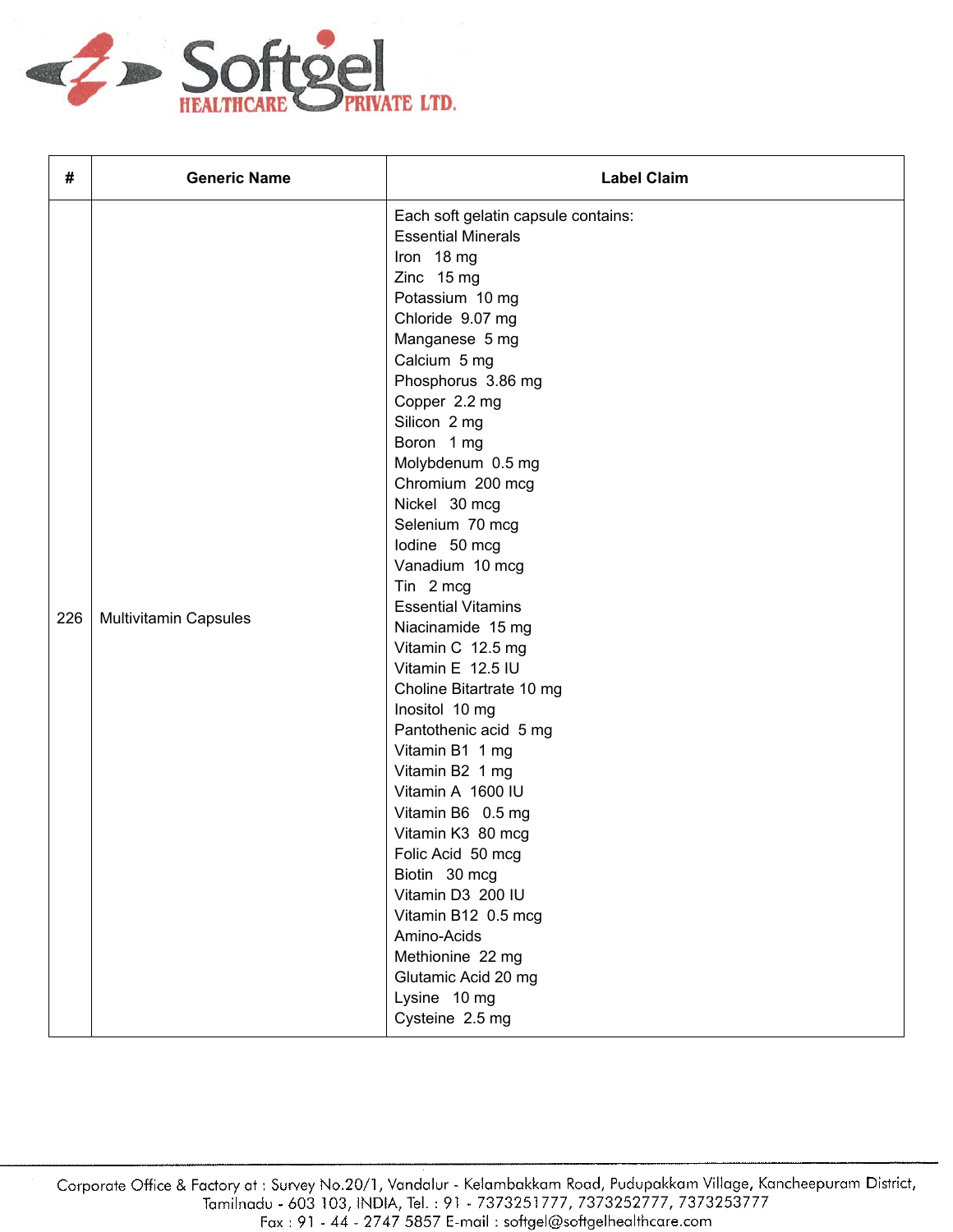

| #   | <b>Generic Name</b>          | <b>Label Claim</b>                                                                                                                                                                                                                                                                                                                                                                                                                                                                                                                                                                                                                                                                                                                                                                                                              |
|-----|------------------------------|---------------------------------------------------------------------------------------------------------------------------------------------------------------------------------------------------------------------------------------------------------------------------------------------------------------------------------------------------------------------------------------------------------------------------------------------------------------------------------------------------------------------------------------------------------------------------------------------------------------------------------------------------------------------------------------------------------------------------------------------------------------------------------------------------------------------------------|
| 226 | <b>Multivitamin Capsules</b> | Each soft gelatin capsule contains:<br><b>Essential Minerals</b><br>Iron 18 mg<br>Zinc 15 mg<br>Potassium 10 mg<br>Chloride 9.07 mg<br>Manganese 5 mg<br>Calcium 5 mg<br>Phosphorus 3.86 mg<br>Copper 2.2 mg<br>Silicon 2 mg<br>Boron 1 mg<br>Molybdenum 0.5 mg<br>Chromium 200 mcg<br>Nickel 30 mcg<br>Selenium 70 mcg<br>lodine 50 mcg<br>Vanadium 10 mcg<br>Tin 2 mcg<br><b>Essential Vitamins</b><br>Niacinamide 15 mg<br>Vitamin C 12.5 mg<br>Vitamin E 12.5 IU<br>Choline Bitartrate 10 mg<br>Inositol 10 mg<br>Pantothenic acid 5 mg<br>Vitamin B1 1 mg<br>Vitamin B2 1 mg<br>Vitamin A 1600 IU<br>Vitamin B6 0.5 mg<br>Vitamin K3 80 mcg<br>Folic Acid 50 mcg<br>Biotin 30 mcg<br>Vitamin D3 200 IU<br>Vitamin B12 0.5 mcg<br>Amino-Acids<br>Methionine 22 mg<br>Glutamic Acid 20 mg<br>Lysine 10 mg<br>Cysteine 2.5 mg |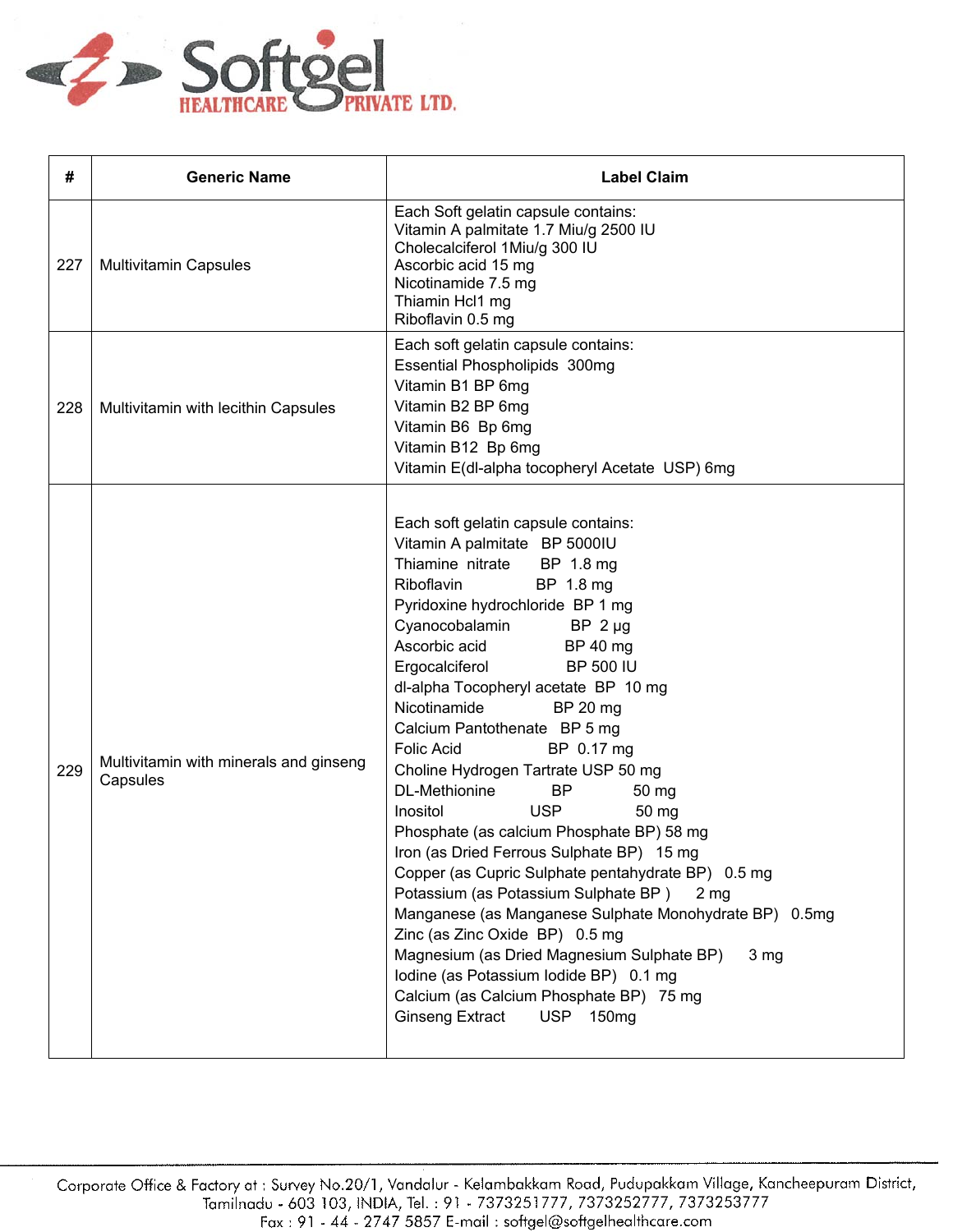

| #   | <b>Generic Name</b>                                | <b>Label Claim</b>                                                                                                                                                                                                                                                                                                                                                                                                                                                                                                                                                                                                                                                                                                                                                                                                                                                                                                                                                                                                   |
|-----|----------------------------------------------------|----------------------------------------------------------------------------------------------------------------------------------------------------------------------------------------------------------------------------------------------------------------------------------------------------------------------------------------------------------------------------------------------------------------------------------------------------------------------------------------------------------------------------------------------------------------------------------------------------------------------------------------------------------------------------------------------------------------------------------------------------------------------------------------------------------------------------------------------------------------------------------------------------------------------------------------------------------------------------------------------------------------------|
| 227 | <b>Multivitamin Capsules</b>                       | Each Soft gelatin capsule contains:<br>Vitamin A palmitate 1.7 Miu/g 2500 IU<br>Cholecalciferol 1Miu/g 300 IU<br>Ascorbic acid 15 mg<br>Nicotinamide 7.5 mg<br>Thiamin Hcl1 mg<br>Riboflavin 0.5 mg                                                                                                                                                                                                                                                                                                                                                                                                                                                                                                                                                                                                                                                                                                                                                                                                                  |
| 228 | Multivitamin with lecithin Capsules                | Each soft gelatin capsule contains:<br>Essential Phospholipids 300mg<br>Vitamin B1 BP 6mg<br>Vitamin B2 BP 6mg<br>Vitamin B6 Bp 6mg<br>Vitamin B12 Bp 6mg<br>Vitamin E(dl-alpha tocopheryl Acetate USP) 6mg                                                                                                                                                                                                                                                                                                                                                                                                                                                                                                                                                                                                                                                                                                                                                                                                          |
| 229 | Multivitamin with minerals and ginseng<br>Capsules | Each soft gelatin capsule contains:<br>Vitamin A palmitate BP 5000IU<br>Thiamine nitrate<br>BP 1.8 mg<br>Riboflavin<br>BP 1.8 mg<br>Pyridoxine hydrochloride BP 1 mg<br>Cyanocobalamin<br>$BP$ 2 µg<br>Ascorbic acid<br>BP 40 mg<br>Ergocalciferol<br><b>BP 500 IU</b><br>dl-alpha Tocopheryl acetate BP 10 mg<br>Nicotinamide<br>BP 20 mg<br>Calcium Pantothenate BP 5 mg<br>Folic Acid<br>BP 0.17 mg<br>Choline Hydrogen Tartrate USP 50 mg<br>DL-Methionine<br><b>BP</b><br>50 mg<br><b>USP</b><br>Inositol<br>50 mg<br>Phosphate (as calcium Phosphate BP) 58 mg<br>Iron (as Dried Ferrous Sulphate BP) 15 mg<br>Copper (as Cupric Sulphate pentahydrate BP) 0.5 mg<br>Potassium (as Potassium Sulphate BP)<br>2 <sub>ma</sub><br>Manganese (as Manganese Sulphate Monohydrate BP) 0.5mg<br>Zinc (as Zinc Oxide BP) 0.5 mg<br>Magnesium (as Dried Magnesium Sulphate BP)<br>3 <sub>mg</sub><br>lodine (as Potassium lodide BP) 0.1 mg<br>Calcium (as Calcium Phosphate BP) 75 mg<br>Ginseng Extract<br>USP 150mg |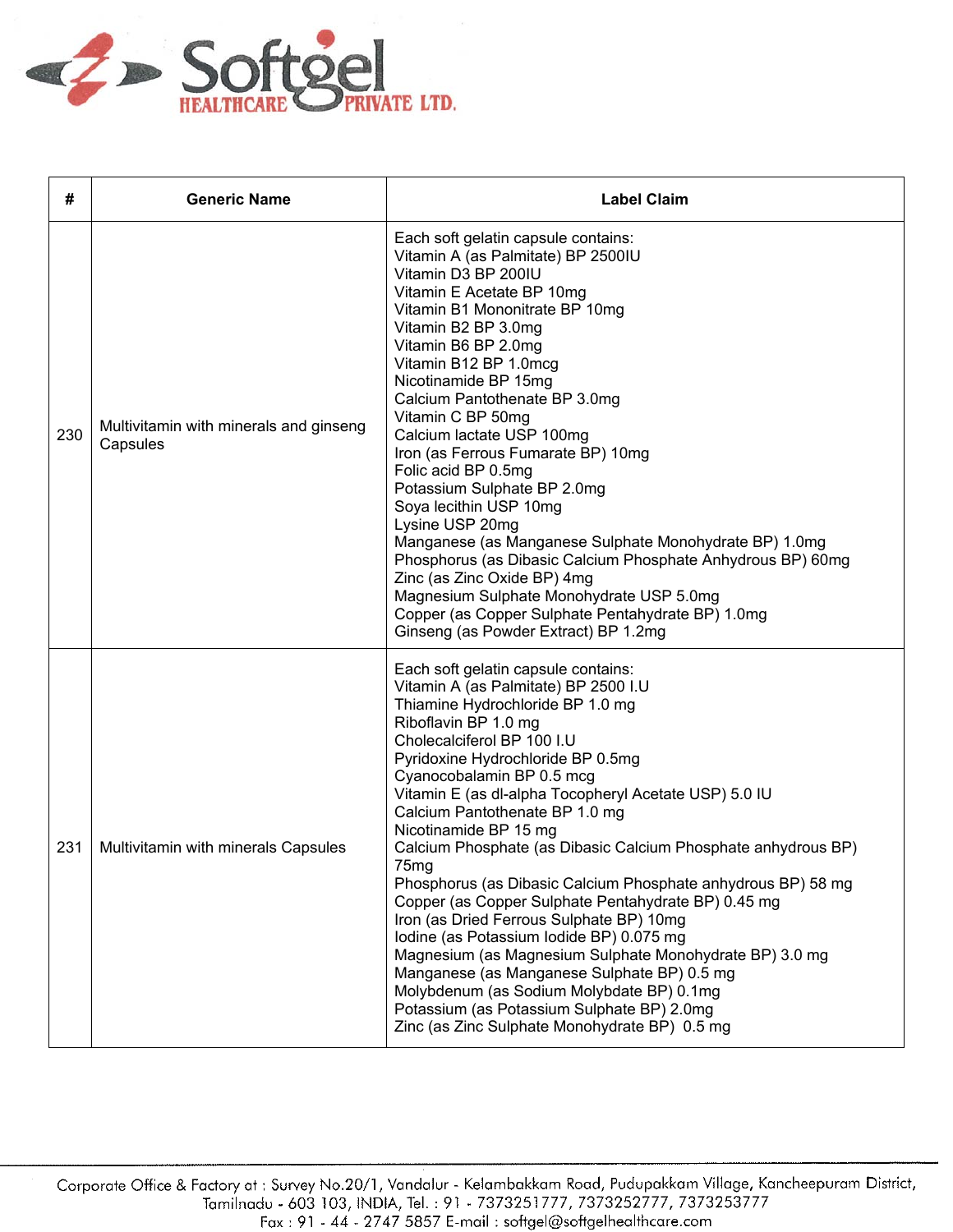

| #   | <b>Generic Name</b>                                | <b>Label Claim</b>                                                                                                                                                                                                                                                                                                                                                                                                                                                                                                                                                                                                                                                                                                                                                                                                                                                                                                    |
|-----|----------------------------------------------------|-----------------------------------------------------------------------------------------------------------------------------------------------------------------------------------------------------------------------------------------------------------------------------------------------------------------------------------------------------------------------------------------------------------------------------------------------------------------------------------------------------------------------------------------------------------------------------------------------------------------------------------------------------------------------------------------------------------------------------------------------------------------------------------------------------------------------------------------------------------------------------------------------------------------------|
| 230 | Multivitamin with minerals and ginseng<br>Capsules | Each soft gelatin capsule contains:<br>Vitamin A (as Palmitate) BP 2500IU<br>Vitamin D3 BP 200IU<br>Vitamin E Acetate BP 10mg<br>Vitamin B1 Mononitrate BP 10mg<br>Vitamin B2 BP 3.0mg<br>Vitamin B6 BP 2.0mg<br>Vitamin B12 BP 1.0mcg<br>Nicotinamide BP 15mg<br>Calcium Pantothenate BP 3.0mg<br>Vitamin C BP 50mg<br>Calcium lactate USP 100mg<br>Iron (as Ferrous Fumarate BP) 10mg<br>Folic acid BP 0.5mg<br>Potassium Sulphate BP 2.0mg<br>Soya lecithin USP 10mg<br>Lysine USP 20mg<br>Manganese (as Manganese Sulphate Monohydrate BP) 1.0mg<br>Phosphorus (as Dibasic Calcium Phosphate Anhydrous BP) 60mg<br>Zinc (as Zinc Oxide BP) 4mg<br>Magnesium Sulphate Monohydrate USP 5.0mg<br>Copper (as Copper Sulphate Pentahydrate BP) 1.0mg<br>Ginseng (as Powder Extract) BP 1.2mg                                                                                                                           |
| 231 | Multivitamin with minerals Capsules                | Each soft gelatin capsule contains:<br>Vitamin A (as Palmitate) BP 2500 I.U<br>Thiamine Hydrochloride BP 1.0 mg<br>Riboflavin BP 1.0 mg<br>Cholecalciferol BP 100 I.U<br>Pyridoxine Hydrochloride BP 0.5mg<br>Cyanocobalamin BP 0.5 mcg<br>Vitamin E (as dl-alpha Tocopheryl Acetate USP) 5.0 IU<br>Calcium Pantothenate BP 1.0 mg<br>Nicotinamide BP 15 mg<br>Calcium Phosphate (as Dibasic Calcium Phosphate anhydrous BP)<br>75 <sub>mg</sub><br>Phosphorus (as Dibasic Calcium Phosphate anhydrous BP) 58 mg<br>Copper (as Copper Sulphate Pentahydrate BP) 0.45 mg<br>Iron (as Dried Ferrous Sulphate BP) 10mg<br>Iodine (as Potassium Iodide BP) 0.075 mg<br>Magnesium (as Magnesium Sulphate Monohydrate BP) 3.0 mg<br>Manganese (as Manganese Sulphate BP) 0.5 mg<br>Molybdenum (as Sodium Molybdate BP) 0.1mg<br>Potassium (as Potassium Sulphate BP) 2.0mg<br>Zinc (as Zinc Sulphate Monohydrate BP) 0.5 mg |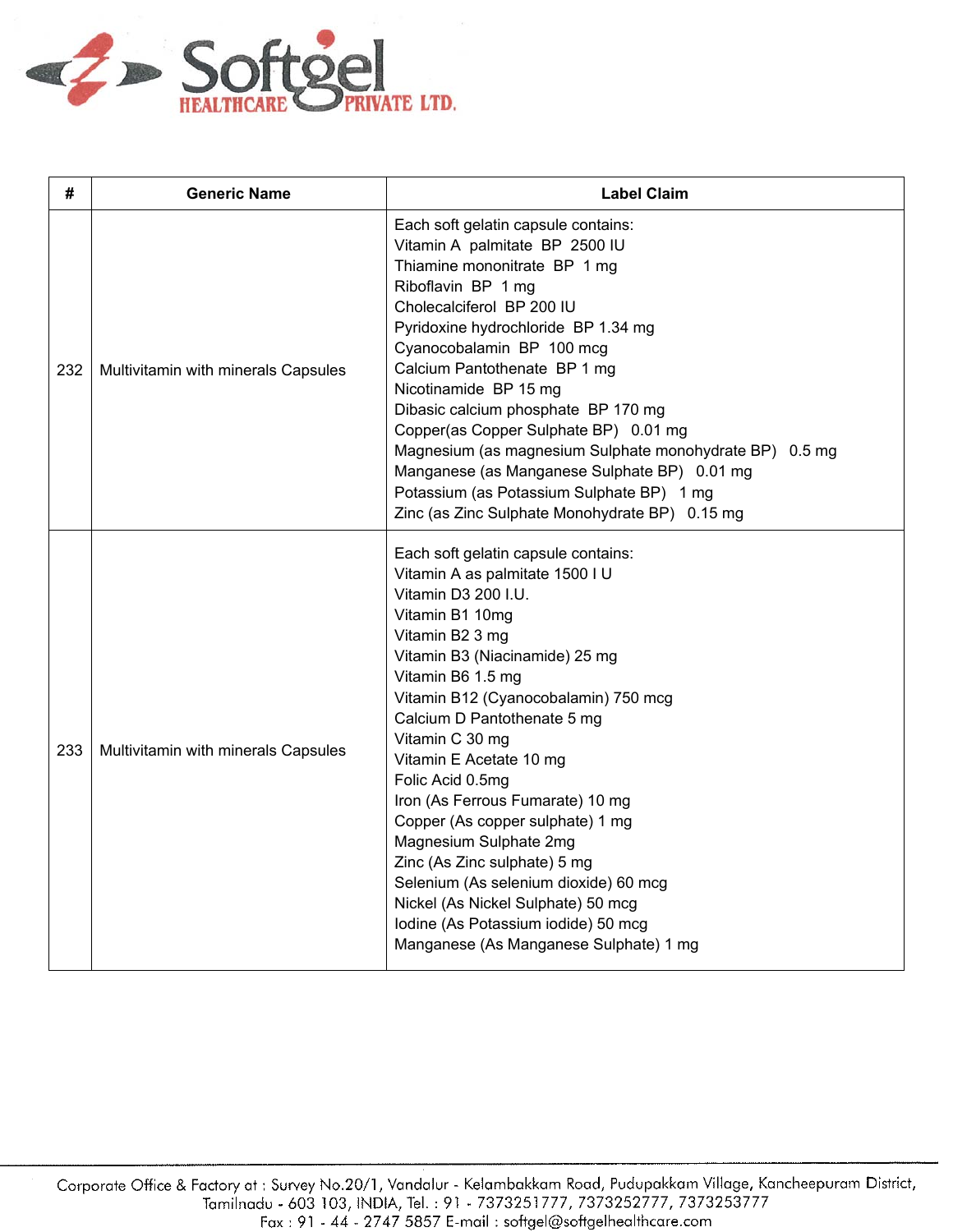

| #   | <b>Generic Name</b>                 | <b>Label Claim</b>                                                                                                                                                                                                                                                                                                                                                                                                                                                                                                                                                                                                                    |
|-----|-------------------------------------|---------------------------------------------------------------------------------------------------------------------------------------------------------------------------------------------------------------------------------------------------------------------------------------------------------------------------------------------------------------------------------------------------------------------------------------------------------------------------------------------------------------------------------------------------------------------------------------------------------------------------------------|
| 232 | Multivitamin with minerals Capsules | Each soft gelatin capsule contains:<br>Vitamin A palmitate BP 2500 IU<br>Thiamine mononitrate BP 1 mg<br>Riboflavin BP 1 mg<br>Cholecalciferol BP 200 IU<br>Pyridoxine hydrochloride BP 1.34 mg<br>Cyanocobalamin BP 100 mcg<br>Calcium Pantothenate BP 1 mg<br>Nicotinamide BP 15 mg<br>Dibasic calcium phosphate BP 170 mg<br>Copper(as Copper Sulphate BP) 0.01 mg<br>Magnesium (as magnesium Sulphate monohydrate BP) 0.5 mg<br>Manganese (as Manganese Sulphate BP) 0.01 mg<br>Potassium (as Potassium Sulphate BP) 1 mg<br>Zinc (as Zinc Sulphate Monohydrate BP) 0.15 mg                                                       |
| 233 | Multivitamin with minerals Capsules | Each soft gelatin capsule contains:<br>Vitamin A as palmitate 1500 I U<br>Vitamin D3 200 I.U.<br>Vitamin B1 10mg<br>Vitamin B2 3 mg<br>Vitamin B3 (Niacinamide) 25 mg<br>Vitamin B6 1.5 mg<br>Vitamin B12 (Cyanocobalamin) 750 mcg<br>Calcium D Pantothenate 5 mg<br>Vitamin C 30 mg<br>Vitamin E Acetate 10 mg<br>Folic Acid 0.5mg<br>Iron (As Ferrous Fumarate) 10 mg<br>Copper (As copper sulphate) 1 mg<br>Magnesium Sulphate 2mg<br>Zinc (As Zinc sulphate) 5 mg<br>Selenium (As selenium dioxide) 60 mcg<br>Nickel (As Nickel Sulphate) 50 mcg<br>Iodine (As Potassium iodide) 50 mcg<br>Manganese (As Manganese Sulphate) 1 mg |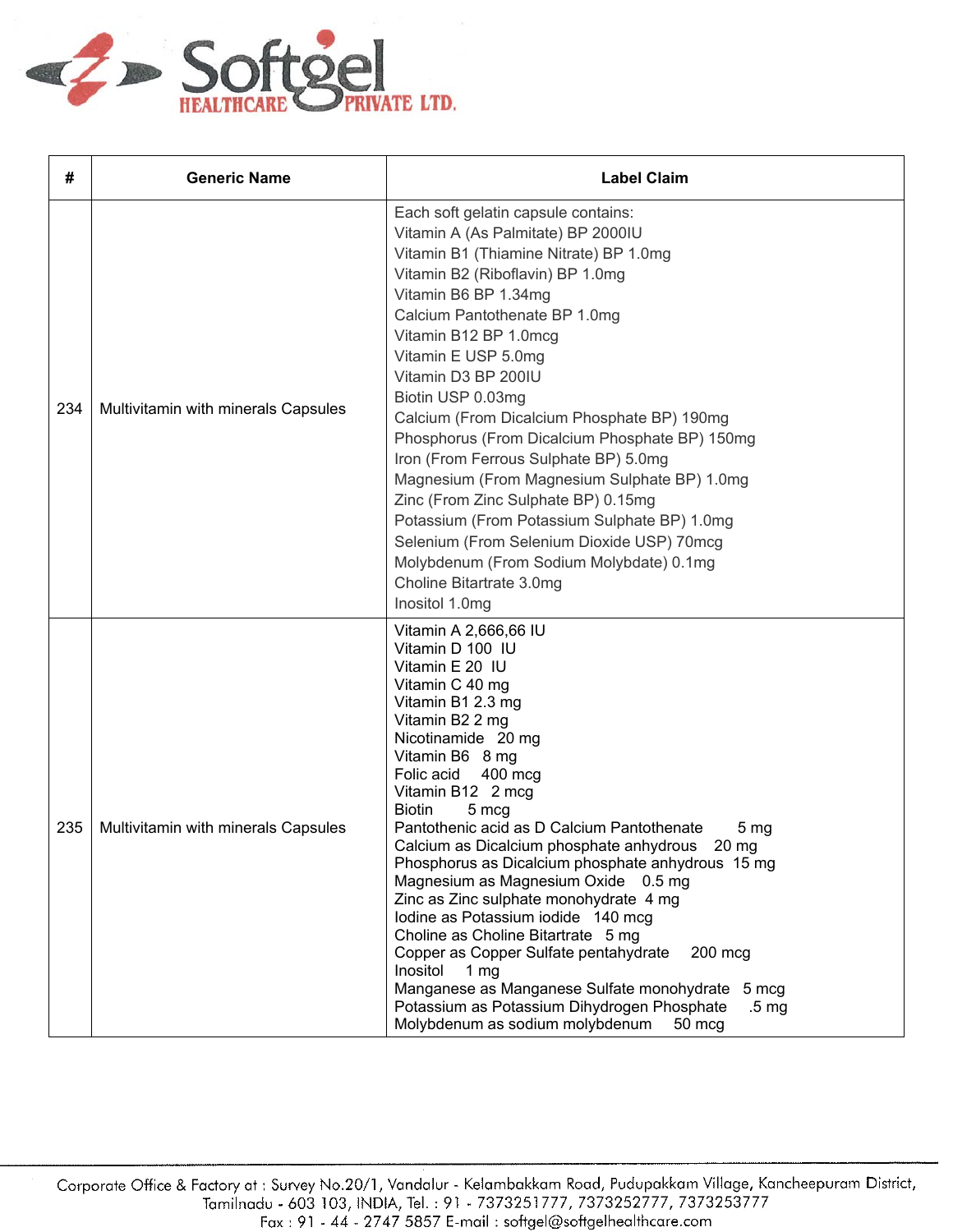

| #   | <b>Generic Name</b>                 | <b>Label Claim</b>                                                                                                                                                                                                                                                                                                                                                                                                                                                                                                                                                                                                                                                                                                                                                                                                                         |
|-----|-------------------------------------|--------------------------------------------------------------------------------------------------------------------------------------------------------------------------------------------------------------------------------------------------------------------------------------------------------------------------------------------------------------------------------------------------------------------------------------------------------------------------------------------------------------------------------------------------------------------------------------------------------------------------------------------------------------------------------------------------------------------------------------------------------------------------------------------------------------------------------------------|
| 234 | Multivitamin with minerals Capsules | Each soft gelatin capsule contains:<br>Vitamin A (As Palmitate) BP 2000IU<br>Vitamin B1 (Thiamine Nitrate) BP 1.0mg<br>Vitamin B2 (Riboflavin) BP 1.0mg<br>Vitamin B6 BP 1.34mg<br>Calcium Pantothenate BP 1.0mg<br>Vitamin B12 BP 1.0mcg<br>Vitamin E USP 5.0mg<br>Vitamin D3 BP 200IU<br>Biotin USP 0.03mg<br>Calcium (From Dicalcium Phosphate BP) 190mg<br>Phosphorus (From Dicalcium Phosphate BP) 150mg<br>Iron (From Ferrous Sulphate BP) 5.0mg<br>Magnesium (From Magnesium Sulphate BP) 1.0mg<br>Zinc (From Zinc Sulphate BP) 0.15mg<br>Potassium (From Potassium Sulphate BP) 1.0mg<br>Selenium (From Selenium Dioxide USP) 70mcg<br>Molybdenum (From Sodium Molybdate) 0.1mg<br>Choline Bitartrate 3.0mg<br>Inositol 1.0mg                                                                                                      |
| 235 | Multivitamin with minerals Capsules | Vitamin A 2,666,66 IU<br>Vitamin D 100 IU<br>Vitamin E 20 IU<br>Vitamin C 40 mg<br>Vitamin B1 2.3 mg<br>Vitamin B2 2 mg<br>Nicotinamide 20 mg<br>Vitamin B6 8 mg<br>Folic acid<br>400 mcg<br>Vitamin B12 2 mcg<br><b>Biotin</b><br>5 mcg<br>Pantothenic acid as D Calcium Pantothenate<br>5 <sub>mg</sub><br>Calcium as Dicalcium phosphate anhydrous<br>20 mg<br>Phosphorus as Dicalcium phosphate anhydrous 15 mg<br>Magnesium as Magnesium Oxide 0.5 mg<br>Zinc as Zinc sulphate monohydrate 4 mg<br>lodine as Potassium iodide 140 mcg<br>Choline as Choline Bitartrate 5 mg<br>Copper as Copper Sulfate pentahydrate<br>200 mcg<br>Inositol<br>1 <sub>mq</sub><br>Manganese as Manganese Sulfate monohydrate<br>5 mcg<br>Potassium as Potassium Dihydrogen Phosphate<br>.5 <sub>mg</sub><br>Molybdenum as sodium molybdenum<br>50 mcg |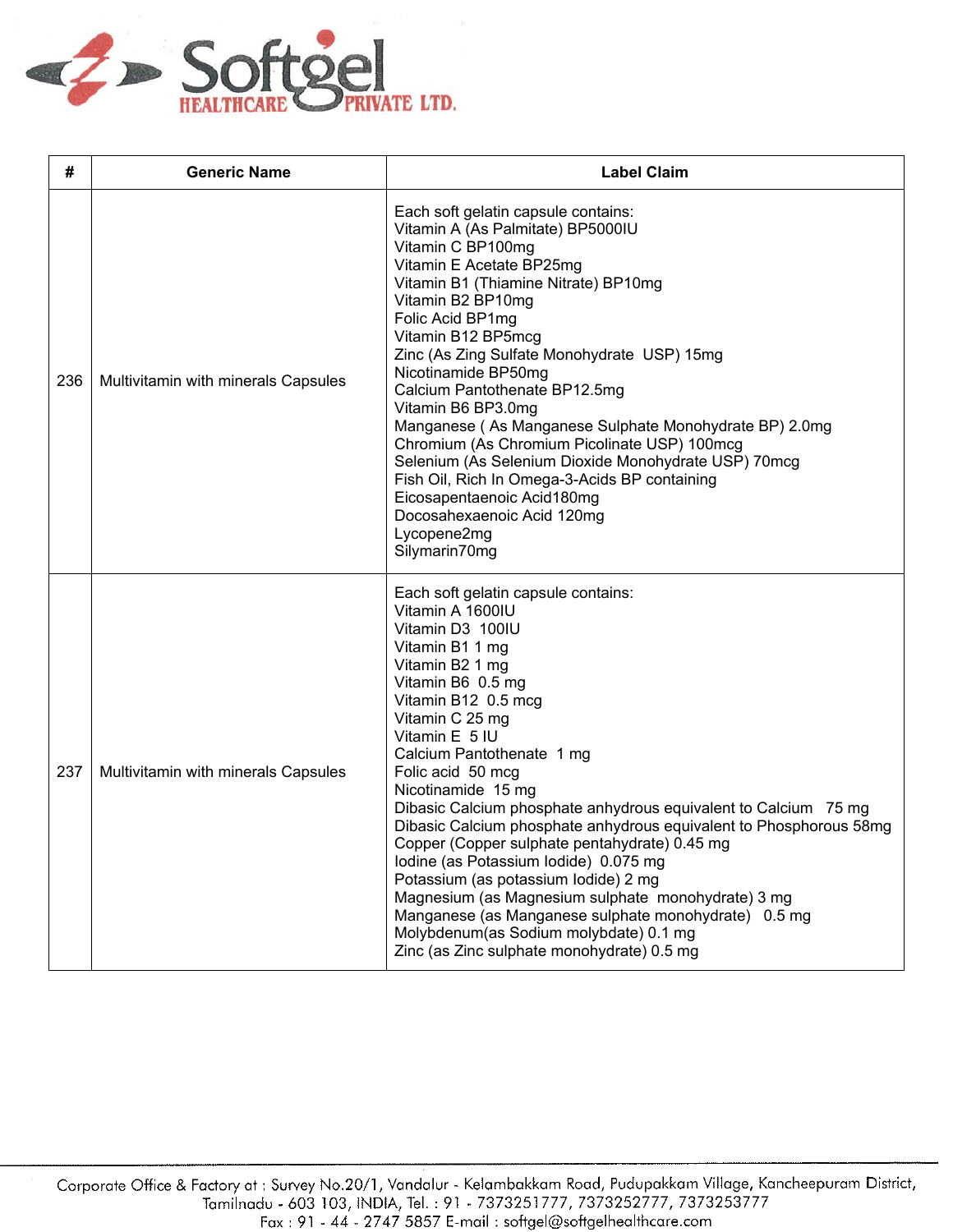

| #   | <b>Generic Name</b>                 | <b>Label Claim</b>                                                                                                                                                                                                                                                                                                                                                                                                                                                                                                                                                                                                                                                                                                                                          |
|-----|-------------------------------------|-------------------------------------------------------------------------------------------------------------------------------------------------------------------------------------------------------------------------------------------------------------------------------------------------------------------------------------------------------------------------------------------------------------------------------------------------------------------------------------------------------------------------------------------------------------------------------------------------------------------------------------------------------------------------------------------------------------------------------------------------------------|
| 236 | Multivitamin with minerals Capsules | Each soft gelatin capsule contains:<br>Vitamin A (As Palmitate) BP5000IU<br>Vitamin C BP100mg<br>Vitamin E Acetate BP25mg<br>Vitamin B1 (Thiamine Nitrate) BP10mg<br>Vitamin B2 BP10mg<br>Folic Acid BP1mg<br>Vitamin B12 BP5mcg<br>Zinc (As Zing Sulfate Monohydrate USP) 15mg<br>Nicotinamide BP50mg<br>Calcium Pantothenate BP12.5mg<br>Vitamin B6 BP3.0mg<br>Manganese (As Manganese Sulphate Monohydrate BP) 2.0mg<br>Chromium (As Chromium Picolinate USP) 100mcg<br>Selenium (As Selenium Dioxide Monohydrate USP) 70mcg<br>Fish Oil, Rich In Omega-3-Acids BP containing<br>Eicosapentaenoic Acid180mg<br>Docosahexaenoic Acid 120mg<br>Lycopene2mg<br>Silymarin70mg                                                                                |
| 237 | Multivitamin with minerals Capsules | Each soft gelatin capsule contains:<br>Vitamin A 1600IU<br>Vitamin D3 100IU<br>Vitamin B1 1 mg<br>Vitamin B2 1 mg<br>Vitamin B6 0.5 mg<br>Vitamin B12 0.5 mcg<br>Vitamin C 25 mg<br>Vitamin E 5 IU<br>Calcium Pantothenate 1 mg<br>Folic acid 50 mcg<br>Nicotinamide 15 mg<br>Dibasic Calcium phosphate anhydrous equivalent to Calcium 75 mg<br>Dibasic Calcium phosphate anhydrous equivalent to Phosphorous 58mg<br>Copper (Copper sulphate pentahydrate) 0.45 mg<br>lodine (as Potassium lodide) 0.075 mg<br>Potassium (as potassium lodide) 2 mg<br>Magnesium (as Magnesium sulphate monohydrate) 3 mg<br>Manganese (as Manganese sulphate monohydrate) 0.5 mg<br>Molybdenum(as Sodium molybdate) 0.1 mg<br>Zinc (as Zinc sulphate monohydrate) 0.5 mg |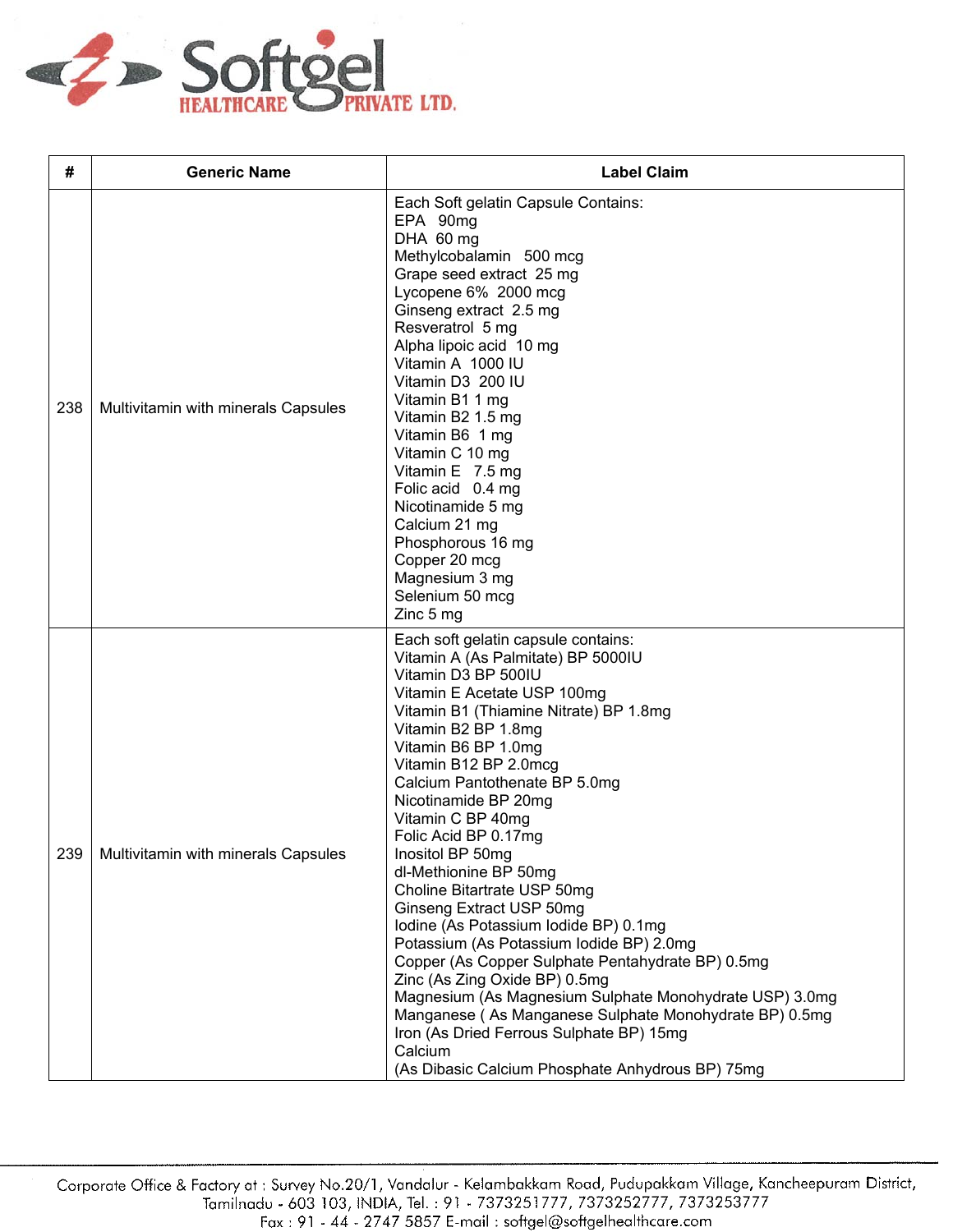

| #   | <b>Generic Name</b>                 | <b>Label Claim</b>                                                                                                                                                                                                                                                                                                                                                                                                                                                                                                                                                                                                                                                                                                                                                                                                                                                        |
|-----|-------------------------------------|---------------------------------------------------------------------------------------------------------------------------------------------------------------------------------------------------------------------------------------------------------------------------------------------------------------------------------------------------------------------------------------------------------------------------------------------------------------------------------------------------------------------------------------------------------------------------------------------------------------------------------------------------------------------------------------------------------------------------------------------------------------------------------------------------------------------------------------------------------------------------|
| 238 | Multivitamin with minerals Capsules | Each Soft gelatin Capsule Contains:<br>EPA 90mg<br>DHA 60 mg<br>Methylcobalamin 500 mcg<br>Grape seed extract 25 mg<br>Lycopene 6% 2000 mcg<br>Ginseng extract 2.5 mg<br>Resveratrol 5 mg<br>Alpha lipoic acid 10 mg<br>Vitamin A 1000 IU<br>Vitamin D3 200 IU<br>Vitamin B1 1 mg<br>Vitamin B2 1.5 mg<br>Vitamin B6 1 mg<br>Vitamin C 10 mg<br>Vitamin E 7.5 mg<br>Folic acid 0.4 mg<br>Nicotinamide 5 mg<br>Calcium 21 mg<br>Phosphorous 16 mg<br>Copper 20 mcg<br>Magnesium 3 mg<br>Selenium 50 mcg<br>Zinc 5 mg                                                                                                                                                                                                                                                                                                                                                       |
| 239 | Multivitamin with minerals Capsules | Each soft gelatin capsule contains:<br>Vitamin A (As Palmitate) BP 5000IU<br>Vitamin D3 BP 500IU<br>Vitamin E Acetate USP 100mg<br>Vitamin B1 (Thiamine Nitrate) BP 1.8mg<br>Vitamin B2 BP 1.8mg<br>Vitamin B6 BP 1.0mg<br>Vitamin B12 BP 2.0mcg<br>Calcium Pantothenate BP 5.0mg<br>Nicotinamide BP 20mg<br>Vitamin C BP 40mg<br>Folic Acid BP 0.17mg<br>Inositol BP 50mg<br>dl-Methionine BP 50mg<br>Choline Bitartrate USP 50mg<br>Ginseng Extract USP 50mg<br>Iodine (As Potassium Iodide BP) 0.1mg<br>Potassium (As Potassium lodide BP) 2.0mg<br>Copper (As Copper Sulphate Pentahydrate BP) 0.5mg<br>Zinc (As Zing Oxide BP) 0.5mg<br>Magnesium (As Magnesium Sulphate Monohydrate USP) 3.0mg<br>Manganese (As Manganese Sulphate Monohydrate BP) 0.5mg<br>Iron (As Dried Ferrous Sulphate BP) 15mg<br>Calcium<br>(As Dibasic Calcium Phosphate Anhydrous BP) 75mg |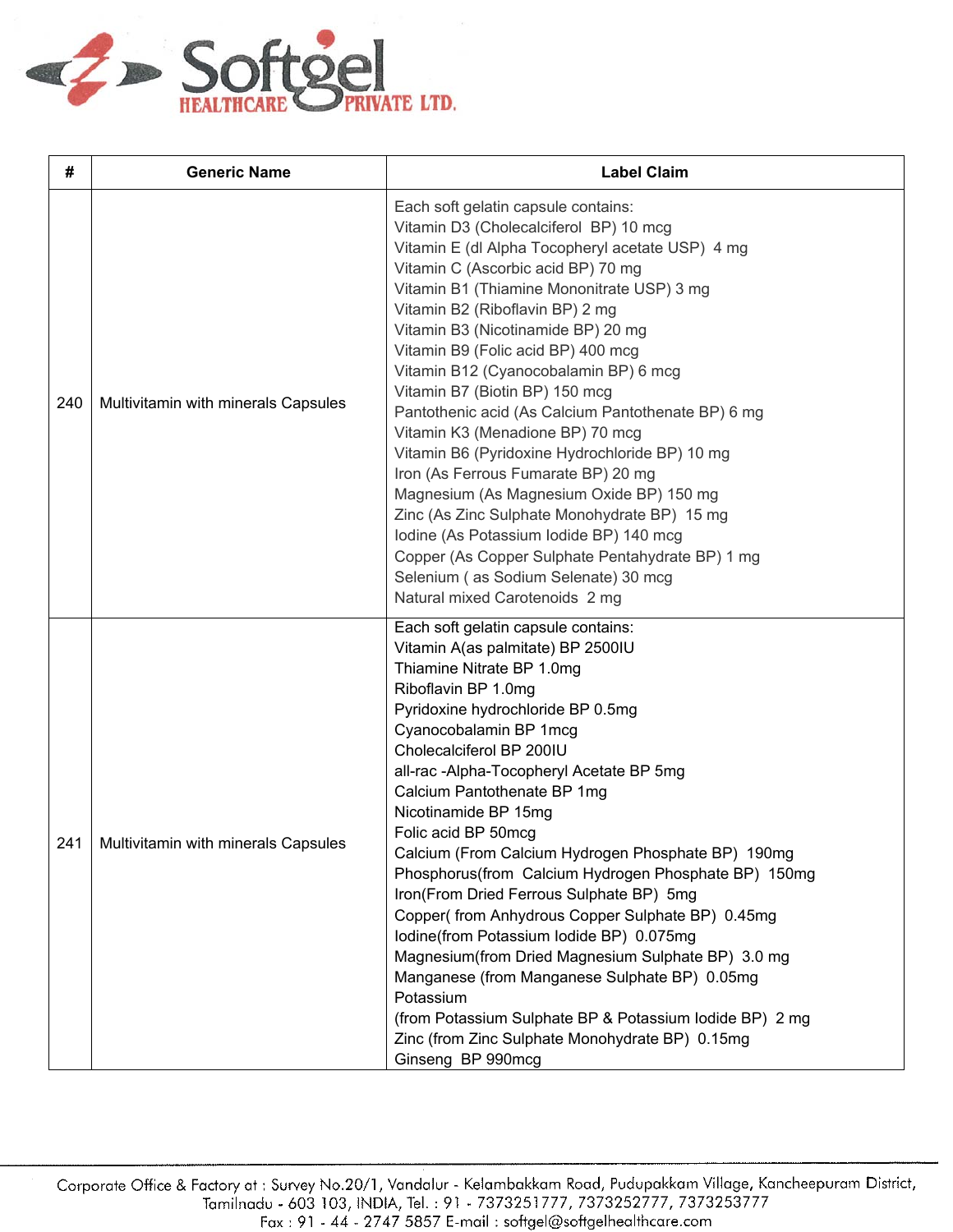

| #   | <b>Generic Name</b>                 | <b>Label Claim</b>                                                                                                                                                                                                                                                                                                                                                                                                                                                                                                                                                                                                                                                                                                                                                                                                                                                      |
|-----|-------------------------------------|-------------------------------------------------------------------------------------------------------------------------------------------------------------------------------------------------------------------------------------------------------------------------------------------------------------------------------------------------------------------------------------------------------------------------------------------------------------------------------------------------------------------------------------------------------------------------------------------------------------------------------------------------------------------------------------------------------------------------------------------------------------------------------------------------------------------------------------------------------------------------|
| 240 | Multivitamin with minerals Capsules | Each soft gelatin capsule contains:<br>Vitamin D3 (Cholecalciferol BP) 10 mcg<br>Vitamin E (dl Alpha Tocopheryl acetate USP) 4 mg<br>Vitamin C (Ascorbic acid BP) 70 mg<br>Vitamin B1 (Thiamine Mononitrate USP) 3 mg<br>Vitamin B2 (Riboflavin BP) 2 mg<br>Vitamin B3 (Nicotinamide BP) 20 mg<br>Vitamin B9 (Folic acid BP) 400 mcg<br>Vitamin B12 (Cyanocobalamin BP) 6 mcg<br>Vitamin B7 (Biotin BP) 150 mcg<br>Pantothenic acid (As Calcium Pantothenate BP) 6 mg<br>Vitamin K3 (Menadione BP) 70 mcg<br>Vitamin B6 (Pyridoxine Hydrochloride BP) 10 mg<br>Iron (As Ferrous Fumarate BP) 20 mg<br>Magnesium (As Magnesium Oxide BP) 150 mg<br>Zinc (As Zinc Sulphate Monohydrate BP) 15 mg<br>Iodine (As Potassium Iodide BP) 140 mcg<br>Copper (As Copper Sulphate Pentahydrate BP) 1 mg<br>Selenium (as Sodium Selenate) 30 mcg<br>Natural mixed Carotenoids 2 mg |
| 241 | Multivitamin with minerals Capsules | Each soft gelatin capsule contains:<br>Vitamin A(as palmitate) BP 2500IU<br>Thiamine Nitrate BP 1.0mg<br>Riboflavin BP 1.0mg<br>Pyridoxine hydrochloride BP 0.5mg<br>Cyanocobalamin BP 1mcg<br>Cholecalciferol BP 200IU<br>all-rac-Alpha-Tocopheryl Acetate BP 5mg<br>Calcium Pantothenate BP 1mg<br>Nicotinamide BP 15mg<br>Folic acid BP 50mcg<br>Calcium (From Calcium Hydrogen Phosphate BP) 190mg<br>Phosphorus(from Calcium Hydrogen Phosphate BP) 150mg<br>Iron(From Dried Ferrous Sulphate BP) 5mg<br>Copper(from Anhydrous Copper Sulphate BP) 0.45mg<br>Iodine(from Potassium Iodide BP) 0.075mg<br>Magnesium(from Dried Magnesium Sulphate BP) 3.0 mg<br>Manganese (from Manganese Sulphate BP) 0.05mg<br>Potassium<br>(from Potassium Sulphate BP & Potassium lodide BP) 2 mg<br>Zinc (from Zinc Sulphate Monohydrate BP) 0.15mg<br>Ginseng BP 990mcg       |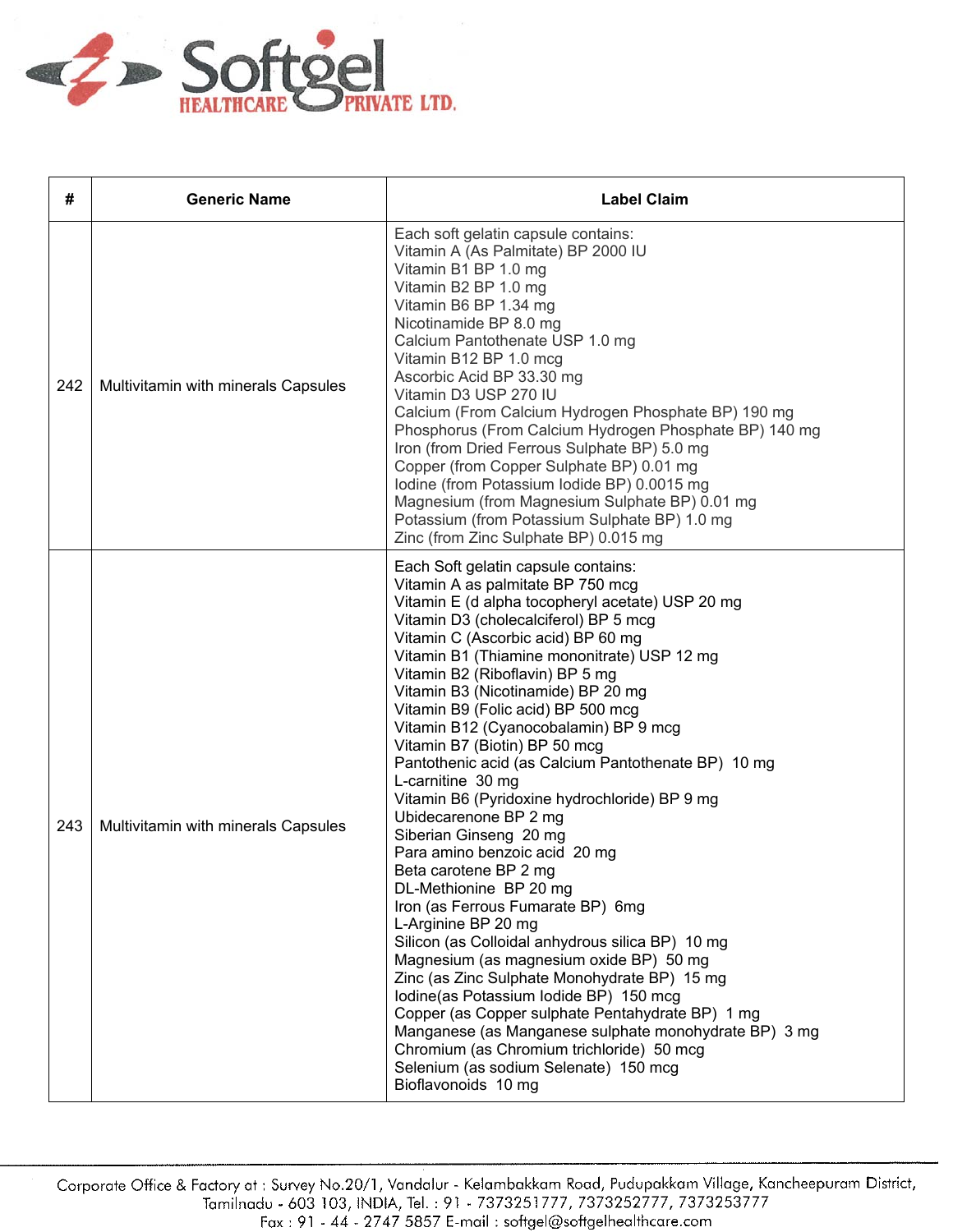

| #   | <b>Generic Name</b>                 | <b>Label Claim</b>                                                                                                                                                                                                                                                                                                                                                                                                                                                                                                                                                                                                                                                                                                                                                                                                                                                                                                                                                                                                                                                                                                                                                                                     |
|-----|-------------------------------------|--------------------------------------------------------------------------------------------------------------------------------------------------------------------------------------------------------------------------------------------------------------------------------------------------------------------------------------------------------------------------------------------------------------------------------------------------------------------------------------------------------------------------------------------------------------------------------------------------------------------------------------------------------------------------------------------------------------------------------------------------------------------------------------------------------------------------------------------------------------------------------------------------------------------------------------------------------------------------------------------------------------------------------------------------------------------------------------------------------------------------------------------------------------------------------------------------------|
| 242 | Multivitamin with minerals Capsules | Each soft gelatin capsule contains:<br>Vitamin A (As Palmitate) BP 2000 IU<br>Vitamin B1 BP 1.0 mg<br>Vitamin B2 BP 1.0 mg<br>Vitamin B6 BP 1.34 mg<br>Nicotinamide BP 8.0 mg<br>Calcium Pantothenate USP 1.0 mg<br>Vitamin B12 BP 1.0 mcg<br>Ascorbic Acid BP 33.30 mg<br>Vitamin D3 USP 270 IU<br>Calcium (From Calcium Hydrogen Phosphate BP) 190 mg<br>Phosphorus (From Calcium Hydrogen Phosphate BP) 140 mg<br>Iron (from Dried Ferrous Sulphate BP) 5.0 mg<br>Copper (from Copper Sulphate BP) 0.01 mg<br>lodine (from Potassium lodide BP) 0.0015 mg<br>Magnesium (from Magnesium Sulphate BP) 0.01 mg<br>Potassium (from Potassium Sulphate BP) 1.0 mg<br>Zinc (from Zinc Sulphate BP) 0.015 mg                                                                                                                                                                                                                                                                                                                                                                                                                                                                                               |
| 243 | Multivitamin with minerals Capsules | Each Soft gelatin capsule contains:<br>Vitamin A as palmitate BP 750 mcg<br>Vitamin E (d alpha tocopheryl acetate) USP 20 mg<br>Vitamin D3 (cholecalciferol) BP 5 mcg<br>Vitamin C (Ascorbic acid) BP 60 mg<br>Vitamin B1 (Thiamine mononitrate) USP 12 mg<br>Vitamin B2 (Riboflavin) BP 5 mg<br>Vitamin B3 (Nicotinamide) BP 20 mg<br>Vitamin B9 (Folic acid) BP 500 mcg<br>Vitamin B12 (Cyanocobalamin) BP 9 mcg<br>Vitamin B7 (Biotin) BP 50 mcg<br>Pantothenic acid (as Calcium Pantothenate BP) 10 mg<br>L-carnitine 30 mg<br>Vitamin B6 (Pyridoxine hydrochloride) BP 9 mg<br>Ubidecarenone BP 2 mg<br>Siberian Ginseng 20 mg<br>Para amino benzoic acid 20 mg<br>Beta carotene BP 2 mg<br>DL-Methionine BP 20 mg<br>Iron (as Ferrous Fumarate BP) 6mg<br>L-Arginine BP 20 mg<br>Silicon (as Colloidal anhydrous silica BP) 10 mg<br>Magnesium (as magnesium oxide BP) 50 mg<br>Zinc (as Zinc Sulphate Monohydrate BP) 15 mg<br>Iodine(as Potassium Iodide BP) 150 mcg<br>Copper (as Copper sulphate Pentahydrate BP) 1 mg<br>Manganese (as Manganese sulphate monohydrate BP) 3 mg<br>Chromium (as Chromium trichloride) 50 mcg<br>Selenium (as sodium Selenate) 150 mcg<br>Bioflavonoids 10 mg |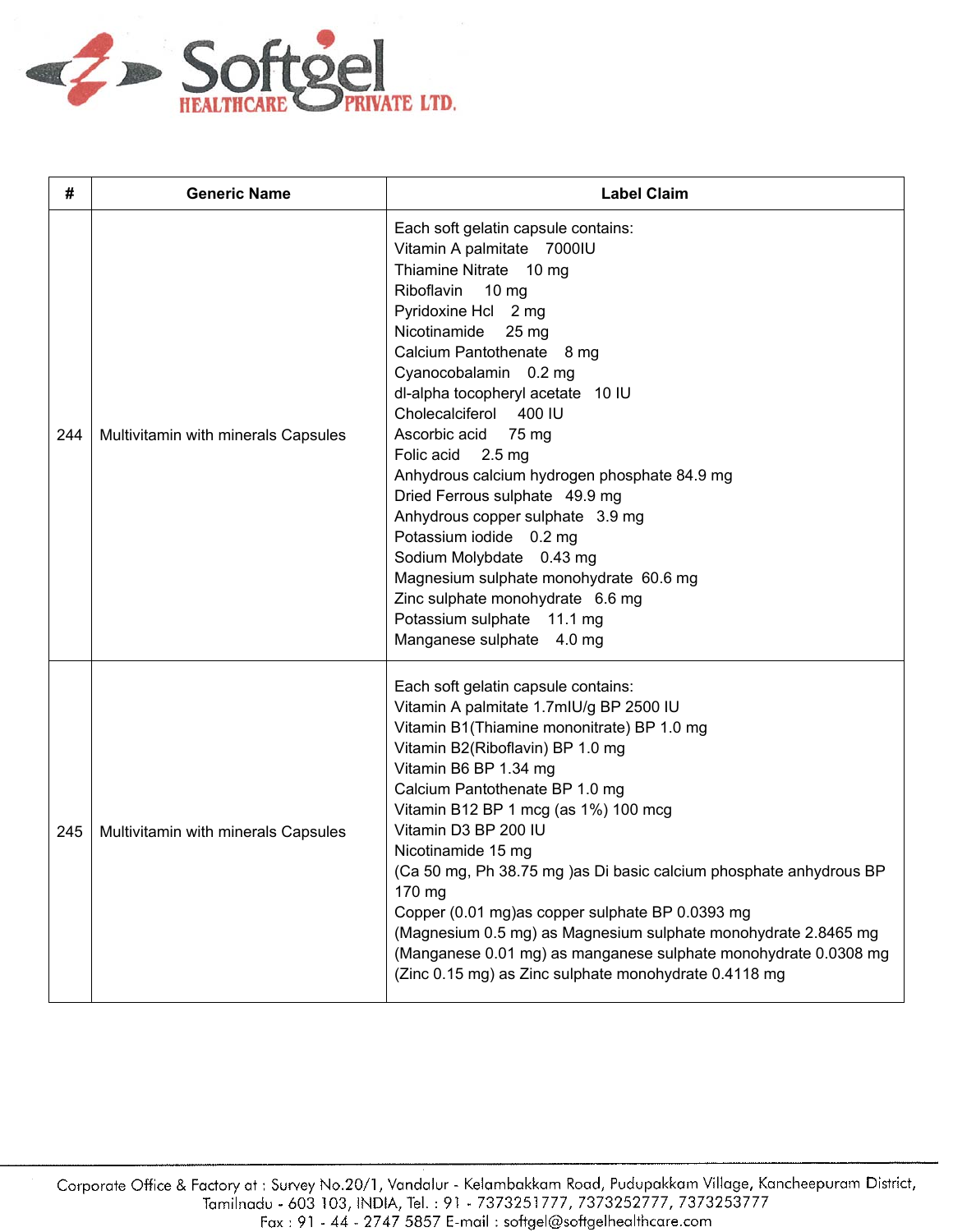

| #   | <b>Generic Name</b>                 | <b>Label Claim</b>                                                                                                                                                                                                                                                                                                                                                                                                                                                                                                                                                                                                                                                                            |
|-----|-------------------------------------|-----------------------------------------------------------------------------------------------------------------------------------------------------------------------------------------------------------------------------------------------------------------------------------------------------------------------------------------------------------------------------------------------------------------------------------------------------------------------------------------------------------------------------------------------------------------------------------------------------------------------------------------------------------------------------------------------|
| 244 | Multivitamin with minerals Capsules | Each soft gelatin capsule contains:<br>Vitamin A palmitate 7000IU<br>Thiamine Nitrate 10 mg<br>Riboflavin<br>$10 \text{ mg}$<br>Pyridoxine Hcl 2 mg<br>Nicotinamide<br>$25 \,\mathrm{mg}$<br>Calcium Pantothenate 8 mg<br>Cyanocobalamin 0.2 mg<br>dl-alpha tocopheryl acetate 10 IU<br>Cholecalciferol 400 IU<br>Ascorbic acid 75 mg<br>Folic acid<br>$2.5 \text{ mg}$<br>Anhydrous calcium hydrogen phosphate 84.9 mg<br>Dried Ferrous sulphate 49.9 mg<br>Anhydrous copper sulphate 3.9 mg<br>Potassium iodide 0.2 mg<br>Sodium Molybdate 0.43 mg<br>Magnesium sulphate monohydrate 60.6 mg<br>Zinc sulphate monohydrate 6.6 mg<br>Potassium sulphate 11.1 mg<br>Manganese sulphate 4.0 mg |
| 245 | Multivitamin with minerals Capsules | Each soft gelatin capsule contains:<br>Vitamin A palmitate 1.7mIU/g BP 2500 IU<br>Vitamin B1(Thiamine mononitrate) BP 1.0 mg<br>Vitamin B2(Riboflavin) BP 1.0 mg<br>Vitamin B6 BP 1.34 mg<br>Calcium Pantothenate BP 1.0 mg<br>Vitamin B12 BP 1 mcg (as 1%) 100 mcg<br>Vitamin D3 BP 200 IU<br>Nicotinamide 15 mg<br>(Ca 50 mg, Ph 38.75 mg )as Di basic calcium phosphate anhydrous BP<br>170 mg<br>Copper (0.01 mg)as copper sulphate BP 0.0393 mg<br>(Magnesium 0.5 mg) as Magnesium sulphate monohydrate 2.8465 mg<br>(Manganese 0.01 mg) as manganese sulphate monohydrate 0.0308 mg<br>(Zinc 0.15 mg) as Zinc sulphate monohydrate 0.4118 mg                                            |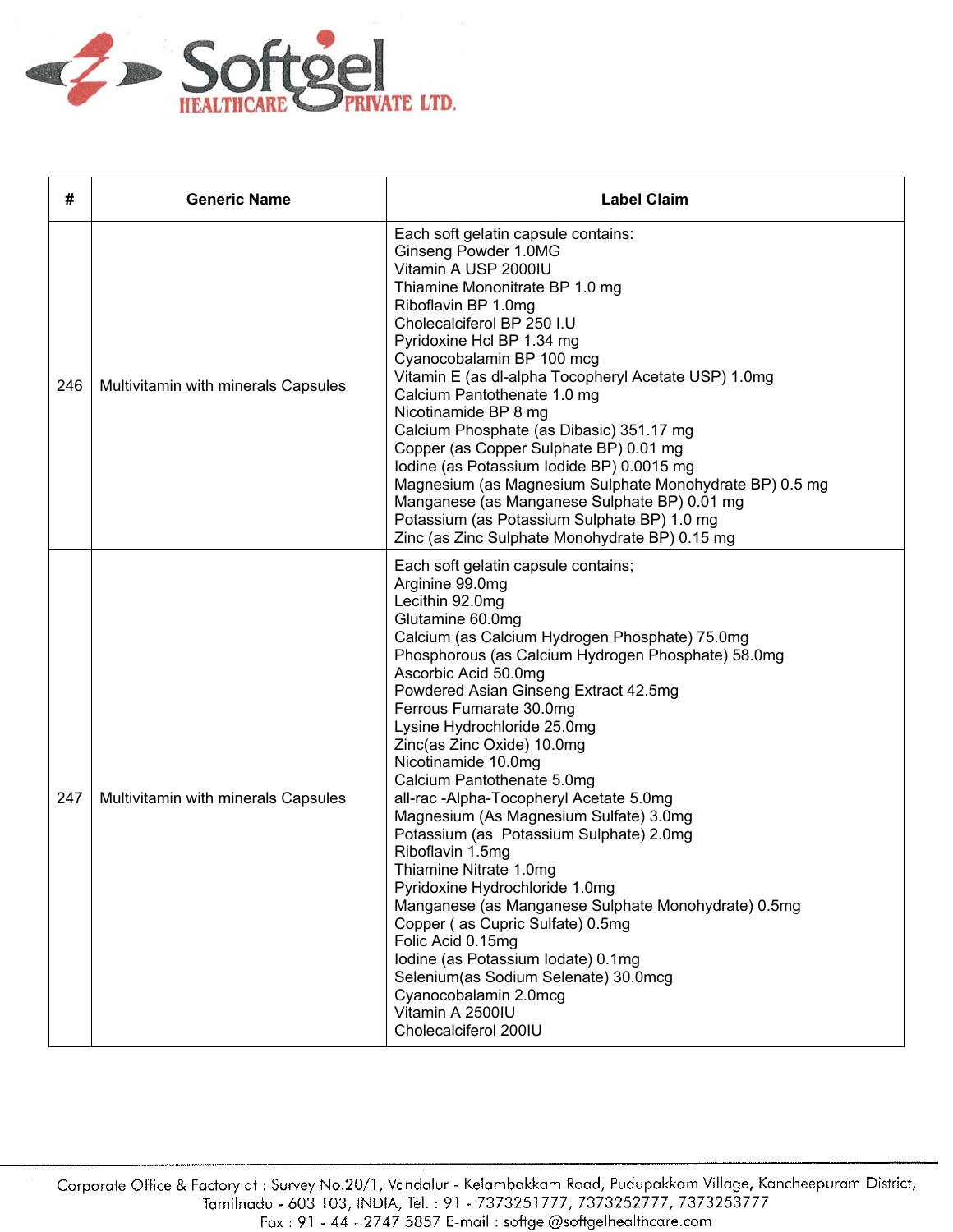

| #   | <b>Generic Name</b>                 | <b>Label Claim</b>                                                                                                                                                                                                                                                                                                                                                                                                                                                                                                                                                                                                                                                                                                                                                                                                                                                                                     |
|-----|-------------------------------------|--------------------------------------------------------------------------------------------------------------------------------------------------------------------------------------------------------------------------------------------------------------------------------------------------------------------------------------------------------------------------------------------------------------------------------------------------------------------------------------------------------------------------------------------------------------------------------------------------------------------------------------------------------------------------------------------------------------------------------------------------------------------------------------------------------------------------------------------------------------------------------------------------------|
| 246 | Multivitamin with minerals Capsules | Each soft gelatin capsule contains:<br>Ginseng Powder 1.0MG<br>Vitamin A USP 2000IU<br>Thiamine Mononitrate BP 1.0 mg<br>Riboflavin BP 1.0mg<br>Cholecalciferol BP 250 I.U<br>Pyridoxine Hcl BP 1.34 mg<br>Cyanocobalamin BP 100 mcg<br>Vitamin E (as dl-alpha Tocopheryl Acetate USP) 1.0mg<br>Calcium Pantothenate 1.0 mg<br>Nicotinamide BP 8 mg<br>Calcium Phosphate (as Dibasic) 351.17 mg<br>Copper (as Copper Sulphate BP) 0.01 mg<br>Iodine (as Potassium Iodide BP) 0.0015 mg<br>Magnesium (as Magnesium Sulphate Monohydrate BP) 0.5 mg<br>Manganese (as Manganese Sulphate BP) 0.01 mg<br>Potassium (as Potassium Sulphate BP) 1.0 mg<br>Zinc (as Zinc Sulphate Monohydrate BP) 0.15 mg                                                                                                                                                                                                     |
| 247 | Multivitamin with minerals Capsules | Each soft gelatin capsule contains;<br>Arginine 99.0mg<br>Lecithin 92.0mg<br>Glutamine 60.0mg<br>Calcium (as Calcium Hydrogen Phosphate) 75.0mg<br>Phosphorous (as Calcium Hydrogen Phosphate) 58.0mg<br>Ascorbic Acid 50.0mg<br>Powdered Asian Ginseng Extract 42.5mg<br>Ferrous Fumarate 30.0mg<br>Lysine Hydrochloride 25.0mg<br>Zinc(as Zinc Oxide) 10.0mg<br>Nicotinamide 10.0mg<br>Calcium Pantothenate 5.0mg<br>all-rac-Alpha-Tocopheryl Acetate 5.0mg<br>Magnesium (As Magnesium Sulfate) 3.0mg<br>Potassium (as Potassium Sulphate) 2.0mg<br>Riboflavin 1.5mg<br>Thiamine Nitrate 1.0mg<br>Pyridoxine Hydrochloride 1.0mg<br>Manganese (as Manganese Sulphate Monohydrate) 0.5mg<br>Copper (as Cupric Sulfate) 0.5mg<br>Folic Acid 0.15mg<br>Iodine (as Potassium Iodate) 0.1mg<br>Selenium(as Sodium Selenate) 30.0mcg<br>Cyanocobalamin 2.0mcg<br>Vitamin A 2500IU<br>Cholecalciferol 200IU |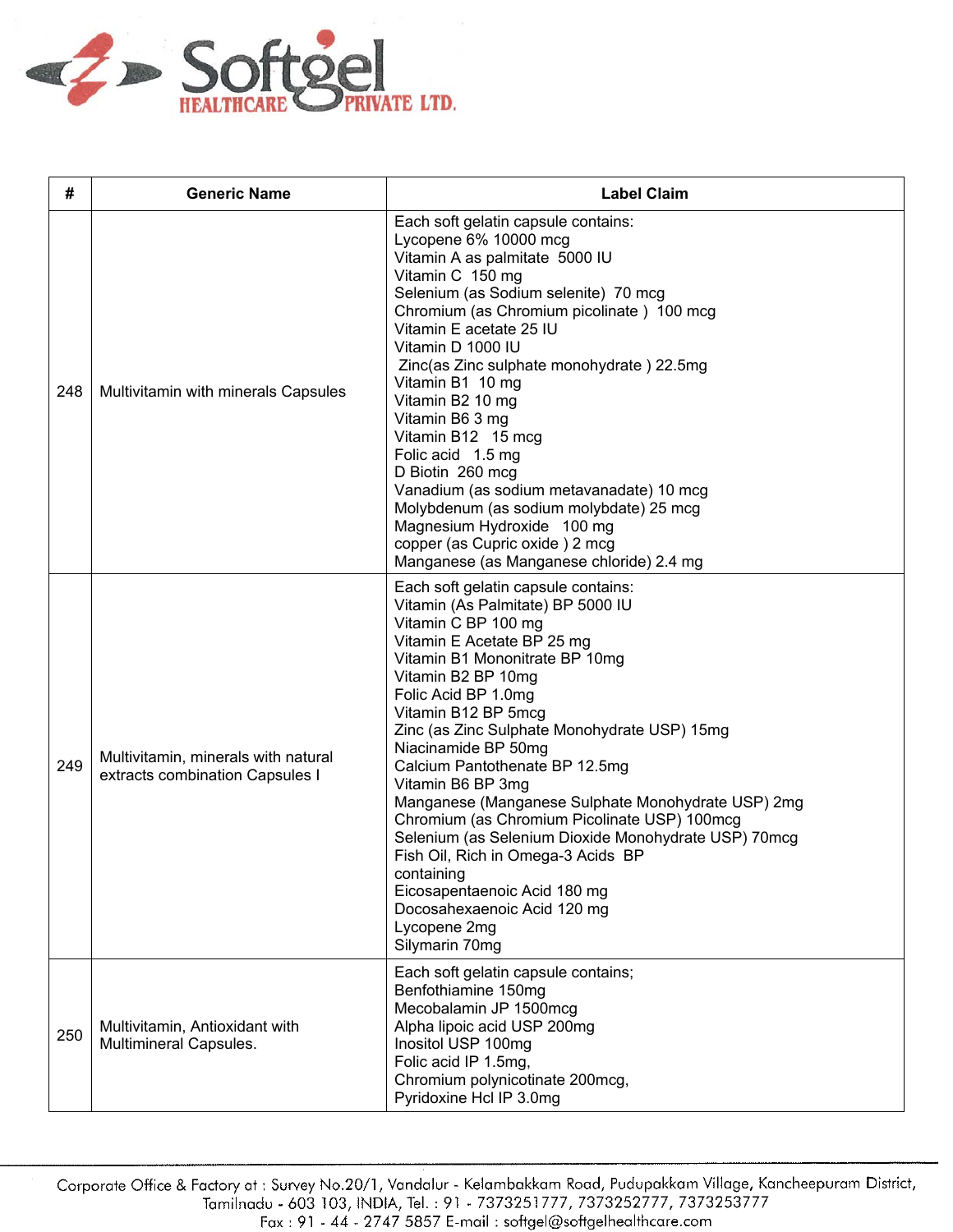

| #   | <b>Generic Name</b>                                                    | <b>Label Claim</b>                                                                                                                                                                                                                                                                                                                                                                                                                                                                                                                                                                                                                                                                   |
|-----|------------------------------------------------------------------------|--------------------------------------------------------------------------------------------------------------------------------------------------------------------------------------------------------------------------------------------------------------------------------------------------------------------------------------------------------------------------------------------------------------------------------------------------------------------------------------------------------------------------------------------------------------------------------------------------------------------------------------------------------------------------------------|
| 248 | Multivitamin with minerals Capsules                                    | Each soft gelatin capsule contains:<br>Lycopene 6% 10000 mcg<br>Vitamin A as palmitate 5000 IU<br>Vitamin C 150 mg<br>Selenium (as Sodium selenite) 70 mcg<br>Chromium (as Chromium picolinate) 100 mcg<br>Vitamin E acetate 25 IU<br>Vitamin D 1000 IU<br>Zinc(as Zinc sulphate monohydrate) 22.5mg<br>Vitamin B1 10 mg<br>Vitamin B2 10 mg<br>Vitamin B6 3 mg<br>Vitamin B12 15 mcg<br>Folic acid 1.5 mg<br>D Biotin 260 mcg<br>Vanadium (as sodium metavanadate) 10 mcg<br>Molybdenum (as sodium molybdate) 25 mcg<br>Magnesium Hydroxide 100 mg<br>copper (as Cupric oxide) 2 mcg<br>Manganese (as Manganese chloride) 2.4 mg                                                    |
| 249 | Multivitamin, minerals with natural<br>extracts combination Capsules I | Each soft gelatin capsule contains:<br>Vitamin (As Palmitate) BP 5000 IU<br>Vitamin C BP 100 mg<br>Vitamin E Acetate BP 25 mg<br>Vitamin B1 Mononitrate BP 10mg<br>Vitamin B2 BP 10mg<br>Folic Acid BP 1.0mg<br>Vitamin B12 BP 5mcg<br>Zinc (as Zinc Sulphate Monohydrate USP) 15mg<br>Niacinamide BP 50mg<br>Calcium Pantothenate BP 12.5mg<br>Vitamin B6 BP 3mg<br>Manganese (Manganese Sulphate Monohydrate USP) 2mg<br>Chromium (as Chromium Picolinate USP) 100mcg<br>Selenium (as Selenium Dioxide Monohydrate USP) 70mcg<br>Fish Oil, Rich in Omega-3 Acids BP<br>containing<br>Eicosapentaenoic Acid 180 mg<br>Docosahexaenoic Acid 120 mg<br>Lycopene 2mg<br>Silymarin 70mg |
| 250 | Multivitamin, Antioxidant with<br>Multimineral Capsules.               | Each soft gelatin capsule contains;<br>Benfothiamine 150mg<br>Mecobalamin JP 1500mcg<br>Alpha lipoic acid USP 200mg<br>Inositol USP 100mg<br>Folic acid IP 1.5mg,<br>Chromium polynicotinate 200mcg,<br>Pyridoxine Hcl IP 3.0mg                                                                                                                                                                                                                                                                                                                                                                                                                                                      |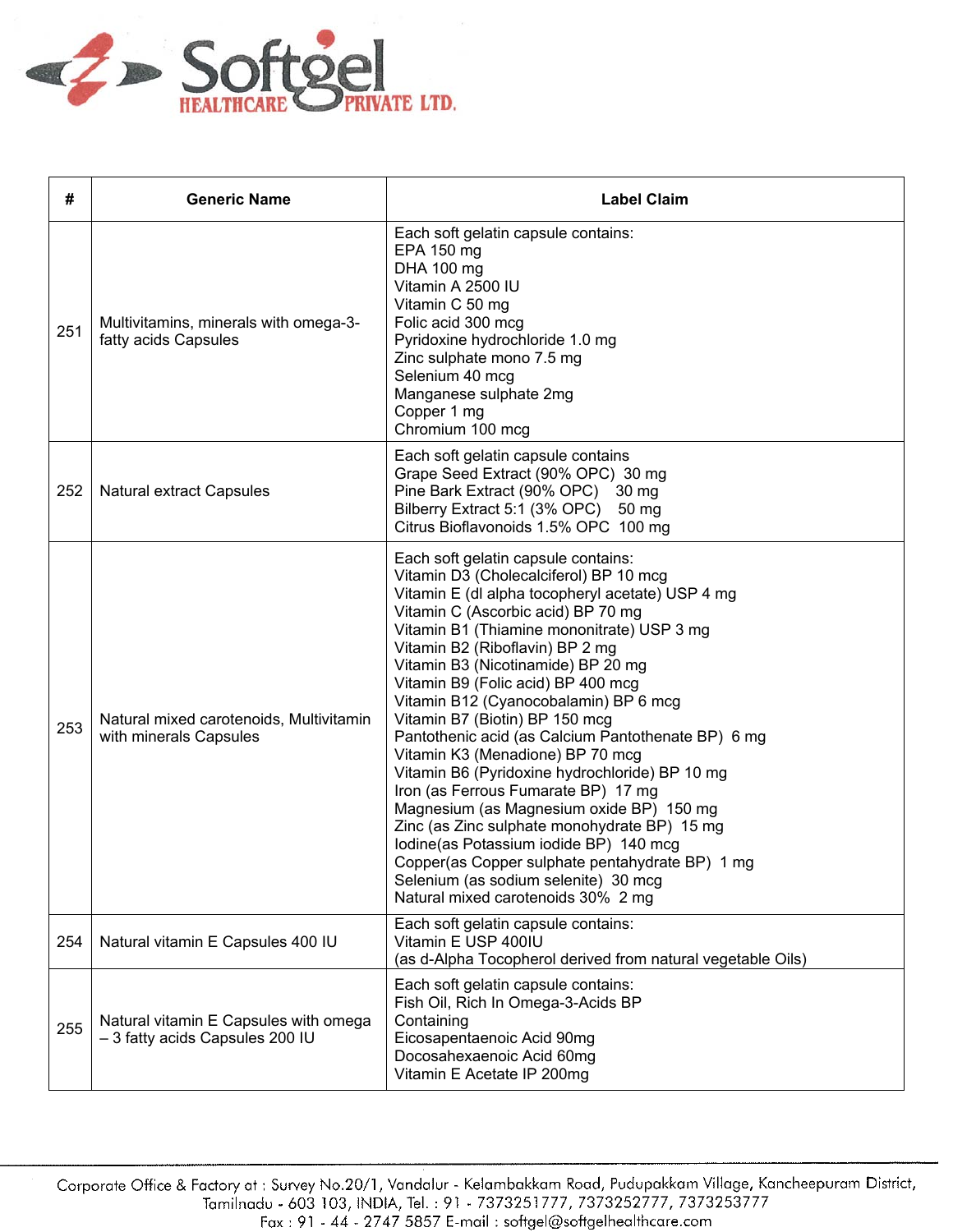

| #   | <b>Generic Name</b>                                                      | <b>Label Claim</b>                                                                                                                                                                                                                                                                                                                                                                                                                                                                                                                                                                                                                                                                                                                                                                                                                                                        |
|-----|--------------------------------------------------------------------------|---------------------------------------------------------------------------------------------------------------------------------------------------------------------------------------------------------------------------------------------------------------------------------------------------------------------------------------------------------------------------------------------------------------------------------------------------------------------------------------------------------------------------------------------------------------------------------------------------------------------------------------------------------------------------------------------------------------------------------------------------------------------------------------------------------------------------------------------------------------------------|
| 251 | Multivitamins, minerals with omega-3-<br>fatty acids Capsules            | Each soft gelatin capsule contains:<br>EPA 150 mg<br>DHA 100 mg<br>Vitamin A 2500 IU<br>Vitamin C 50 mg<br>Folic acid 300 mcg<br>Pyridoxine hydrochloride 1.0 mg<br>Zinc sulphate mono 7.5 mg<br>Selenium 40 mcg<br>Manganese sulphate 2mg<br>Copper 1 mg<br>Chromium 100 mcg                                                                                                                                                                                                                                                                                                                                                                                                                                                                                                                                                                                             |
| 252 | <b>Natural extract Capsules</b>                                          | Each soft gelatin capsule contains<br>Grape Seed Extract (90% OPC) 30 mg<br>Pine Bark Extract (90% OPC) 30 mg<br>Bilberry Extract 5:1 (3% OPC) 50 mg<br>Citrus Bioflavonoids 1.5% OPC 100 mg                                                                                                                                                                                                                                                                                                                                                                                                                                                                                                                                                                                                                                                                              |
| 253 | Natural mixed carotenoids, Multivitamin<br>with minerals Capsules        | Each soft gelatin capsule contains:<br>Vitamin D3 (Cholecalciferol) BP 10 mcg<br>Vitamin E (dl alpha tocopheryl acetate) USP 4 mg<br>Vitamin C (Ascorbic acid) BP 70 mg<br>Vitamin B1 (Thiamine mononitrate) USP 3 mg<br>Vitamin B2 (Riboflavin) BP 2 mg<br>Vitamin B3 (Nicotinamide) BP 20 mg<br>Vitamin B9 (Folic acid) BP 400 mcg<br>Vitamin B12 (Cyanocobalamin) BP 6 mcg<br>Vitamin B7 (Biotin) BP 150 mcg<br>Pantothenic acid (as Calcium Pantothenate BP) 6 mg<br>Vitamin K3 (Menadione) BP 70 mcg<br>Vitamin B6 (Pyridoxine hydrochloride) BP 10 mg<br>Iron (as Ferrous Fumarate BP) 17 mg<br>Magnesium (as Magnesium oxide BP) 150 mg<br>Zinc (as Zinc sulphate monohydrate BP) 15 mg<br>Iodine(as Potassium iodide BP) 140 mcg<br>Copper(as Copper sulphate pentahydrate BP) 1 mg<br>Selenium (as sodium selenite) 30 mcg<br>Natural mixed carotenoids 30% 2 mg |
| 254 | Natural vitamin E Capsules 400 IU                                        | Each soft gelatin capsule contains:<br>Vitamin E USP 400IU<br>(as d-Alpha Tocopherol derived from natural vegetable Oils)                                                                                                                                                                                                                                                                                                                                                                                                                                                                                                                                                                                                                                                                                                                                                 |
| 255 | Natural vitamin E Capsules with omega<br>- 3 fatty acids Capsules 200 IU | Each soft gelatin capsule contains:<br>Fish Oil, Rich In Omega-3-Acids BP<br>Containing<br>Eicosapentaenoic Acid 90mg<br>Docosahexaenoic Acid 60mg<br>Vitamin E Acetate IP 200mg                                                                                                                                                                                                                                                                                                                                                                                                                                                                                                                                                                                                                                                                                          |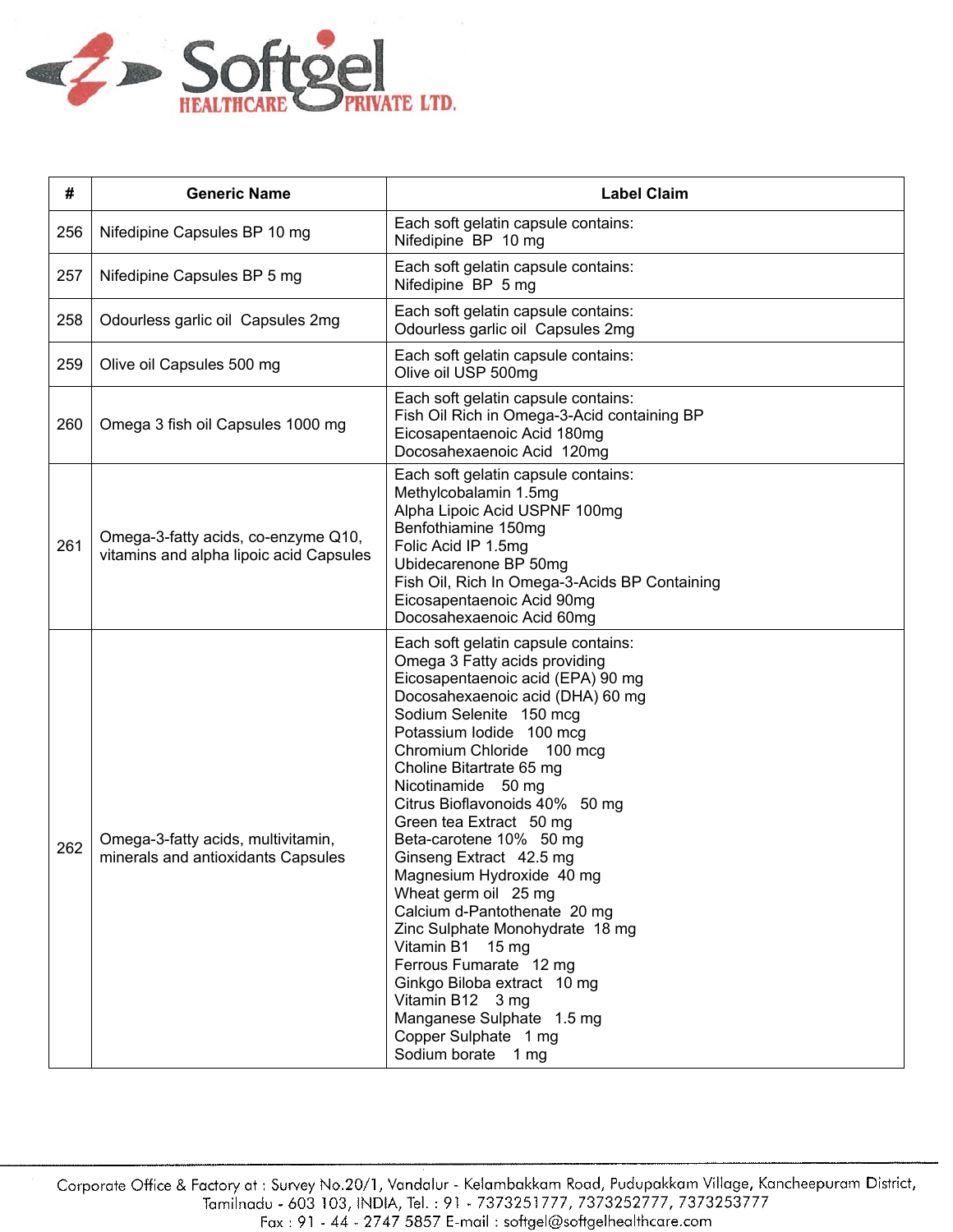

| #   | <b>Generic Name</b>                                                            | <b>Label Claim</b>                                                                                                                                                                                                                                                                                                                                                                                                                                                                                                                                                                                                                                                                                         |
|-----|--------------------------------------------------------------------------------|------------------------------------------------------------------------------------------------------------------------------------------------------------------------------------------------------------------------------------------------------------------------------------------------------------------------------------------------------------------------------------------------------------------------------------------------------------------------------------------------------------------------------------------------------------------------------------------------------------------------------------------------------------------------------------------------------------|
| 256 | Nifedipine Capsules BP 10 mg                                                   | Each soft gelatin capsule contains:<br>Nifedipine BP 10 mg                                                                                                                                                                                                                                                                                                                                                                                                                                                                                                                                                                                                                                                 |
| 257 | Nifedipine Capsules BP 5 mg                                                    | Each soft gelatin capsule contains:<br>Nifedipine BP 5 mg                                                                                                                                                                                                                                                                                                                                                                                                                                                                                                                                                                                                                                                  |
| 258 | Odourless garlic oil Capsules 2mg                                              | Each soft gelatin capsule contains:<br>Odourless garlic oil Capsules 2mg                                                                                                                                                                                                                                                                                                                                                                                                                                                                                                                                                                                                                                   |
| 259 | Olive oil Capsules 500 mg                                                      | Each soft gelatin capsule contains:<br>Olive oil USP 500mg                                                                                                                                                                                                                                                                                                                                                                                                                                                                                                                                                                                                                                                 |
| 260 | Omega 3 fish oil Capsules 1000 mg                                              | Each soft gelatin capsule contains:<br>Fish Oil Rich in Omega-3-Acid containing BP<br>Eicosapentaenoic Acid 180mg<br>Docosahexaenoic Acid 120mg                                                                                                                                                                                                                                                                                                                                                                                                                                                                                                                                                            |
| 261 | Omega-3-fatty acids, co-enzyme Q10,<br>vitamins and alpha lipoic acid Capsules | Each soft gelatin capsule contains:<br>Methylcobalamin 1.5mg<br>Alpha Lipoic Acid USPNF 100mg<br>Benfothiamine 150mg<br>Folic Acid IP 1.5mg<br>Ubidecarenone BP 50mg<br>Fish Oil, Rich In Omega-3-Acids BP Containing<br>Eicosapentaenoic Acid 90mg<br>Docosahexaenoic Acid 60mg                                                                                                                                                                                                                                                                                                                                                                                                                           |
| 262 | Omega-3-fatty acids, multivitamin,<br>minerals and antioxidants Capsules       | Each soft gelatin capsule contains:<br>Omega 3 Fatty acids providing<br>Eicosapentaenoic acid (EPA) 90 mg<br>Docosahexaenoic acid (DHA) 60 mg<br>Sodium Selenite 150 mcg<br>Potassium lodide 100 mcg<br>Chromium Chloride 100 mcg<br>Choline Bitartrate 65 mg<br>Nicotinamide 50 mg<br>Citrus Bioflavonoids 40% 50 mg<br>Green tea Extract 50 mg<br>Beta-carotene 10% 50 mg<br>Ginseng Extract 42.5 mg<br>Magnesium Hydroxide 40 mg<br>Wheat germ oil 25 mg<br>Calcium d-Pantothenate 20 mg<br>Zinc Sulphate Monohydrate 18 mg<br>Vitamin B1 15 mg<br>Ferrous Fumarate 12 mg<br>Ginkgo Biloba extract 10 mg<br>Vitamin B12 3 mg<br>Manganese Sulphate 1.5 mg<br>Copper Sulphate 1 mg<br>Sodium borate 1 mg |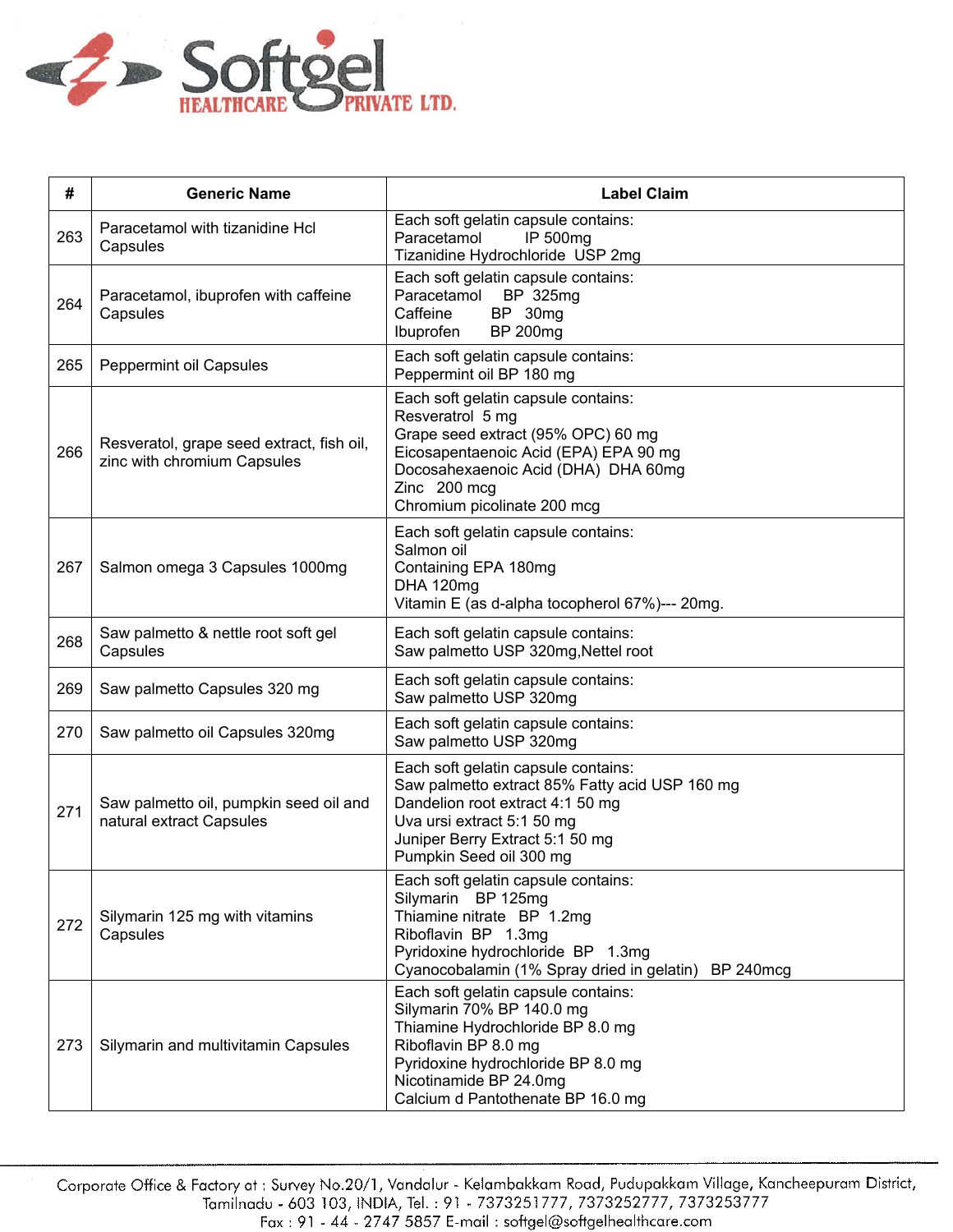

| #   | <b>Generic Name</b>                                                      | <b>Label Claim</b>                                                                                                                                                                                                                |
|-----|--------------------------------------------------------------------------|-----------------------------------------------------------------------------------------------------------------------------------------------------------------------------------------------------------------------------------|
| 263 | Paracetamol with tizanidine Hcl<br>Capsules                              | Each soft gelatin capsule contains:<br>Paracetamol<br>IP 500mg<br>Tizanidine Hydrochloride USP 2mg                                                                                                                                |
| 264 | Paracetamol, ibuprofen with caffeine<br>Capsules                         | Each soft gelatin capsule contains:<br>Paracetamol<br>BP 325mg<br>Caffeine<br>BP 30mg<br>Ibuprofen<br><b>BP 200mg</b>                                                                                                             |
| 265 | Peppermint oil Capsules                                                  | Each soft gelatin capsule contains:<br>Peppermint oil BP 180 mg                                                                                                                                                                   |
| 266 | Resveratol, grape seed extract, fish oil,<br>zinc with chromium Capsules | Each soft gelatin capsule contains:<br>Resveratrol 5 mg<br>Grape seed extract (95% OPC) 60 mg<br>Eicosapentaenoic Acid (EPA) EPA 90 mg<br>Docosahexaenoic Acid (DHA) DHA 60mg<br>Zinc 200 mcg<br>Chromium picolinate 200 mcg      |
| 267 | Salmon omega 3 Capsules 1000mg                                           | Each soft gelatin capsule contains:<br>Salmon oil<br>Containing EPA 180mg<br>DHA 120mg<br>Vitamin E (as d-alpha tocopherol 67%)--- 20mg.                                                                                          |
| 268 | Saw palmetto & nettle root soft gel<br>Capsules                          | Each soft gelatin capsule contains:<br>Saw palmetto USP 320mg, Nettel root                                                                                                                                                        |
| 269 | Saw palmetto Capsules 320 mg                                             | Each soft gelatin capsule contains:<br>Saw palmetto USP 320mg                                                                                                                                                                     |
| 270 | Saw palmetto oil Capsules 320mg                                          | Each soft gelatin capsule contains:<br>Saw palmetto USP 320mg                                                                                                                                                                     |
| 271 | Saw palmetto oil, pumpkin seed oil and<br>natural extract Capsules       | Each soft gelatin capsule contains:<br>Saw palmetto extract 85% Fatty acid USP 160 mg<br>Dandelion root extract 4:1 50 mg<br>Uva ursi extract 5:1 50 mg<br>Juniper Berry Extract 5:1 50 mg<br>Pumpkin Seed oil 300 mg             |
| 272 | Silymarin 125 mg with vitamins<br>Capsules                               | Each soft gelatin capsule contains:<br>Silymarin BP 125mg<br>Thiamine nitrate BP 1.2mg<br>Riboflavin BP 1.3mg<br>Pyridoxine hydrochloride BP 1.3mg<br>Cyanocobalamin (1% Spray dried in gelatin) BP 240mcg                        |
| 273 | Silymarin and multivitamin Capsules                                      | Each soft gelatin capsule contains:<br>Silymarin 70% BP 140.0 mg<br>Thiamine Hydrochloride BP 8.0 mg<br>Riboflavin BP 8.0 mg<br>Pyridoxine hydrochloride BP 8.0 mg<br>Nicotinamide BP 24.0mg<br>Calcium d Pantothenate BP 16.0 mg |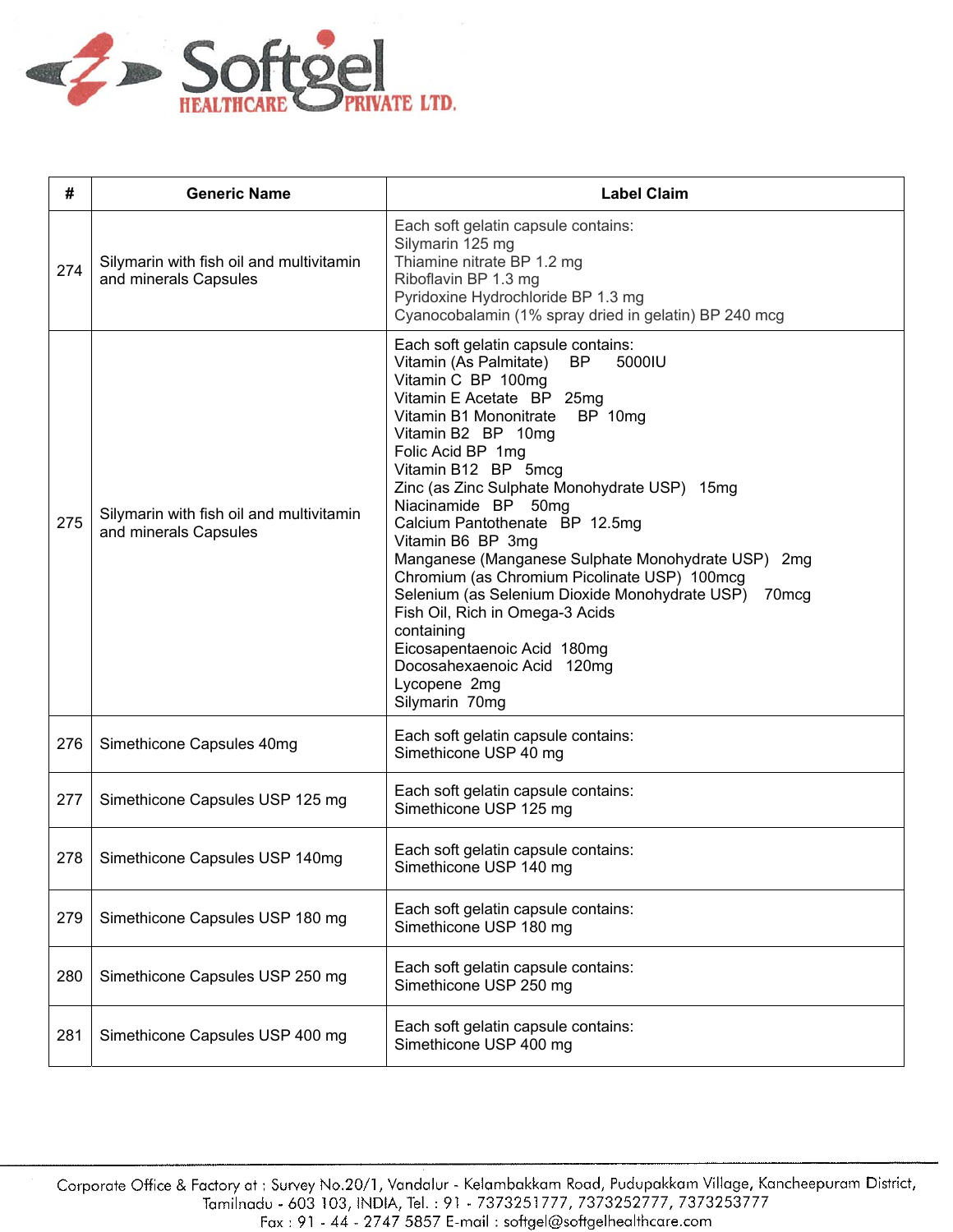

| #   | <b>Generic Name</b>                                               | <b>Label Claim</b>                                                                                                                                                                                                                                                                                                                                                                                                                                                                                                                                                                                                                                                                                  |
|-----|-------------------------------------------------------------------|-----------------------------------------------------------------------------------------------------------------------------------------------------------------------------------------------------------------------------------------------------------------------------------------------------------------------------------------------------------------------------------------------------------------------------------------------------------------------------------------------------------------------------------------------------------------------------------------------------------------------------------------------------------------------------------------------------|
| 274 | Silymarin with fish oil and multivitamin<br>and minerals Capsules | Each soft gelatin capsule contains:<br>Silymarin 125 mg<br>Thiamine nitrate BP 1.2 mg<br>Riboflavin BP 1.3 mg<br>Pyridoxine Hydrochloride BP 1.3 mg<br>Cyanocobalamin (1% spray dried in gelatin) BP 240 mcg                                                                                                                                                                                                                                                                                                                                                                                                                                                                                        |
| 275 | Silymarin with fish oil and multivitamin<br>and minerals Capsules | Each soft gelatin capsule contains:<br>Vitamin (As Palmitate)<br>5000IU<br>BP.<br>Vitamin C BP 100mg<br>Vitamin E Acetate BP 25mg<br>Vitamin B1 Mononitrate<br>BP 10mg<br>Vitamin B2 BP 10mg<br>Folic Acid BP 1mg<br>Vitamin B12 BP 5mcg<br>Zinc (as Zinc Sulphate Monohydrate USP) 15mg<br>Niacinamide BP 50mg<br>Calcium Pantothenate BP 12.5mg<br>Vitamin B6 BP 3mg<br>Manganese (Manganese Sulphate Monohydrate USP) 2mg<br>Chromium (as Chromium Picolinate USP) 100mcg<br>Selenium (as Selenium Dioxide Monohydrate USP)<br>70 <sub>mcg</sub><br>Fish Oil, Rich in Omega-3 Acids<br>containing<br>Eicosapentaenoic Acid 180mg<br>Docosahexaenoic Acid 120mg<br>Lycopene 2mg<br>Silymarin 70mg |
| 276 | Simethicone Capsules 40mg                                         | Each soft gelatin capsule contains:<br>Simethicone USP 40 mg                                                                                                                                                                                                                                                                                                                                                                                                                                                                                                                                                                                                                                        |
| 277 | Simethicone Capsules USP 125 mg                                   | Each soft gelatin capsule contains:<br>Simethicone USP 125 mg                                                                                                                                                                                                                                                                                                                                                                                                                                                                                                                                                                                                                                       |
| 278 | Simethicone Capsules USP 140mg                                    | Each soft gelatin capsule contains:<br>Simethicone USP 140 mg                                                                                                                                                                                                                                                                                                                                                                                                                                                                                                                                                                                                                                       |
| 279 | Simethicone Capsules USP 180 mg                                   | Each soft gelatin capsule contains:<br>Simethicone USP 180 mg                                                                                                                                                                                                                                                                                                                                                                                                                                                                                                                                                                                                                                       |
| 280 | Simethicone Capsules USP 250 mg                                   | Each soft gelatin capsule contains:<br>Simethicone USP 250 mg                                                                                                                                                                                                                                                                                                                                                                                                                                                                                                                                                                                                                                       |
| 281 | Simethicone Capsules USP 400 mg                                   | Each soft gelatin capsule contains:<br>Simethicone USP 400 mg                                                                                                                                                                                                                                                                                                                                                                                                                                                                                                                                                                                                                                       |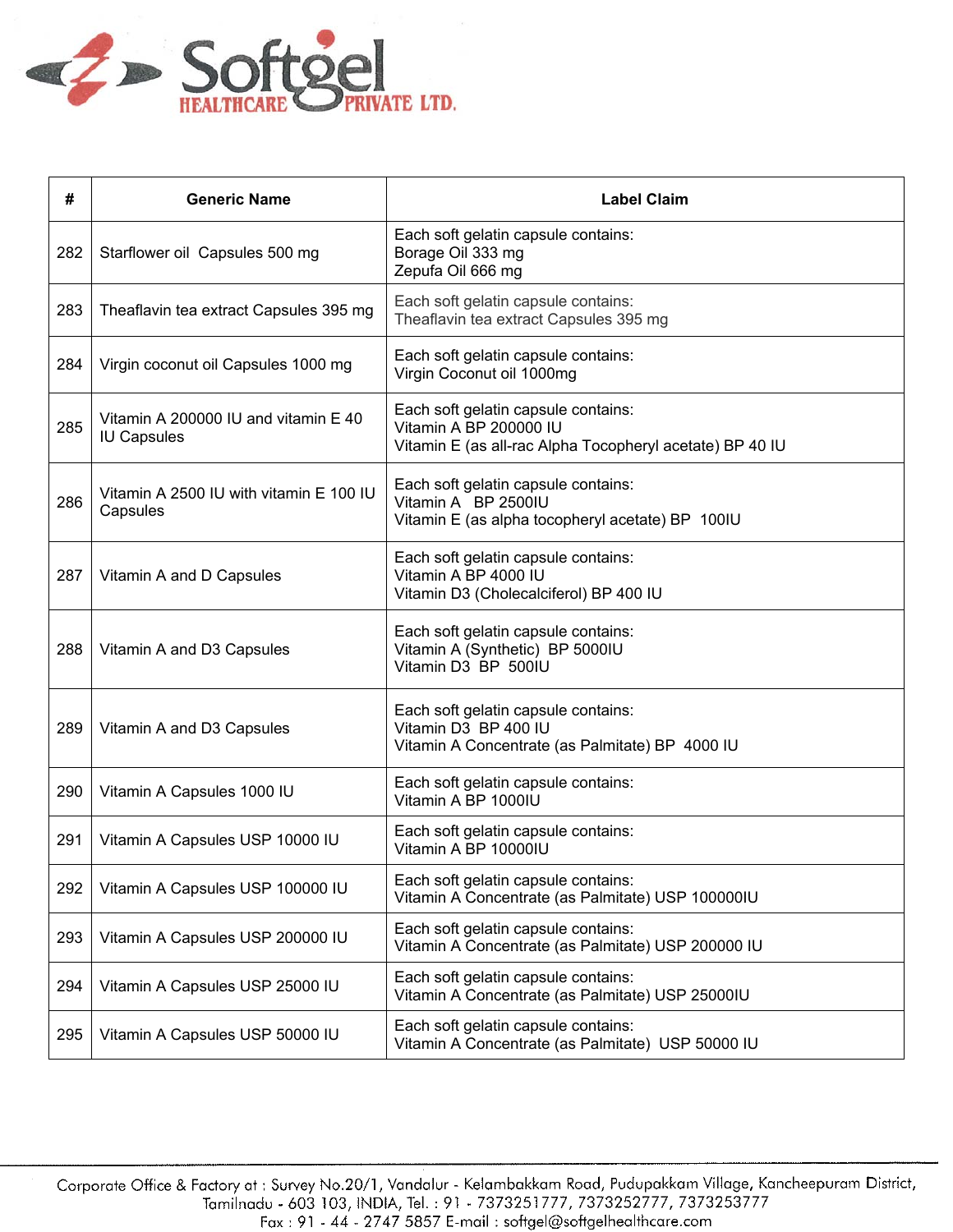

| #   | <b>Generic Name</b>                                        | <b>Label Claim</b>                                                                                                        |
|-----|------------------------------------------------------------|---------------------------------------------------------------------------------------------------------------------------|
| 282 | Starflower oil Capsules 500 mg                             | Each soft gelatin capsule contains:<br>Borage Oil 333 mg<br>Zepufa Oil 666 mg                                             |
| 283 | Theaflavin tea extract Capsules 395 mg                     | Each soft gelatin capsule contains:<br>Theaflavin tea extract Capsules 395 mg                                             |
| 284 | Virgin coconut oil Capsules 1000 mg                        | Each soft gelatin capsule contains:<br>Virgin Coconut oil 1000mg                                                          |
| 285 | Vitamin A 200000 IU and vitamin E 40<br><b>IU Capsules</b> | Each soft gelatin capsule contains:<br>Vitamin A BP 200000 IU<br>Vitamin E (as all-rac Alpha Tocopheryl acetate) BP 40 IU |
| 286 | Vitamin A 2500 IU with vitamin E 100 IU<br>Capsules        | Each soft gelatin capsule contains:<br>Vitamin A BP 2500IU<br>Vitamin E (as alpha tocopheryl acetate) BP 100IU            |
| 287 | Vitamin A and D Capsules                                   | Each soft gelatin capsule contains:<br>Vitamin A BP 4000 IU<br>Vitamin D3 (Cholecalciferol) BP 400 IU                     |
| 288 | Vitamin A and D3 Capsules                                  | Each soft gelatin capsule contains:<br>Vitamin A (Synthetic) BP 5000IU<br>Vitamin D3 BP 500IU                             |
| 289 | Vitamin A and D3 Capsules                                  | Each soft gelatin capsule contains:<br>Vitamin D3 BP 400 IU<br>Vitamin A Concentrate (as Palmitate) BP 4000 IU            |
| 290 | Vitamin A Capsules 1000 IU                                 | Each soft gelatin capsule contains:<br>Vitamin A BP 1000IU                                                                |
| 291 | Vitamin A Capsules USP 10000 IU                            | Each soft gelatin capsule contains:<br>Vitamin A BP 10000IU                                                               |
| 292 | Vitamin A Capsules USP 100000 IU                           | Each soft gelatin capsule contains:<br>Vitamin A Concentrate (as Palmitate) USP 100000IU                                  |
| 293 | Vitamin A Capsules USP 200000 IU                           | Each soft gelatin capsule contains:<br>Vitamin A Concentrate (as Palmitate) USP 200000 IU                                 |
| 294 | Vitamin A Capsules USP 25000 IU                            | Each soft gelatin capsule contains:<br>Vitamin A Concentrate (as Palmitate) USP 25000IU                                   |
| 295 | Vitamin A Capsules USP 50000 IU                            | Each soft gelatin capsule contains:<br>Vitamin A Concentrate (as Palmitate) USP 50000 IU                                  |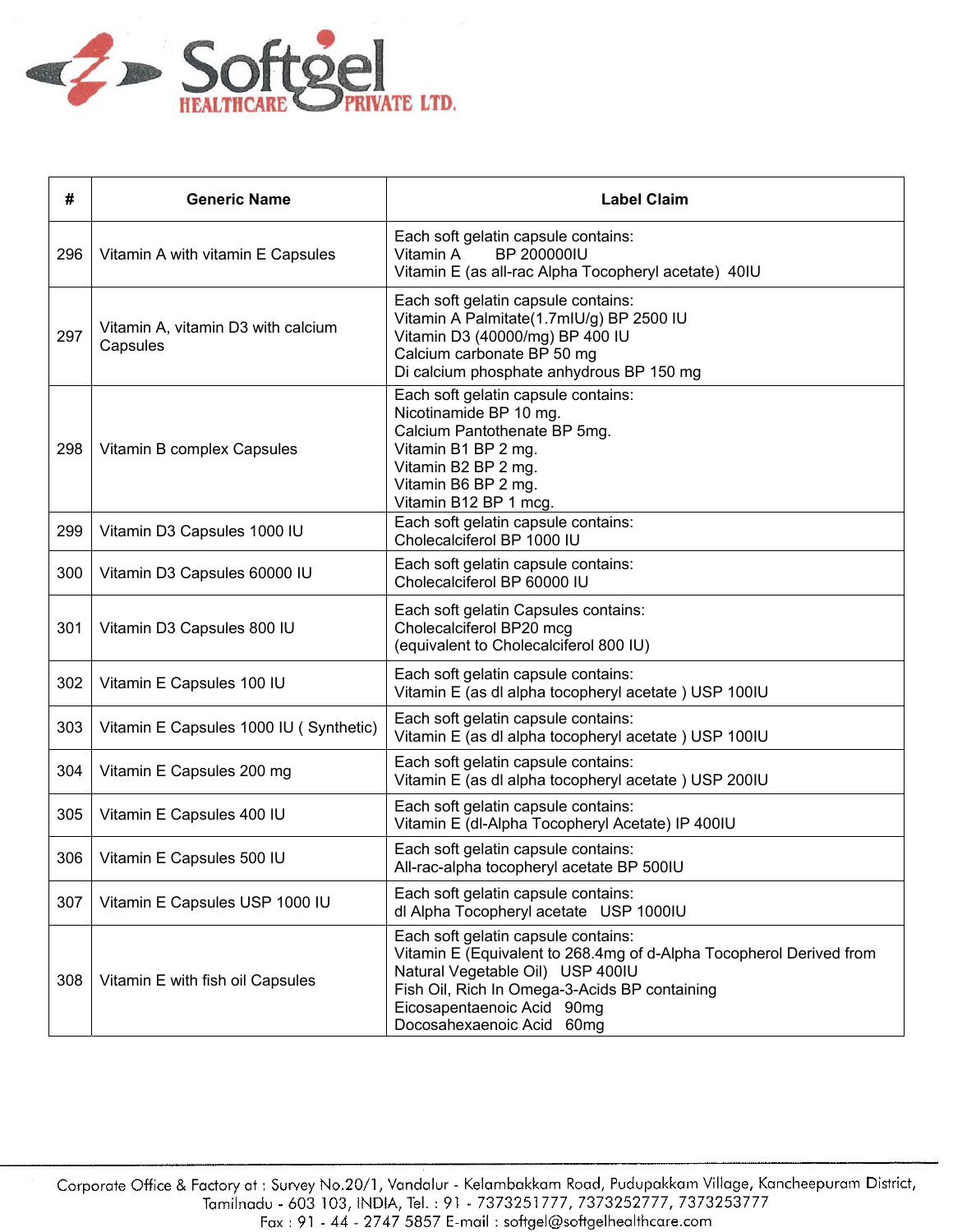

| #   | <b>Generic Name</b>                            | <b>Label Claim</b>                                                                                                                                                                                                                                         |
|-----|------------------------------------------------|------------------------------------------------------------------------------------------------------------------------------------------------------------------------------------------------------------------------------------------------------------|
| 296 | Vitamin A with vitamin E Capsules              | Each soft gelatin capsule contains:<br><b>BP 200000IU</b><br>Vitamin A<br>Vitamin E (as all-rac Alpha Tocopheryl acetate) 40IU                                                                                                                             |
| 297 | Vitamin A, vitamin D3 with calcium<br>Capsules | Each soft gelatin capsule contains:<br>Vitamin A Palmitate(1.7mIU/g) BP 2500 IU<br>Vitamin D3 (40000/mg) BP 400 IU<br>Calcium carbonate BP 50 mg<br>Di calcium phosphate anhydrous BP 150 mg                                                               |
| 298 | Vitamin B complex Capsules                     | Each soft gelatin capsule contains:<br>Nicotinamide BP 10 mg.<br>Calcium Pantothenate BP 5mg.<br>Vitamin B1 BP 2 mg.<br>Vitamin B2 BP 2 mg.<br>Vitamin B6 BP 2 mg.<br>Vitamin B12 BP 1 mcg.                                                                |
| 299 | Vitamin D3 Capsules 1000 IU                    | Each soft gelatin capsule contains:<br>Cholecalciferol BP 1000 IU                                                                                                                                                                                          |
| 300 | Vitamin D3 Capsules 60000 IU                   | Each soft gelatin capsule contains:<br>Cholecalciferol BP 60000 IU                                                                                                                                                                                         |
| 301 | Vitamin D3 Capsules 800 IU                     | Each soft gelatin Capsules contains:<br>Cholecalciferol BP20 mcg<br>(equivalent to Cholecalciferol 800 IU)                                                                                                                                                 |
| 302 | Vitamin E Capsules 100 IU                      | Each soft gelatin capsule contains:<br>Vitamin E (as dl alpha tocopheryl acetate) USP 100IU                                                                                                                                                                |
| 303 | Vitamin E Capsules 1000 IU (Synthetic)         | Each soft gelatin capsule contains:<br>Vitamin E (as dl alpha tocopheryl acetate) USP 100IU                                                                                                                                                                |
| 304 | Vitamin E Capsules 200 mg                      | Each soft gelatin capsule contains:<br>Vitamin E (as dl alpha tocopheryl acetate) USP 200IU                                                                                                                                                                |
| 305 | Vitamin E Capsules 400 IU                      | Each soft gelatin capsule contains:<br>Vitamin E (dl-Alpha Tocopheryl Acetate) IP 400IU                                                                                                                                                                    |
| 306 | Vitamin E Capsules 500 IU                      | Each soft gelatin capsule contains:<br>All-rac-alpha tocopheryl acetate BP 500IU                                                                                                                                                                           |
| 307 | Vitamin E Capsules USP 1000 IU                 | Each soft gelatin capsule contains:<br>dl Alpha Tocopheryl acetate USP 1000IU                                                                                                                                                                              |
| 308 | Vitamin E with fish oil Capsules               | Each soft gelatin capsule contains:<br>Vitamin E (Equivalent to 268.4mg of d-Alpha Tocopherol Derived from<br>Natural Vegetable Oil) USP 400IU<br>Fish Oil, Rich In Omega-3-Acids BP containing<br>Eicosapentaenoic Acid 90mg<br>Docosahexaenoic Acid 60mg |